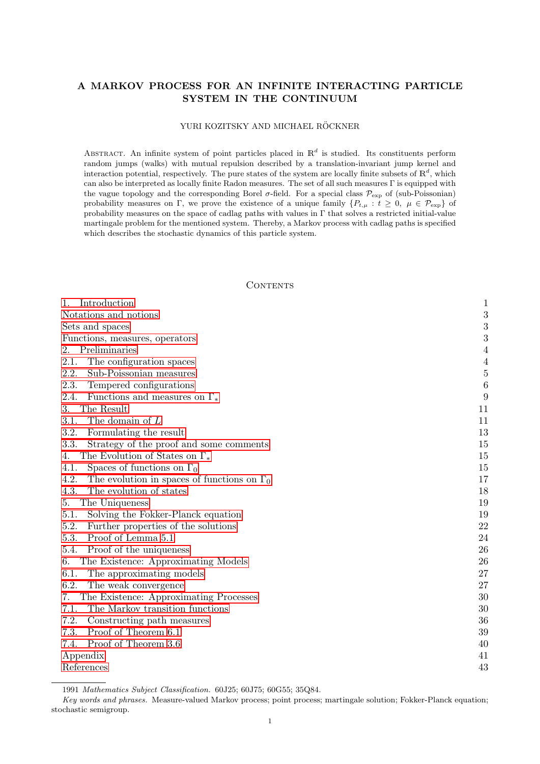# A MARKOV PROCESS FOR AN INFINITE INTERACTING PARTICLE SYSTEM IN THE CONTINUUM

# YURI KOZITSKY AND MICHAEL RÖCKNER

ABSTRACT. An infinite system of point particles placed in  $\mathbb{R}^d$  is studied. Its constituents perform random jumps (walks) with mutual repulsion described by a translation-invariant jump kernel and interaction potential, respectively. The pure states of the system are locally finite subsets of  $\mathbb{R}^d$ , which can also be interpreted as locally finite Radon measures. The set of all such measures Γ is equipped with the vague topology and the corresponding Borel  $\sigma$ -field. For a special class  $\mathcal{P}_{\text{exp}}$  of (sub-Poissonian) probability measures on Γ, we prove the existence of a unique family  $\{P_{t,\mu} : t \geq 0, \mu \in \mathcal{P}_{\text{exp}}\}$  of probability measures on the space of cadlag paths with values in  $\Gamma$  that solves a restricted initial-value martingale problem for the mentioned system. Thereby, a Markov process with cadlag paths is specified which describes the stochastic dynamics of this particle system.

# <span id="page-0-0"></span>**CONTENTS**

| 1.<br>Introduction                                         | $\mathbf{1}$     |
|------------------------------------------------------------|------------------|
| Notations and notions                                      | 3                |
| Sets and spaces                                            | 3                |
| Functions, measures, operators                             | 3                |
| Preliminaries<br>2.                                        | $\overline{4}$   |
| 2.1.<br>The configuration spaces                           | $\overline{4}$   |
| 2.2.<br>Sub-Poissonian measures                            | $\overline{5}$   |
| 2.3.<br>Tempered configurations                            | $\boldsymbol{6}$ |
| 2.4.<br>Functions and measures on $\Gamma_*$               | 9                |
| The Result<br>3.                                           | 11               |
| The domain of $L$<br>3.1.                                  | 11               |
| 3.2.<br>Formulating the result                             | 13               |
| 3.3.<br>Strategy of the proof and some comments            | 15               |
| The Evolution of States on $\Gamma_*$<br>4.                | 15               |
| Spaces of functions on $\Gamma_0$<br>4.1.                  | 15               |
| 4.2.<br>The evolution in spaces of functions on $\Gamma_0$ | 17               |
| 4.3.<br>The evolution of states                            | 18               |
| The Uniqueness<br>5.                                       | 19               |
| Solving the Fokker-Planck equation<br>5.1.                 | 19               |
| 5.2.<br>Further properties of the solutions                | 22               |
| 5.3.<br>Proof of Lemma 5.1                                 | 24               |
| Proof of the uniqueness<br>5.4.                            | 26               |
| The Existence: Approximating Models<br>6.                  | 26               |
| 6.1.<br>The approximating models                           | 27               |
| 6.2.<br>The weak convergence                               | 27               |
| The Existence: Approximating Processes<br>7.               | 30               |
| 7.1.<br>The Markov transition functions                    | 30               |
| 7.2.<br>Constructing path measures                         | 36               |
| 7.3.<br>Proof of Theorem 6.1                               | 39               |
| Proof of Theorem 3.6<br>7.4.                               | 40               |
| Appendix                                                   | 41               |
| References                                                 | 43               |

<sup>1991</sup> Mathematics Subject Classification. 60J25; 60J75; 60G55; 35Q84.

Key words and phrases. Measure-valued Markov process; point process; martingale solution; Fokker-Planck equation; stochastic semigroup.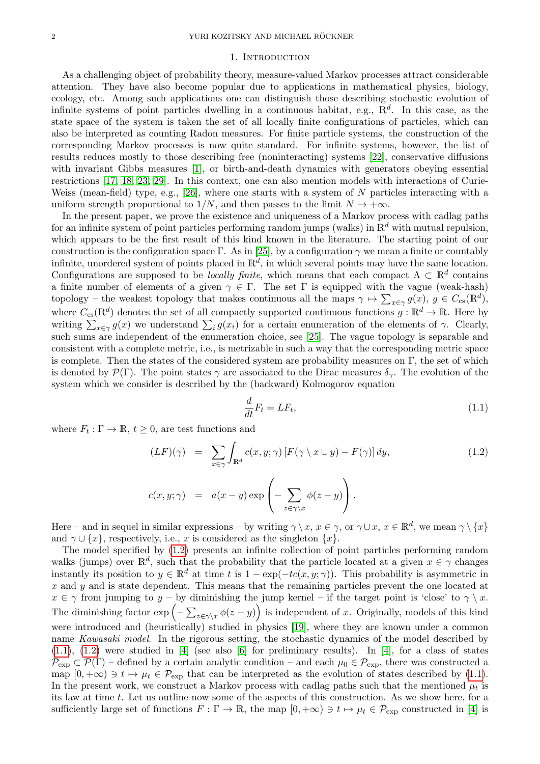#### 1. Introduction

<span id="page-1-0"></span>As a challenging object of probability theory, measure-valued Markov processes attract considerable attention. They have also become popular due to applications in mathematical physics, biology, ecology, etc. Among such applications one can distinguish those describing stochastic evolution of infinite systems of point particles dwelling in a continuous habitat, e.g.,  $\mathbb{R}^d$ . In this case, as the state space of the system is taken the set of all locally finite configurations of particles, which can also be interpreted as counting Radon measures. For finite particle systems, the construction of the corresponding Markov processes is now quite standard. For infinite systems, however, the list of results reduces mostly to those describing free (noninteracting) systems [\[22\]](#page-43-0), conservative diffusions with invariant Gibbs measures [\[1\]](#page-42-0), or birth-and-death dynamics with generators obeying essential restrictions [\[17,](#page-43-1) [18,](#page-43-2) [23,](#page-43-3) [29\]](#page-43-4). In this context, one can also mention models with interactions of Curie-Weiss (mean-field) type, e.g., [\[26\]](#page-43-5), where one starts with a system of  $N$  particles interacting with a uniform strength proportional to  $1/N$ , and then passes to the limit  $N \to +\infty$ .

In the present paper, we prove the existence and uniqueness of a Markov process with cadlag paths for an infinite system of point particles performing random jumps (walks) in  $\mathbb{R}^d$  with mutual repulsion, which appears to be the first result of this kind known in the literature. The starting point of our construction is the configuration space Γ. As in [\[25\]](#page-43-6), by a configuration  $\gamma$  we mean a finite or countably infinite, unordered system of points placed in  $\mathbb{R}^d$ , in which several points may have the same location. Configurations are supposed to be *locally finite*, which means that each compact  $\Lambda \subset \mathbb{R}^d$  contains a finite number of elements of a given  $\gamma \in \Gamma$ . The set  $\Gamma$  is equipped with the vague (weak-hash) topology – the weakest topology that makes continuous all the maps  $\gamma \mapsto \sum_{x \in \gamma} g(x)$ ,  $g \in C_{cs}(\mathbb{R}^d)$ , where  $C_{\text{cs}}(\mathbb{R}^d)$  denotes the set of all compactly supported continuous functions  $g: \mathbb{R}^d \to \mathbb{R}$ . Here by writing  $\sum_{x \in \gamma} g(x)$  we understand  $\sum_i g(x_i)$  for a certain enumeration of the elements of  $\gamma$ . Clearly, such sums are independent of the enumeration choice, see [\[25\]](#page-43-6). The vague topology is separable and consistent with a complete metric, i.e., is metrizable in such a way that the corresponding metric space is complete. Then the states of the considered system are probability measures on  $\Gamma$ , the set of which is denoted by  $\mathcal{P}(\Gamma)$ . The point states  $\gamma$  are associated to the Dirac measures  $\delta_{\gamma}$ . The evolution of the system which we consider is described by the (backward) Kolmogorov equation

<span id="page-1-2"></span>
$$
\frac{d}{dt}F_t = LF_t,\tag{1.1}
$$

where  $F_t : \Gamma \to \mathbb{R}, t \geq 0$ , are test functions and

<span id="page-1-1"></span>
$$
(LF)(\gamma) = \sum_{x \in \gamma} \int_{\mathbb{R}^d} c(x, y; \gamma) \left[ F(\gamma \setminus x \cup y) - F(\gamma) \right] dy,
$$
  
\n
$$
c(x, y; \gamma) = a(x - y) \exp\left( - \sum_{z \in \gamma \setminus x} \phi(z - y) \right).
$$
\n(1.2)

Here – and in sequel in similar expressions – by writing  $\gamma \setminus x, x \in \gamma$ , or  $\gamma \cup x, x \in \mathbb{R}^d$ , we mean  $\gamma \setminus \{x\}$ and  $\gamma \cup \{x\}$ , respectively, i.e., x is considered as the singleton  $\{x\}$ .

The model specified by [\(1.2\)](#page-1-1) presents an infinite collection of point particles performing random walks (jumps) over  $\mathbb{R}^d$ , such that the probability that the particle located at a given  $x \in \gamma$  changes instantly its position to  $y \in \mathbb{R}^d$  at time t is  $1 - \exp(-tc(x, y; \gamma))$ . This probability is asymmetric in  $x$  and  $y$  and is state dependent. This means that the remaining particles prevent the one located at  $x \in \gamma$  from jumping to  $y - by$  diminishing the jump kernel – if the target point is 'close' to  $\gamma \setminus x$ . The diminishing factor  $\exp\left(-\sum_{z\in\gamma\setminus x}\phi(z-y)\right)$  is independent of x. Originally, models of this kind were introduced and (heuristically) studied in physics [\[19\]](#page-43-7), where they are known under a common name Kawasaki model. In the rigorous setting, the stochastic dynamics of the model described by  $(1.1)$ ,  $(1.2)$  were studied in [\[4\]](#page-42-1) (see also [\[6\]](#page-42-2) for preliminary results). In [4], for a class of states  $\mathcal{P}_{\text{exp}} \subset \mathcal{P}(\Gamma)$  – defined by a certain analytic condition – and each  $\mu_0 \in \mathcal{P}_{\text{exp}}$ , there was constructed a map  $[0, +\infty) \ni t \mapsto \mu_t \in \mathcal{P}_{\text{exp}}$  that can be interpreted as the evolution of states described by [\(1.1\)](#page-1-2). In the present work, we construct a Markov process with cadlag paths such that the mentioned  $\mu_t$  is its law at time t. Let us outline now some of the aspects of this construction. As we show here, for a sufficiently large set of functions  $F : \Gamma \to \mathbb{R}$ , the map  $[0, +\infty) \ni t \mapsto \mu_t \in \mathcal{P}_{\text{exp}}$  constructed in [\[4\]](#page-42-1) is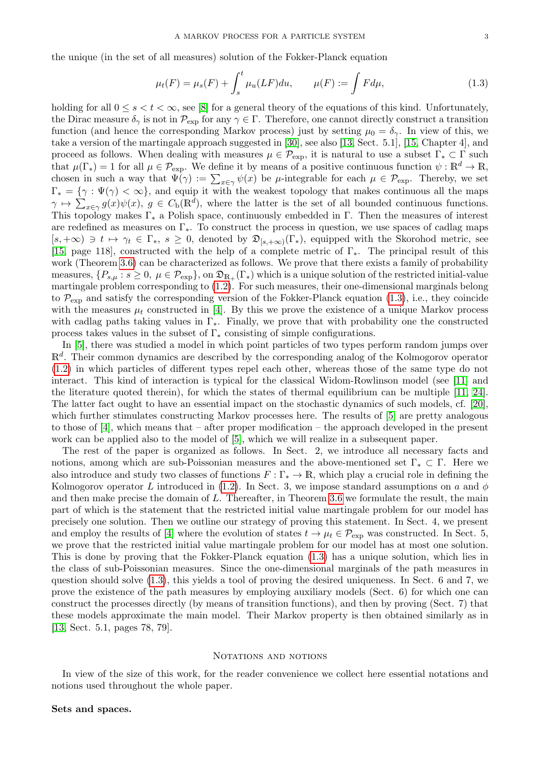the unique (in the set of all measures) solution of the Fokker-Planck equation

<span id="page-2-2"></span>
$$
\mu_t(F) = \mu_s(F) + \int_s^t \mu_u(LF) du, \qquad \mu(F) := \int F d\mu,
$$
\n(1.3)

holding for all  $0 \leq s < t < \infty$ , see [\[8\]](#page-42-3) for a general theory of the equations of this kind. Unfortunately, the Dirac measure  $\delta_{\gamma}$  is not in  $\mathcal{P}_{\text{exp}}$  for any  $\gamma \in \Gamma$ . Therefore, one cannot directly construct a transition function (and hence the corresponding Markov process) just by setting  $\mu_0 = \delta_{\gamma}$ . In view of this, we take a version of the martingale approach suggested in [\[30\]](#page-43-8), see also [\[13,](#page-43-9) Sect. 5.1], [\[15,](#page-43-10) Chapter 4], and proceed as follows. When dealing with measures  $\mu \in \mathcal{P}_{\text{exp}}$ , it is natural to use a subset  $\Gamma_* \subset \Gamma$  such that  $\mu(\Gamma_*)=1$  for all  $\mu \in \mathcal{P}_{\text{exp}}$ . We define it by means of a positive continuous function  $\psi : \mathbb{R}^d \to \mathbb{R}$ , chosen in such a way that  $\Psi(\gamma) := \sum_{x \in \gamma} \psi(x)$  be  $\mu$ -integrable for each  $\mu \in \mathcal{P}_{\text{exp}}$ . Thereby, we set  $\Gamma_* = \{ \gamma : \Psi(\gamma) < \infty \},$  and equip it with the weakest topology that makes continuous all the maps  $\gamma \mapsto \sum_{x \in \gamma} g(x) \psi(x), \ g \in C_{\mathbf{b}}(\mathbb{R}^d)$ , where the latter is the set of all bounded continuous functions. This topology makes  $\Gamma_*$  a Polish space, continuously embedded in  $\Gamma$ . Then the measures of interest are redefined as measures on  $\Gamma_*$ . To construct the process in question, we use spaces of cadlag maps  $[s, +\infty) \ni t \mapsto \gamma_t \in \Gamma_*, s \geq 0$ , denoted by  $\mathfrak{D}_{[s, +\infty)}(\Gamma_*)$ , equipped with the Skorohod metric, see [\[15,](#page-43-10) page 118], constructed with the help of a complete metric of Γ∗. The principal result of this work (Theorem [3.6\)](#page-14-1) can be characterized as follows. We prove that there exists a family of probability measures,  $\{P_{s,\mu}: s \geq 0, \mu \in \mathcal{P}_{\rm exp}\}\$ , on  $\mathfrak{D}_{\mathbb{R}_+}(\Gamma_*)$  which is a unique solution of the restricted initial-value martingale problem corresponding to [\(1.2\)](#page-1-1). For such measures, their one-dimensional marginals belong to  $\mathcal{P}_{\text{exp}}$  and satisfy the corresponding version of the Fokker-Planck equation [\(1.3\)](#page-2-2), i.e., they coincide with the measures  $\mu_t$  constructed in [\[4\]](#page-42-1). By this we prove the existence of a unique Markov process with cadlag paths taking values in  $\Gamma_*$ . Finally, we prove that with probability one the constructed process takes values in the subset of  $\Gamma_*$  consisting of simple configurations.

In [\[5\]](#page-42-4), there was studied a model in which point particles of two types perform random jumps over  $\mathbb{R}^d$ . Their common dynamics are described by the corresponding analog of the Kolmogorov operator [\(1.2\)](#page-1-1) in which particles of different types repel each other, whereas those of the same type do not interact. This kind of interaction is typical for the classical Widom-Rowlinson model (see [\[11\]](#page-42-5) and the literature quoted therein), for which the states of thermal equilibrium can be multiple [\[11,](#page-42-5) [24\]](#page-43-11). The latter fact ought to have an essential impact on the stochastic dynamics of such models, cf. [\[20\]](#page-43-12), which further stimulates constructing Markov processes here. The results of  $[5]$  are pretty analogous to those of [\[4\]](#page-42-1), which means that – after proper modification – the approach developed in the present work can be applied also to the model of [\[5\]](#page-42-4), which we will realize in a subsequent paper.

The rest of the paper is organized as follows. In Sect. 2, we introduce all necessary facts and notions, among which are sub-Poissonian measures and the above-mentioned set  $\Gamma_* \subset \Gamma$ . Here we also introduce and study two classes of functions  $F : \Gamma_* \to \mathbb{R}$ , which play a crucial role in defining the Kolmogorov operator L introduced in [\(1.2\)](#page-1-1). In Sect. 3, we impose standard assumptions on a and  $\phi$ and then make precise the domain of L. Thereafter, in Theorem [3.6](#page-14-1) we formulate the result, the main part of which is the statement that the restricted initial value martingale problem for our model has precisely one solution. Then we outline our strategy of proving this statement. In Sect. 4, we present and employ the results of [\[4\]](#page-42-1) where the evolution of states  $t \to \mu_t \in \mathcal{P}_{\text{exp}}$  was constructed. In Sect. 5, we prove that the restricted initial value martingale problem for our model has at most one solution. This is done by proving that the Fokker-Planck equation [\(1.3\)](#page-2-2) has a unique solution, which lies in the class of sub-Poissonian measures. Since the one-dimensional marginals of the path measures in question should solve [\(1.3\)](#page-2-2), this yields a tool of proving the desired uniqueness. In Sect. 6 and 7, we prove the existence of the path measures by employing auxiliary models (Sect. 6) for which one can construct the processes directly (by means of transition functions), and then by proving (Sect. 7) that these models approximate the main model. Their Markov property is then obtained similarly as in [\[13,](#page-43-9) Sect. 5.1, pages 78, 79].

#### <span id="page-2-0"></span>NOTATIONS AND NOTIONS

In view of the size of this work, for the reader convenience we collect here essential notations and notions used throughout the whole paper.

## <span id="page-2-1"></span>Sets and spaces.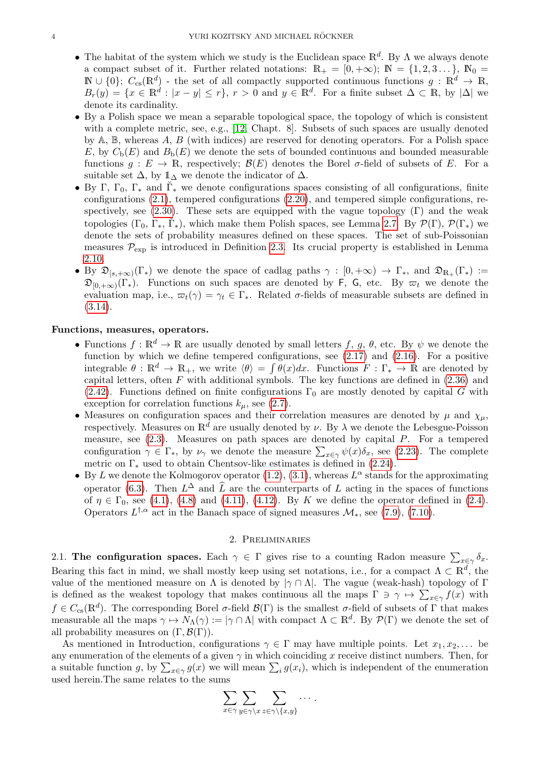- The habitat of the system which we study is the Euclidean space  $\mathbb{R}^d$ . By  $\Lambda$  we always denote a compact subset of it. Further related notations:  $\mathbb{R}_+ = [0, +\infty); \mathbb{N} = \{1, 2, 3, \ldots\}, \mathbb{N}_0 =$  $\mathbb{N} \cup \{0\}; C_{cs}(\mathbb{R}^d)$  - the set of all compactly supported continuous functions  $g: \mathbb{R}^d \to \mathbb{R}$ ,  $B_r(y) = \{x \in \mathbb{R}^d : |x - y| \leq r\}, r > 0 \text{ and } y \in \mathbb{R}^d.$  For a finite subset  $\Delta \subset \mathbb{R}$ , by  $|\Delta|$  we denote its cardinality.
- By a Polish space we mean a separable topological space, the topology of which is consistent with a complete metric, see, e.g., [\[12,](#page-43-13) Chapt. 8]. Subsets of such spaces are usually denoted by  $A, B$ , whereas A, B (with indices) are reserved for denoting operators. For a Polish space E, by  $C_{\rm b}(E)$  and  $B_{\rm b}(E)$  we denote the sets of bounded continuous and bounded measurable functions  $g: E \to \mathbb{R}$ , respectively;  $\mathcal{B}(E)$  denotes the Borel  $\sigma$ -field of subsets of E. For a suitable set  $\Delta$ , by  $\mathbb{1}_{\Delta}$  we denote the indicator of  $\Delta$ .
- By Γ, Γ<sub>0</sub>, Γ<sub>\*</sub> and  $\check{\Gamma}_{*}$  we denote configurations spaces consisting of all configurations, finite configurations [\(2.1\)](#page-4-1), tempered configurations [\(2.20\)](#page-6-1), and tempered simple configurations, re-spectively, see [\(2.30\)](#page-8-0). These sets are equipped with the vague topology  $(\Gamma)$  and the weak topologies  $(\Gamma_0, \Gamma_*, \breve{\Gamma}_*)$ , which make them Polish spaces, see Lemma [2.7.](#page-7-0) By  $\mathcal{P}(\Gamma), \mathcal{P}(\Gamma_*)$  we denote the sets of probability measures defined on these spaces. The set of sub-Poissonian measures  $P_{\text{exp}}$  is introduced in Definition [2.3.](#page-4-2) Its crucial property is established in Lemma [2.10.](#page-8-1)
- By  $\mathfrak{D}_{[s,+\infty)}(\Gamma_{\ast})$  we denote the space of cadlag paths  $\gamma : [0,+\infty) \to \Gamma_{\ast}$ , and  $\mathfrak{D}_{\mathbb{R}_{+}}(\Gamma_{\ast}) :=$  $\mathfrak{D}_{[0,+\infty)}(\Gamma_{*})$ . Functions on such spaces are denoted by F, G, etc. By  $\varpi_t$  we denote the evaluation map, i.e.,  $\varpi_t(\gamma) = \gamma_t \in \Gamma_*$ . Related  $\sigma$ -fields of measurable subsets are defined in [\(3.14\)](#page-13-1).

# Functions, measures, operators.

- Functions  $f: \mathbb{R}^d \to \mathbb{R}$  are usually denoted by small letters f, g,  $\theta$ , etc. By  $\psi$  we denote the function by which we define tempered configurations, see  $(2.17)$  and  $(2.16)$ . For a positive integrable  $\theta : \mathbb{R}^d \to \mathbb{R}_+$ , we write  $\langle \theta \rangle = \int \theta(x) dx$ . Functions  $F : \Gamma_* \to \mathbb{R}$  are denoted by capital letters, often  $F$  with additional symbols. The key functions are defined in  $(2.36)$  and [\(2.42\)](#page-10-0). Functions defined on finite configurations  $\Gamma_0$  are mostly denoted by capital G with exception for correlation functions  $k_{\mu}$ , see [\(2.7\)](#page-4-3).
- Measures on configuration spaces and their correlation measures are denoted by  $\mu$  and  $\chi_{\mu}$ , respectively. Measures on  $\mathbb{R}^d$  are usually denoted by  $\nu$ . By  $\lambda$  we denote the Lebesgue-Poisson measure, see  $(2.3)$ . Measures on path spaces are denoted by capital  $P$ . For a tempered configuration  $\gamma \in \Gamma_*$ , by  $\nu_{\gamma}$  we denote the measure  $\sum_{x \in \gamma} \psi(x) \delta_x$ , see [\(2.23\)](#page-7-1). The complete metric on  $\Gamma_*$  used to obtain Chentsov-like estimates is defined in [\(2.24\)](#page-7-2).
- By L we denote the Kolmogorov operator  $(1.2)$ ,  $(3.1)$ , whereas  $L^{\alpha}$  stands for the approximating operator [\(6.3\)](#page-26-3). Then  $L^{\Delta}$  and  $\widehat{L}$  are the counterparts of L acting in the spaces of functions of  $\eta \in \Gamma_0$ , see [\(4.1\)](#page-15-2), [\(4.8\)](#page-16-1) and [\(4.11\)](#page-16-2), [\(4.12\)](#page-16-3). By K we define the operator defined in [\(2.4\)](#page-4-5). Operators  $L^{\dagger,\alpha}$  act in the Banach space of signed measures  $\mathcal{M}_{*}$ , see [\(7.9\)](#page-32-0), [\(7.10\)](#page-32-1).

## 2. Preliminaries

<span id="page-3-1"></span><span id="page-3-0"></span>2.1. The configuration spaces. Each  $\gamma \in \Gamma$  gives rise to a counting Radon measure  $\sum_{x \in \gamma} \delta_x$ . Bearing this fact in mind, we shall mostly keep using set notations, i.e., for a compact  $\Lambda \subset \mathbb{R}^d$ , the value of the mentioned measure on  $\Lambda$  is denoted by  $|\gamma \cap \Lambda|$ . The vague (weak-hash) topology of Γ is defined as the weakest topology that makes continuous all the maps  $\Gamma \ni \gamma \mapsto \sum_{x \in \gamma} f(x)$  with  $f \in C_{\text{cs}}(\mathbb{R}^d)$ . The corresponding Borel  $\sigma$ -field  $\mathcal{B}(\Gamma)$  is the smallest  $\sigma$ -field of subsets of  $\Gamma$  that makes measurable all the maps  $\gamma \mapsto N_\Lambda(\gamma) := |\gamma \cap \Lambda|$  with compact  $\Lambda \subset \mathbb{R}^d$ . By  $\mathcal{P}(\Gamma)$  we denote the set of all probability measures on  $(\Gamma, \mathcal{B}(\Gamma)).$ 

As mentioned in Introduction, configurations  $\gamma \in \Gamma$  may have multiple points. Let  $x_1, x_2, \ldots$  be any enumeration of the elements of a given  $\gamma$  in which coinciding x receive distinct numbers. Then, for a suitable function g, by  $\sum_{x \in \gamma} g(x)$  we will mean  $\sum_i g(x_i)$ , which is independent of the enumeration used herein.The same relates to the sums

$$
\sum_{x \in \gamma} \sum_{y \in \gamma \setminus x} \sum_{z \in \gamma \setminus \{x,y\}} \cdots.
$$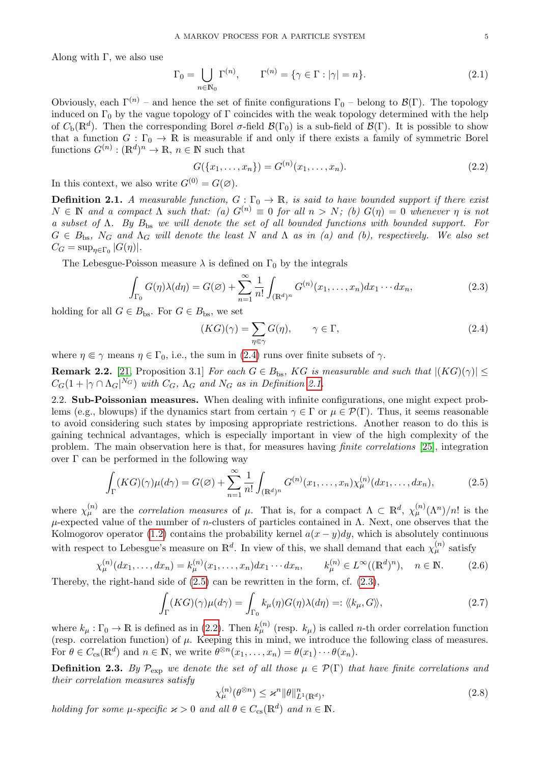Along with  $\Gamma$ , we also use

<span id="page-4-1"></span>
$$
\Gamma_0 = \bigcup_{n \in \mathbb{N}_0} \Gamma^{(n)}, \qquad \Gamma^{(n)} = \{ \gamma \in \Gamma : |\gamma| = n \}. \tag{2.1}
$$

Obviously, each  $\Gamma^{(n)}$  – and hence the set of finite configurations  $\Gamma_0$  – belong to  $\mathcal{B}(\Gamma)$ . The topology induced on  $\Gamma_0$  by the vague topology of  $\Gamma$  coincides with the weak topology determined with the help of  $C_{\rm b}(\mathbb{R}^d)$ . Then the corresponding Borel  $\sigma$ -field  $\mathcal{B}(\Gamma_0)$  is a sub-field of  $\mathcal{B}(\Gamma)$ . It is possible to show that a function  $G : \Gamma_0 \to \mathbb{R}$  is measurable if and only if there exists a family of symmetric Borel functions  $G^{(n)} : (\mathbb{R}^d)^n \to \mathbb{R}, n \in \mathbb{N}$  such that

<span id="page-4-8"></span>
$$
G({x_1, \ldots, x_n}) = G^{(n)}(x_1, \ldots, x_n). \tag{2.2}
$$

In this context, we also write  $G^{(0)} = G(\emptyset)$ .

<span id="page-4-6"></span>**Definition 2.1.** A measurable function,  $G : \Gamma_0 \to \mathbb{R}$ , is said to have bounded support if there exist  $N \in \mathbb{N}$  and a compact  $\Lambda$  such that: (a)  $G^{(n)} \equiv 0$  for all  $n > N$ ; (b)  $G(\eta) = 0$  whenever  $\eta$  is not a subset of  $\Lambda$ . By  $B_{\text{bs}}$  we will denote the set of all bounded functions with bounded support. For  $G \in B_{\text{bs}}$ ,  $N_G$  and  $\Lambda_G$  will denote the least N and  $\Lambda$  as in (a) and (b), respectively. We also set  $C_G = \sup_{\eta \in \Gamma_0} |G(\eta)|.$ 

The Lebesgue-Poisson measure  $\lambda$  is defined on  $\Gamma_0$  by the integrals

<span id="page-4-4"></span>
$$
\int_{\Gamma_0} G(\eta) \lambda(d\eta) = G(\varnothing) + \sum_{n=1}^{\infty} \frac{1}{n!} \int_{(\mathbb{R}^d)^n} G^{(n)}(x_1, \dots, x_n) dx_1 \cdots dx_n,
$$
\n(2.3)

holding for all  $G \in B_{\text{bs}}$ . For  $G \in B_{\text{bs}}$ , we set

<span id="page-4-7"></span><span id="page-4-5"></span>
$$
(KG)(\gamma) = \sum_{\eta \in \gamma} G(\eta), \qquad \gamma \in \Gamma,
$$
\n(2.4)

where  $\eta \in \gamma$  means  $\eta \in \Gamma_0$ , i.e., the sum in [\(2.4\)](#page-4-5) runs over finite subsets of  $\gamma$ .

<span id="page-4-11"></span>**Remark 2.2.** [\[21,](#page-43-14) Proposition 3.1] For each  $G \in B_{\text{bs}}$ , KG is measurable and such that  $|(KG)(\gamma)| \leq$  $C_G(1+|\gamma \cap \Lambda_G|^{N_G})$  with  $C_G$ ,  $\Lambda_G$  and  $N_G$  as in Definition [2.1.](#page-4-6)

<span id="page-4-0"></span>2.2. Sub-Poissonian measures. When dealing with infinite configurations, one might expect problems (e.g., blowups) if the dynamics start from certain  $\gamma \in \Gamma$  or  $\mu \in \mathcal{P}(\Gamma)$ . Thus, it seems reasonable to avoid considering such states by imposing appropriate restrictions. Another reason to do this is gaining technical advantages, which is especially important in view of the high complexity of the problem. The main observation here is that, for measures having finite correlations [\[25\]](#page-43-6), integration over Γ can be performed in the following way

$$
\int_{\Gamma} (KG)(\gamma)\mu(d\gamma) = G(\varnothing) + \sum_{n=1}^{\infty} \frac{1}{n!} \int_{(\mathbb{R}^d)^n} G^{(n)}(x_1,\ldots,x_n) \chi_{\mu}^{(n)}(dx_1,\ldots,dx_n),\tag{2.5}
$$

where  $\chi_{\mu}^{(n)}$  are the *correlation measures* of  $\mu$ . That is, for a compact  $\Lambda \subset \mathbb{R}^d$ ,  $\chi_{\mu}^{(n)}(\Lambda^n)/n!$  is the  $\mu$ -expected value of the number of *n*-clusters of particles contained in  $\Lambda$ . Next, one observes that the Kolmogorov operator [\(1.2\)](#page-1-1) contains the probability kernel  $a(x - y)dy$ , which is absolutely continuous with respect to Lebesgue's measure on  $\mathbb{R}^d$ . In view of this, we shall demand that each  $\chi_\mu^{(n)}$  satisfy

<span id="page-4-10"></span>
$$
\chi_{\mu}^{(n)}(dx_1, \dots, dx_n) = k_{\mu}^{(n)}(x_1, \dots, x_n) dx_1 \cdots dx_n, \qquad k_{\mu}^{(n)} \in L^{\infty}((\mathbb{R}^d)^n), \quad n \in \mathbb{N}.
$$
 (2.6)

Thereby, the right-hand side of  $(2.5)$  can be rewritten in the form, cf.  $(2.3)$ ,

<span id="page-4-3"></span>
$$
\int_{\Gamma} (KG)(\gamma)\mu(d\gamma) = \int_{\Gamma_0} k_{\mu}(\eta)G(\eta)\lambda(d\eta) =: \langle\langle k_{\mu}, G \rangle\rangle, \tag{2.7}
$$

where  $k_{\mu} : \Gamma_0 \to \mathbb{R}$  is defined as in [\(2.2\)](#page-4-8). Then  $k_{\mu}^{(n)}$  (resp.  $k_{\mu}$ ) is called *n*-th order correlation function (resp. correlation function) of  $\mu$ . Keeping this in mind, we introduce the following class of measures. For  $\theta \in C_{\text{cs}}(\mathbb{R}^d)$  and  $n \in \mathbb{N}$ , we write  $\theta^{\otimes n}(x_1,\ldots,x_n) = \theta(x_1)\cdots\theta(x_n)$ .

<span id="page-4-2"></span>**Definition 2.3.** By  $\mathcal{P}_{\text{exp}}$  we denote the set of all those  $\mu \in \mathcal{P}(\Gamma)$  that have finite correlations and their correlation measures satisfy

<span id="page-4-9"></span>
$$
\chi_{\mu}^{(n)}(\theta^{\otimes n}) \le \varkappa^{n} \|\theta\|_{L^{1}(\mathbb{R}^{d})}^{n},\tag{2.8}
$$

holding for some  $\mu$ -specific  $\varkappa > 0$  and all  $\theta \in C_{\text{cs}}(\mathbb{R}^d)$  and  $n \in \mathbb{N}$ .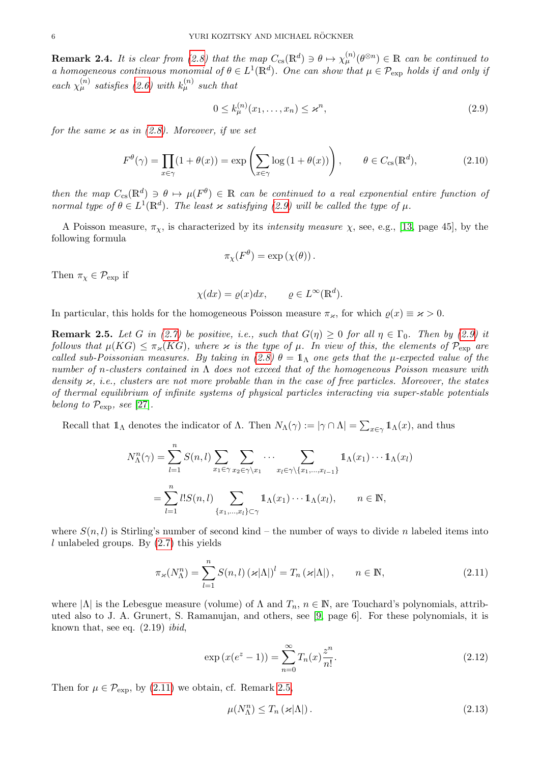<span id="page-5-6"></span>**Remark 2.4.** It is clear from [\(2.8\)](#page-4-9) that the map  $C_{cs}(\mathbb{R}^d) \ni \theta \mapsto \chi_{\mu}^{(n)}(\theta^{\otimes n}) \in \mathbb{R}$  can be continued to a homogeneous continuous monomial of  $\theta \in L^1(\mathbb{R}^d)$ . One can show that  $\mu \in \mathcal{P}_{\text{exp}}$  holds if and only if each  $\chi_{\mu}^{(n)}$  satisfies [\(2.6\)](#page-4-10) with  $k_{\mu}^{(n)}$  such that

<span id="page-5-0"></span>
$$
0 \le k_{\mu}^{(n)}(x_1, \dots, x_n) \le \varkappa^n,\tag{2.9}
$$

for the same  $\varkappa$  as in [\(2.8\)](#page-4-9). Moreover, if we set

<span id="page-5-5"></span>
$$
F^{\theta}(\gamma) = \prod_{x \in \gamma} (1 + \theta(x)) = \exp\left(\sum_{x \in \gamma} \log\left(1 + \theta(x)\right)\right), \qquad \theta \in C_{\text{cs}}(\mathbb{R}^d),\tag{2.10}
$$

then the map  $C_{cs}(\mathbb{R}^d) \ni \theta \mapsto \mu(F^{\theta}) \in \mathbb{R}$  can be continued to a real exponential entire function of normal type of  $\theta \in L^1(\mathbb{R}^d)$ . The least x satisfying [\(2.9\)](#page-5-0) will be called the type of  $\mu$ .

A Poisson measure,  $\pi_{\chi}$ , is characterized by its *intensity measure*  $\chi$ , see, e.g., [\[13,](#page-43-9) page 45], by the following formula

$$
\pi_{\chi}(F^{\theta}) = \exp(\chi(\theta)).
$$

Then  $\pi_{\chi} \in \mathcal{P}_{\rm exp}$  if

$$
\chi(dx) = \varrho(x)dx, \qquad \varrho \in L^{\infty}(\mathbb{R}^d).
$$

In particular, this holds for the homogeneous Poisson measure  $\pi_{\varkappa}$ , for which  $\rho(x) \equiv \varkappa > 0$ .

<span id="page-5-2"></span>**Remark 2.5.** Let G in [\(2.7\)](#page-4-3) be positive, i.e., such that  $G(\eta) \ge 0$  for all  $\eta \in \Gamma_0$ . Then by [\(2.9\)](#page-5-0) it follows that  $\mu(KG) \leq \pi_{\varkappa}(KG)$ , where  $\varkappa$  is the type of  $\mu$ . In view of this, the elements of  $\mathcal{P}_{\text{exp}}$  are called sub-Poissonian measures. By taking in [\(2.8\)](#page-4-9)  $\theta = \mathbb{1}_{\Lambda}$  one gets that the  $\mu$ -expected value of the number of n-clusters contained in  $\Lambda$  does not exceed that of the homogeneous Poisson measure with density  $\varkappa$ , i.e., clusters are not more probable than in the case of free particles. Moreover, the states of thermal equilibrium of infinite systems of physical particles interacting via super-stable potentials belong to  $\mathcal{P}_{\rm exp}$ , see [\[27\]](#page-43-15).

Recall that  $1\!\!1_\Lambda$  denotes the indicator of  $\Lambda$ . Then  $N_\Lambda(\gamma) := |\gamma \cap \Lambda| = \sum_{x \in \gamma} 1\!\!1_\Lambda(x)$ , and thus

$$
N_{\Lambda}^n(\gamma) = \sum_{l=1}^n S(n,l) \sum_{x_1 \in \gamma} \sum_{x_2 \in \gamma \setminus x_1} \cdots \sum_{x_l \in \gamma \setminus \{x_1, \ldots, x_{l-1}\}} 1_{\Lambda}(x_1) \cdots 1_{\Lambda}(x_l)
$$
  
= 
$$
\sum_{l=1}^n l! S(n,l) \sum_{\{x_1, \ldots, x_l\} \subset \gamma} 1_{\Lambda}(x_1) \cdots 1_{\Lambda}(x_l), \qquad n \in \mathbb{N},
$$

where  $S(n, l)$  is Stirling's number of second kind – the number of ways to divide n labeled items into  $l$  unlabeled groups. By  $(2.7)$  this yields

<span id="page-5-1"></span>
$$
\pi_{\varkappa}(N_{\Lambda}^{n}) = \sum_{l=1}^{n} S(n,l) \left( \varkappa |\Lambda| \right)^{l} = T_{n} \left( \varkappa |\Lambda| \right), \qquad n \in \mathbb{N}, \tag{2.11}
$$

where  $|\Lambda|$  is the Lebesgue measure (volume) of  $\Lambda$  and  $T_n$ ,  $n \in \mathbb{N}$ , are Touchard's polynomials, attributed also to J. A. Grunert, S. Ramanujan, and others, see [\[9,](#page-42-6) page 6]. For these polynomials, it is known that, see eq.  $(2.19)$  *ibid*,

<span id="page-5-4"></span>
$$
\exp(x(e^z - 1)) = \sum_{n=0}^{\infty} T_n(x) \frac{z^n}{n!}.
$$
\n(2.12)

Then for  $\mu \in \mathcal{P}_{\rm exp}$ , by [\(2.11\)](#page-5-1) we obtain, cf. Remark [2.5,](#page-5-2)

<span id="page-5-3"></span>
$$
\mu(N_{\Lambda}^n) \le T_n \left( \varkappa |\Lambda| \right). \tag{2.13}
$$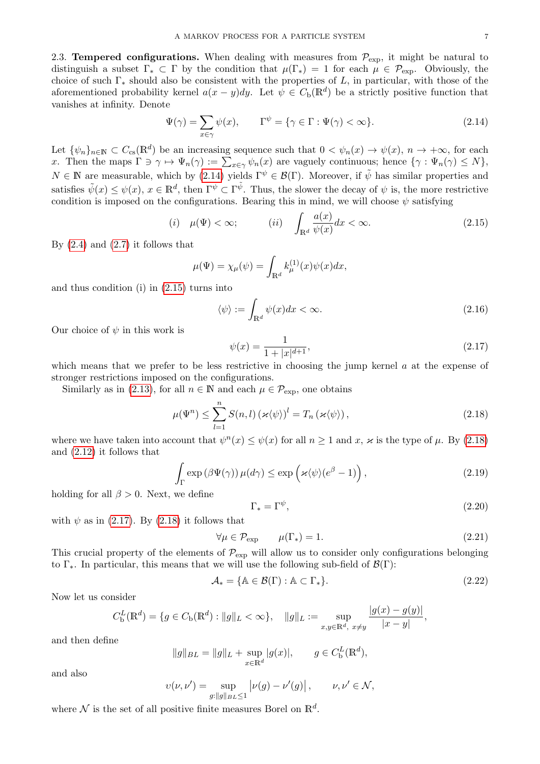<span id="page-6-0"></span>2.3. **Tempered configurations.** When dealing with measures from  $\mathcal{P}_{\text{exp}}$ , it might be natural to distinguish a subset  $\Gamma_* \subset \Gamma$  by the condition that  $\mu(\Gamma_*) = 1$  for each  $\mu \in \mathcal{P}_{\text{exp}}$ . Obviously, the choice of such  $\Gamma_*$  should also be consistent with the properties of L, in particular, with those of the aforementioned probability kernel  $a(x - y)dy$ . Let  $\psi \in C_{\rm b}(\mathbb{R}^d)$  be a strictly positive function that vanishes at infinity. Denote

<span id="page-6-4"></span>
$$
\Psi(\gamma) = \sum_{x \in \gamma} \psi(x), \qquad \Gamma^{\psi} = \{ \gamma \in \Gamma : \Psi(\gamma) < \infty \}. \tag{2.14}
$$

Let  $\{\psi_n\}_{n\in\mathbb{N}}\subset C_{\text{cs}}(\mathbb{R}^d)$  be an increasing sequence such that  $0<\psi_n(x)\to\psi(x), n\to+\infty$ , for each x. Then the maps  $\Gamma \ni \gamma \mapsto \Psi_n(\gamma) := \sum_{x \in \gamma} \psi_n(x)$  are vaguely continuous; hence  $\{\gamma : \Psi_n(\gamma) \leq N\},$  $N \in \mathbb{N}$  are measurable, which by [\(2.14\)](#page-6-4) yields  $\Gamma^{\psi} \in \mathcal{B}(\Gamma)$ . Moreover, if  $\tilde{\psi}$  has similar properties and satisfies  $\tilde{\psi}(x) \leq \psi(x)$ ,  $x \in \mathbb{R}^d$ , then  $\Gamma^{\psi} \subset \Gamma^{\tilde{\psi}}$ . Thus, the slower the decay of  $\psi$  is, the more restrictive condition is imposed on the configurations. Bearing this in mind, we will choose  $\psi$  satisfying

<span id="page-6-5"></span>
$$
(i) \quad \mu(\Psi) < \infty; \qquad (ii) \quad \int_{\mathbb{R}^d} \frac{a(x)}{\psi(x)} dx < \infty. \tag{2.15}
$$

By  $(2.4)$  and  $(2.7)$  it follows that

$$
\mu(\Psi) = \chi_{\mu}(\psi) = \int_{\mathbb{R}^d} k_{\mu}^{(1)}(x)\psi(x)dx,
$$

and thus condition (i) in [\(2.15\)](#page-6-5) turns into

<span id="page-6-3"></span>
$$
\langle \psi \rangle := \int_{\mathbb{R}^d} \psi(x) dx < \infty. \tag{2.16}
$$

Our choice of  $\psi$  in this work is

<span id="page-6-2"></span>
$$
\psi(x) = \frac{1}{1 + |x|^{d+1}},\tag{2.17}
$$

which means that we prefer to be less restrictive in choosing the jump kernel a at the expense of stronger restrictions imposed on the configurations.

Similarly as in [\(2.13\)](#page-5-3), for all  $n \in \mathbb{N}$  and each  $\mu \in \mathcal{P}_{\text{exp}}$ , one obtains

<span id="page-6-6"></span>
$$
\mu(\Psi^n) \le \sum_{l=1}^n S(n,l) \left( \varkappa \langle \psi \rangle \right)^l = T_n \left( \varkappa \langle \psi \rangle \right),\tag{2.18}
$$

where we have taken into account that  $\psi^{n}(x) \leq \psi(x)$  for all  $n \geq 1$  and x,  $\varkappa$  is the type of  $\mu$ . By [\(2.18\)](#page-6-6) and [\(2.12\)](#page-5-4) it follows that

<span id="page-6-9"></span>
$$
\int_{\Gamma} \exp\left(\beta \Psi(\gamma)\right) \mu(d\gamma) \le \exp\left(\varkappa \langle \psi \rangle (e^{\beta} - 1)\right),\tag{2.19}
$$

holding for all  $\beta > 0$ . Next, we define

<span id="page-6-1"></span>
$$
\Gamma_* = \Gamma^\psi,\tag{2.20}
$$

with  $\psi$  as in [\(2.17\)](#page-6-2). By [\(2.18\)](#page-6-6) it follows that

<span id="page-6-8"></span>
$$
\forall \mu \in \mathcal{P}_{\text{exp}} \qquad \mu(\Gamma_*) = 1. \tag{2.21}
$$

This crucial property of the elements of  $\mathcal{P}_{\text{exp}}$  will allow us to consider only configurations belonging to  $\Gamma_*$ . In particular, this means that we will use the following sub-field of  $\mathcal{B}(\Gamma)$ :

<span id="page-6-7"></span>
$$
\mathcal{A}_{*} = \{ \mathbb{A} \in \mathcal{B}(\Gamma) : \mathbb{A} \subset \Gamma_{*} \}. \tag{2.22}
$$

Now let us consider

$$
C_{\rm b}^{L}(\mathbb{R}^{d}) = \{g \in C_{\rm b}(\mathbb{R}^{d}) : ||g||_{L} < \infty\}, \quad ||g||_{L} := \sup_{x,y \in \mathbb{R}^{d}, x \neq y} \frac{|g(x) - g(y)|}{|x - y|},
$$

and then define

$$
||g||_{BL} = ||g||_{L} + \sup_{x \in \mathbb{R}^d} |g(x)|, \qquad g \in C_b^L(\mathbb{R}^d),
$$

and also

$$
v(\nu, \nu') = \sup_{g: \|g\|_{BL} \le 1} |\nu(g) - \nu'(g)|, \qquad \nu, \nu' \in \mathcal{N},
$$

where  $\mathcal N$  is the set of all positive finite measures Borel on  $\mathbb R^d$ .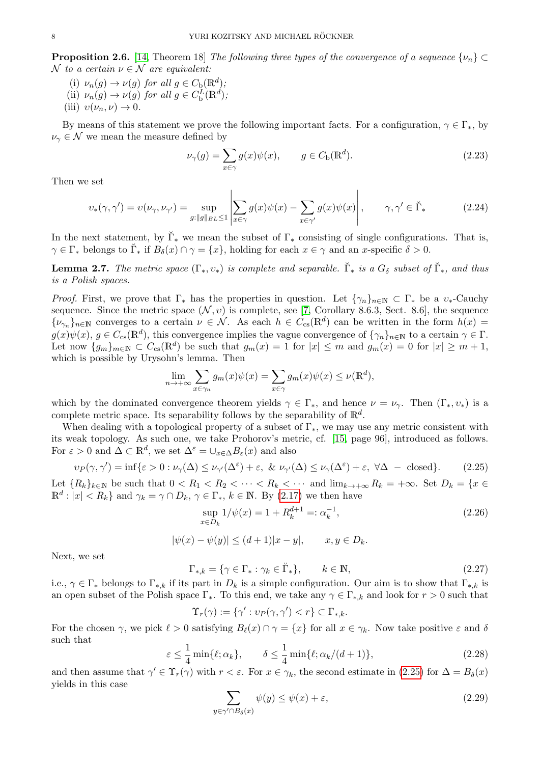**Proposition 2.6.** [\[14,](#page-43-16) Theorem 18] The following three types of the convergence of a sequence  $\{\nu_n\} \subset$ N to a certain  $\nu \in \mathcal{N}$  are equivalent:

- (i)  $\nu_n(g) \to \nu(g)$  for all  $g \in C_{\rm b}(\mathbb{R}^d)$ ;
- (ii)  $\nu_n(g) \to \nu(g)$  for all  $g \in C_{\rm b}^{L}(\mathbb{R}^d)$ ;
- (iii)  $v(\nu_n, \nu) \rightarrow 0$ .

By means of this statement we prove the following important facts. For a configuration,  $\gamma \in \Gamma_*$ , by  $\nu_{\gamma} \in \mathcal{N}$  we mean the measure defined by

<span id="page-7-1"></span>
$$
\nu_{\gamma}(g) = \sum_{x \in \gamma} g(x)\psi(x), \qquad g \in C_{\mathbf{b}}(\mathbb{R}^d). \tag{2.23}
$$

Then we set

<span id="page-7-2"></span>
$$
v_*(\gamma, \gamma') = v(\nu_\gamma, \nu_{\gamma'}) = \sup_{g: \|g\|_{BL} \le 1} \left| \sum_{x \in \gamma} g(x)\psi(x) - \sum_{x \in \gamma'} g(x)\psi(x) \right|, \qquad \gamma, \gamma' \in \breve{\Gamma}_* \tag{2.24}
$$

In the next statement, by  $\check{\Gamma}_{*}$  we mean the subset of  $\Gamma_{*}$  consisting of single configurations. That is,  $\gamma \in \Gamma_*$  belongs to  $\check{\Gamma}_*$  if  $B_\delta(x) \cap \gamma = \{x\}$ , holding for each  $x \in \gamma$  and an x-specific  $\delta > 0$ .

<span id="page-7-0"></span>**Lemma 2.7.** The metric space  $(\Gamma_*, v_*)$  is complete and separable.  $\check{\Gamma}_*$  is a  $G_{\delta}$  subset of  $\check{\Gamma}_*$ , and thus is a Polish spaces.

*Proof.* First, we prove that  $\Gamma_*$  has the properties in question. Let  $\{\gamma_n\}_{n\in\mathbb{N}}\subset \Gamma_*$  be a  $v_*$ -Cauchy sequence. Since the metric space  $(\mathcal{N}, v)$  is complete, see [\[7,](#page-42-7) Corollary 8.6.3, Sect. 8.6], the sequence  $\{\nu_{\gamma_n}\}_{n\in\mathbb{N}}$  converges to a certain  $\nu \in \mathcal{N}$ . As each  $h \in C_{cs}(\mathbb{R}^d)$  can be written in the form  $h(x)$  $g(x)\psi(x), g \in C_{\text{cs}}(\mathbb{R}^d)$ , this convergence implies the vague convergence of  $\{\gamma_n\}_{n\in\mathbb{N}}$  to a certain  $\gamma \in \Gamma$ . Let now  ${g_m}_{m\in\mathbb{N}} \subset C_{\text{cs}}(\mathbb{R}^d)$  be such that  $g_m(x) = 1$  for  $|x| \leq m$  and  $g_m(x) = 0$  for  $|x| \geq m+1$ , which is possible by Urysohn's lemma. Then

$$
\lim_{n \to +\infty} \sum_{x \in \gamma_n} g_m(x)\psi(x) = \sum_{x \in \gamma} g_m(x)\psi(x) \le \nu(\mathbb{R}^d),
$$

which by the dominated convergence theorem yields  $\gamma \in \Gamma_*$ , and hence  $\nu = \nu_\gamma$ . Then  $(\Gamma_*, \nu_*)$  is a complete metric space. Its separability follows by the separability of  $\mathbb{R}^d$ .

When dealing with a topological property of a subset of  $\Gamma_*$ , we may use any metric consistent with its weak topology. As such one, we take Prohorov's metric, cf. [\[15,](#page-43-10) page 96], introduced as follows. For  $\varepsilon > 0$  and  $\Delta \subset \mathbb{R}^d$ , we set  $\Delta^{\varepsilon} = \cup_{x \in \Delta} B_{\varepsilon}(x)$  and also

<span id="page-7-3"></span>
$$
\nu_P(\gamma, \gamma') = \inf \{ \varepsilon > 0 : \nu_\gamma(\Delta) \le \nu_{\gamma'}(\Delta^{\varepsilon}) + \varepsilon, \ \& \ \nu_{\gamma'}(\Delta) \le \nu_{\gamma}(\Delta^{\varepsilon}) + \varepsilon, \ \forall \Delta \ - \text{closed} \}.
$$
 (2.25)

Let  ${R_k}_{k\in\mathbb{N}}$  be such that  $0 < R_1 < R_2 < \cdots < R_k < \cdots$  and  $\lim_{k\to+\infty} R_k = +\infty$ . Set  $D_k = \{x \in$  $\mathbb{R}^d : |x| < R_k$  and  $\gamma_k = \gamma \cap D_k$ ,  $\gamma \in \Gamma_*$ ,  $k \in \mathbb{N}$ . By [\(2.17\)](#page-6-2) we then have

<span id="page-7-5"></span>
$$
\sup_{x \in D_k} 1/\psi(x) = 1 + R_k^{d+1} =: \alpha_k^{-1},\tag{2.26}
$$

$$
|\psi(x) - \psi(y)| \le (d+1)|x - y|, \qquad x, y \in D_k.
$$

Next, we set

<span id="page-7-7"></span>
$$
\Gamma_{*,k} = \{ \gamma \in \Gamma_* : \gamma_k \in \breve{\Gamma}_* \}, \qquad k \in \mathbb{N}, \tag{2.27}
$$

i.e.,  $\gamma \in \Gamma_*$  belongs to  $\Gamma_{*,k}$  if its part in  $D_k$  is a simple configuration. Our aim is to show that  $\Gamma_{*,k}$  is an open subset of the Polish space  $\Gamma_*$ . To this end, we take any  $\gamma \in \Gamma_{*,k}$  and look for  $r > 0$  such that

$$
\Upsilon_r(\gamma) := \{ \gamma' : v_P(\gamma, \gamma') < r \} \subset \Gamma_{*,k}.
$$

For the chosen  $\gamma$ , we pick  $\ell > 0$  satisfying  $B_{\ell}(x) \cap \gamma = \{x\}$  for all  $x \in \gamma_k$ . Now take positive  $\varepsilon$  and  $\delta$ such that

<span id="page-7-4"></span>
$$
\varepsilon \le \frac{1}{4} \min\{\ell; \alpha_k\}, \qquad \delta \le \frac{1}{4} \min\{\ell; \alpha_k/(d+1)\},\tag{2.28}
$$

and then assume that  $\gamma' \in \Upsilon_r(\gamma)$  with  $r < \varepsilon$ . For  $x \in \gamma_k$ , the second estimate in [\(2.25\)](#page-7-3) for  $\Delta = B_\delta(x)$ yields in this case

<span id="page-7-6"></span>
$$
\sum_{y \in \gamma' \cap B_{\delta}(x)} \psi(y) \le \psi(x) + \varepsilon,\tag{2.29}
$$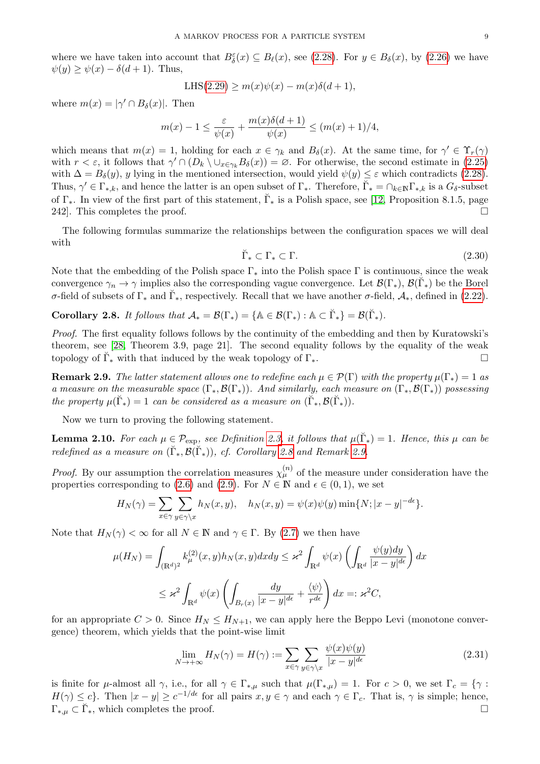where we have taken into account that  $B_{\delta}^{\varepsilon}(x) \subseteq B_{\ell}(x)$ , see [\(2.28\)](#page-7-4). For  $y \in B_{\delta}(x)$ , by [\(2.26\)](#page-7-5) we have  $\psi(y) \geq \psi(x) - \delta(d+1)$ . Thus,

$$
LHS(2.29) \ge m(x)\psi(x) - m(x)\delta(d+1),
$$

where  $m(x) = |\gamma' \cap B_\delta(x)|$ . Then

$$
m(x) - 1 \le \frac{\varepsilon}{\psi(x)} + \frac{m(x)\delta(d+1)}{\psi(x)} \le (m(x) + 1)/4,
$$

which means that  $m(x) = 1$ , holding for each  $x \in \gamma_k$  and  $B_\delta(x)$ . At the same time, for  $\gamma' \in \Upsilon_r(\gamma)$ with  $r < \varepsilon$ , it follows that  $\gamma' \cap (D_k \setminus \cup_{x \in \gamma_k} B_\delta(x)) = \varnothing$ . For otherwise, the second estimate in [\(2.25\)](#page-7-3) with  $\Delta = B_{\delta}(y)$ , y lying in the mentioned intersection, would yield  $\psi(y) \leq \varepsilon$  which contradicts [\(2.28\)](#page-7-4). Thus,  $\gamma' \in \Gamma_{*,k}$ , and hence the latter is an open subset of  $\Gamma_{*}$ . Therefore,  $\check{\Gamma}_{*} = \cap_{k \in \mathbb{N}} \Gamma_{*,k}$  is a  $G_{\delta}$ -subset of  $\Gamma_*$ . In view of the first part of this statement,  $\check{\Gamma}_*$  is a Polish space, see [\[12,](#page-43-13) Proposition 8.1.5, page 242. This completes the proof.  $\square$ 

The following formulas summarize the relationships between the configuration spaces we will deal with

<span id="page-8-0"></span>
$$
\breve{\Gamma}_* \subset \Gamma_* \subset \Gamma. \tag{2.30}
$$

Note that the embedding of the Polish space  $\Gamma_*$  into the Polish space  $\Gamma$  is continuous, since the weak convergence  $\gamma_n \to \gamma$  implies also the corresponding vague convergence. Let  $\mathcal{B}(\Gamma_\ast), \mathcal{B}(\check{\Gamma}_\ast)$  be the Borel σ-field of subsets of  $\Gamma_*$  and  $\breve{\Gamma}_*$ , respectively. Recall that we have another σ-field,  $\mathcal{A}_*$ , defined in [\(2.22\)](#page-6-7).

<span id="page-8-2"></span>**Corollary 2.8.** It follows that  $\mathcal{A}_* = \mathcal{B}(\Gamma_*) = {\mathbb{A} \in \mathcal{B}(\Gamma_*) : \mathbb{A} \subset \breve{\Gamma}_* } = \mathcal{B}(\breve{\Gamma}_*)$ .

Proof. The first equality follows follows by the continuity of the embedding and then by Kuratowski's theorem, see [\[28,](#page-43-17) Theorem 3.9, page 21]. The second equality follows by the equality of the weak topology of  $\check{\Gamma}_*$  with that induced by the weak topology of  $\Gamma_*$ .

<span id="page-8-3"></span>**Remark 2.9.** The latter statement allows one to redefine each  $\mu \in \mathcal{P}(\Gamma)$  with the property  $\mu(\Gamma_*) = 1$  as a measure on the measurable space  $(\Gamma_*, \mathcal{B}(\Gamma_*))$ . And similarly, each measure on  $(\Gamma_*, \mathcal{B}(\Gamma_*))$  possessing the property  $\mu(\breve{\Gamma}_*) = 1$  can be considered as a measure on  $(\breve{\Gamma}_*, \mathcal{B}(\breve{\Gamma}_*)$ .

Now we turn to proving the following statement.

<span id="page-8-1"></span>**Lemma 2.10.** For each  $\mu \in \mathcal{P}_{exp}$ , see Definition [2.3,](#page-4-2) it follows that  $\mu(\breve{\Gamma}_*) = 1$ . Hence, this  $\mu$  can be redefined as a measure on  $(\breve{\Gamma}_*, \mathcal{B}(\breve{\Gamma}_*))$ , cf. Corollary [2.8](#page-8-2) and Remark [2.9.](#page-8-3)

*Proof.* By our assumption the correlation measures  $\chi_{\mu}^{(n)}$  of the measure under consideration have the properties corresponding to [\(2.6\)](#page-4-10) and [\(2.9\)](#page-5-0). For  $N \in \mathbb{N}$  and  $\epsilon \in (0, 1)$ , we set

$$
H_N(\gamma) = \sum_{x \in \gamma} \sum_{y \in \gamma \setminus x} h_N(x, y), \quad h_N(x, y) = \psi(x)\psi(y) \min\{N; |x - y|^{-d\epsilon}\}.
$$

Note that  $H_N(\gamma) < \infty$  for all  $N \in \mathbb{N}$  and  $\gamma \in \Gamma$ . By [\(2.7\)](#page-4-3) we then have

$$
\mu(H_N) = \int_{(\mathbb{R}^d)^2} k_{\mu}^{(2)}(x, y) h_N(x, y) dx dy \leq \varkappa^2 \int_{\mathbb{R}^d} \psi(x) \left( \int_{\mathbb{R}^d} \frac{\psi(y) dy}{|x - y|^{d\epsilon}} \right) dx
$$
  

$$
\leq \varkappa^2 \int_{\mathbb{R}^d} \psi(x) \left( \int_{B_r(x)} \frac{dy}{|x - y|^{d\epsilon}} + \frac{\langle \psi \rangle}{r^{d\epsilon}} \right) dx =: \varkappa^2 C,
$$

for an appropriate  $C > 0$ . Since  $H_N \leq H_{N+1}$ , we can apply here the Beppo Levi (monotone convergence) theorem, which yields that the point-wise limit

<span id="page-8-4"></span>
$$
\lim_{N \to +\infty} H_N(\gamma) = H(\gamma) := \sum_{x \in \gamma} \sum_{y \in \gamma \backslash x} \frac{\psi(x)\psi(y)}{|x - y|^{d\epsilon}} \tag{2.31}
$$

is finite for  $\mu$ -almost all  $\gamma$ , i.e., for all  $\gamma \in \Gamma_{*,\mu}$  such that  $\mu(\Gamma_{*,\mu}) = 1$ . For  $c > 0$ , we set  $\Gamma_c = {\gamma : \Gamma_{\mu}$  $H(\gamma) \leq c$ . Then  $|x - y| \geq c^{-1/d\epsilon}$  for all pairs  $x, y \in \gamma$  and each  $\gamma \in \Gamma_c$ . That is,  $\gamma$  is simple; hence,  $\Gamma_{*,\mu} \subset \breve{\Gamma}_*,$  which completes the proof.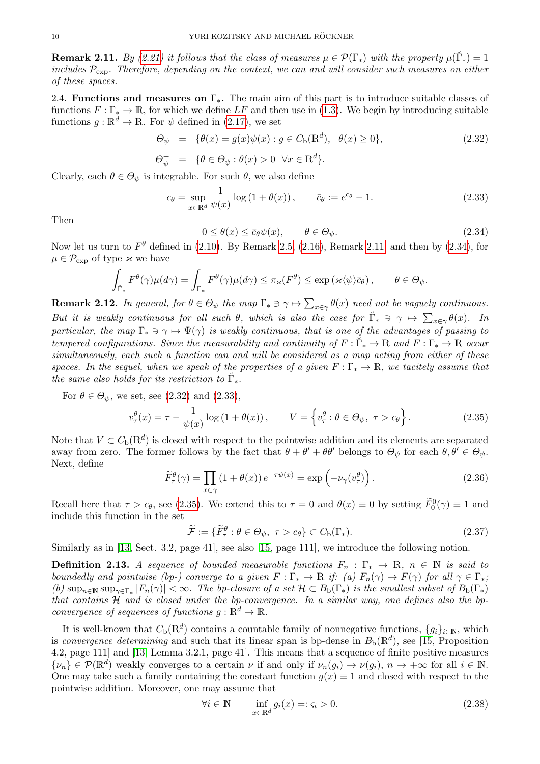<span id="page-9-2"></span>**Remark 2.11.** By [\(2.21\)](#page-6-8) it follows that the class of measures  $\mu \in \mathcal{P}(\Gamma_*)$  with the property  $\mu(\breve{\Gamma}_*) = 1$ includes  $P_{\text{exp}}$ . Therefore, depending on the context, we can and will consider such measures on either of these spaces.

<span id="page-9-0"></span>2.4. Functions and measures on  $\Gamma_*$ . The main aim of this part is to introduce suitable classes of functions  $F : \Gamma_* \to \mathbb{R}$ , for which we define LF and then use in [\(1.3\)](#page-2-2). We begin by introducing suitable functions  $g : \mathbb{R}^d \to \mathbb{R}$ . For  $\psi$  defined in [\(2.17\)](#page-6-2), we set

<span id="page-9-4"></span>
$$
\Theta_{\psi} = \{\theta(x) = g(x)\psi(x) : g \in C_{\mathbf{b}}(\mathbb{R}^{d}), \ \theta(x) \ge 0\},\tag{2.32}
$$

$$
\Theta_{\psi}^{+} = \{ \theta \in \Theta_{\psi} : \theta(x) > 0 \quad \forall x \in \mathbb{R}^{d} \}.
$$

Clearly, each  $\theta \in \Theta_{\psi}$  is integrable. For such  $\theta$ , we also define

<span id="page-9-5"></span>
$$
c_{\theta} = \sup_{x \in \mathbb{R}^d} \frac{1}{\psi(x)} \log \left( 1 + \theta(x) \right), \qquad \bar{c}_{\theta} := e^{c_{\theta}} - 1. \tag{2.33}
$$

Then

<span id="page-9-3"></span>
$$
0 \le \theta(x) \le \bar{c}_{\theta}\psi(x), \qquad \theta \in \Theta_{\psi}.
$$
\n(2.34)

Now let us turn to  $F^{\theta}$  defined in [\(2.10\)](#page-5-5). By Remark [2.5,](#page-5-2) [\(2.16\)](#page-6-3), Remark [2.11,](#page-9-2) and then by [\(2.34\)](#page-9-3), for  $\mu \in \mathcal{P}_{\text{exp}}$  of type  $\varkappa$  we have

$$
\int_{\check{\Gamma}_{*}} F^{\theta}(\gamma) \mu(d\gamma) = \int_{\Gamma_{*}} F^{\theta}(\gamma) \mu(d\gamma) \leq \pi_{\varkappa}(F^{\theta}) \leq \exp\left(\varkappa \langle \psi \rangle \bar{c}_{\theta}\right), \qquad \theta \in \Theta_{\psi}.
$$

**Remark 2.12.** In general, for  $\theta \in \Theta_{\psi}$  the map  $\Gamma_* \ni \gamma \mapsto \sum_{x \in \gamma} \theta(x)$  need not be vaguely continuous. But it is weakly continuous for all such  $\theta$ , which is also the case for  $\check{\Gamma}_* \ni \gamma \mapsto \sum_{x \in \gamma} \theta(x)$ . In particular, the map  $\Gamma_* \ni \gamma \mapsto \Psi(\gamma)$  is weakly continuous, that is one of the advantages of passing to tempered configurations. Since the measurability and continuity of  $F: \check{\Gamma}_* \to \mathbb{R}$  and  $F: \Gamma_* \to \mathbb{R}$  occur simultaneously, each such a function can and will be considered as a map acting from either of these spaces. In the sequel, when we speak of the properties of a given  $F : \Gamma_* \to \mathbb{R}$ , we tacitely assume that the same also holds for its restriction to  $\breve{\Gamma}_*.$ 

For  $\theta \in \Theta_{\psi}$ , we set, see [\(2.32\)](#page-9-4) and [\(2.33\)](#page-9-5),

<span id="page-9-6"></span>
$$
v_{\tau}^{\theta}(x) = \tau - \frac{1}{\psi(x)} \log \left( 1 + \theta(x) \right), \qquad V = \left\{ v_{\tau}^{\theta} : \theta \in \Theta_{\psi}, \ \tau > c_{\theta} \right\}.
$$
 (2.35)

Note that  $V \subset C_{\rm b}(\mathbb{R}^d)$  is closed with respect to the pointwise addition and its elements are separated away from zero. The former follows by the fact that  $\theta + \theta' + \theta \theta'$  belongs to  $\Theta_{\psi}$  for each  $\theta, \theta' \in \Theta_{\psi}$ . Next, define

<span id="page-9-1"></span>
$$
\widetilde{F}_{\tau}^{\theta}(\gamma) = \prod_{x \in \gamma} (1 + \theta(x)) e^{-\tau \psi(x)} = \exp\left(-\nu_{\gamma}(v_{\tau}^{\theta})\right). \tag{2.36}
$$

Recall here that  $\tau > c_{\theta}$ , see [\(2.35\)](#page-9-6). We extend this to  $\tau = 0$  and  $\theta(x) \equiv 0$  by setting  $\widetilde{F}_0^0(\gamma) \equiv 1$  and include this function in the set

<span id="page-9-8"></span>
$$
\widetilde{\mathcal{F}} := \{ \widetilde{F}_{\tau}^{\theta} : \theta \in \Theta_{\psi}, \ \tau > c_{\theta} \} \subset C_{\text{b}}(\Gamma_{*}). \tag{2.37}
$$

Similarly as in [\[13,](#page-43-9) Sect. 3.2, page 41], see also [\[15,](#page-43-10) page 111], we introduce the following notion.

**Definition 2.13.** A sequence of bounded measurable functions  $F_n : \Gamma_* \to \mathbb{R}$ ,  $n \in \mathbb{N}$  is said to boundedly and pointwise (bp-) converge to a given  $F : \Gamma_* \to \mathbb{R}$  if: (a)  $F_n(\gamma) \to F(\gamma)$  for all  $\gamma \in \Gamma_*$ ; (b)  $\sup_{n\in\mathbb{N}} \sup_{\gamma\in\Gamma_*} |F_n(\gamma)| < \infty$ . The bp-closure of a set  $\mathcal{H} \subset B_{\rm b}(\Gamma_*)$  is the smallest subset of  $B_{\rm b}(\Gamma_*)$ that contains  $H$  and is closed under the bp-convergence. In a similar way, one defines also the bpconvergence of sequences of functions  $g : \mathbb{R}^d \to \mathbb{R}$ .

It is well-known that  $C_{\rm b}(\mathbb{R}^d)$  contains a countable family of nonnegative functions,  $\{g_i\}_{i\in\mathbb{N}}$ , which is convergence determining and such that its linear span is bp-dense in  $B_{\text{b}}(\mathbb{R}^d)$ , see [\[15,](#page-43-10) Proposition 4.2, page 111] and [\[13,](#page-43-9) Lemma 3.2.1, page 41]. This means that a sequence of finite positive measures  $\{\nu_n\} \in \mathcal{P}(\mathbb{R}^d)$  weakly converges to a certain  $\nu$  if and only if  $\nu_n(g_i) \to \nu(g_i)$ ,  $n \to +\infty$  for all  $i \in \mathbb{N}$ . One may take such a family containing the constant function  $g(x) \equiv 1$  and closed with respect to the pointwise addition. Moreover, one may assume that

<span id="page-9-7"></span>
$$
\forall i \in \mathbb{N} \qquad \inf_{x \in \mathbb{R}^d} g_i(x) =: \varsigma_i > 0. \tag{2.38}
$$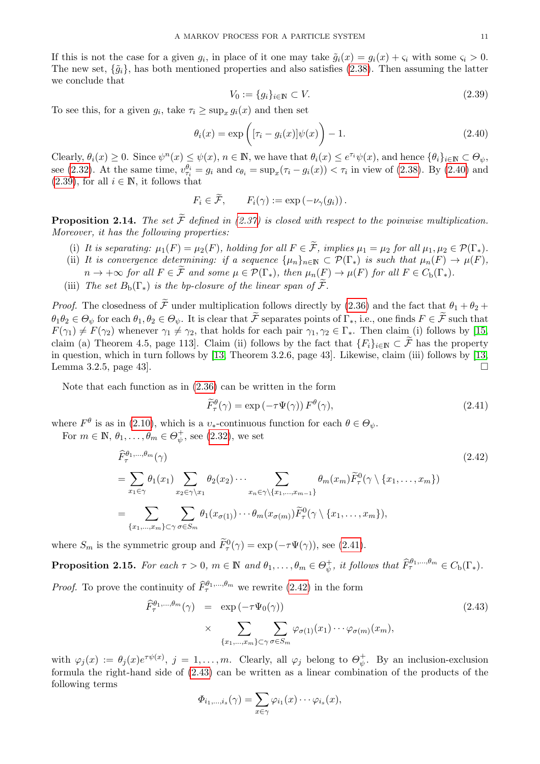If this is not the case for a given  $g_i$ , in place of it one may take  $\tilde{g}_i(x) = g_i(x) + \varsigma_i$  with some  $\varsigma_i > 0$ . The new set,  $\{\tilde{g}_i\}$ , has both mentioned properties and also satisfies [\(2.38\)](#page-9-7). Then assuming the latter we conclude that

<span id="page-10-2"></span>
$$
V_0 := \{g_i\}_{i \in \mathbb{N}} \subset V. \tag{2.39}
$$

To see this, for a given  $g_i$ , take  $\tau_i \ge \sup_x g_i(x)$  and then set

<span id="page-10-1"></span>
$$
\theta_i(x) = \exp\left([\tau_i - g_i(x)]\psi(x)\right) - 1.
$$
\n(2.40)

Clearly,  $\theta_i(x) \geq 0$ . Since  $\psi^n(x) \leq \psi(x)$ ,  $n \in \mathbb{N}$ , we have that  $\theta_i(x) \leq e^{\tau_i} \psi(x)$ , and hence  $\{\theta_i\}_{i \in \mathbb{N}} \subset \Theta_{\psi}$ , see [\(2.32\)](#page-9-4). At the same time,  $v_{\tau_i}^{\theta_i} = g_i$  and  $c_{\theta_i} = \sup_x(\tau_i - g_i(x)) < \tau_i$  in view of [\(2.38\)](#page-9-7). By [\(2.40\)](#page-10-1) and  $(2.39)$ , for all  $i \in \mathbb{N}$ , it follows that

$$
F_i \in \mathcal{F}, \qquad F_i(\gamma) := \exp(-\nu_\gamma(g_i))\,.
$$

<span id="page-10-6"></span>**Proposition 2.14.** The set  $\widetilde{\mathcal{F}}$  defined in [\(2.37\)](#page-9-8) is closed with respect to the poinwise multiplication. Moreover, it has the following properties:

- (i) It is separating:  $\mu_1(F) = \mu_2(F)$ , holding for all  $F \in \widetilde{\mathcal{F}}$ , implies  $\mu_1 = \mu_2$  for all  $\mu_1, \mu_2 \in \mathcal{P}(\Gamma_*)$ .
- (ii) It is convergence determining: if a sequence  $\{\mu_n\}_{n\in\mathbb{N}} \subset \mathcal{P}(\Gamma_*)$  is such that  $\mu_n(F) \to \mu(F)$ ,  $n \to +\infty$  for all  $F \in \tilde{\mathcal{F}}$  and some  $\mu \in \mathcal{P}(\Gamma_*)$ , then  $\mu_n(F) \to \mu(F)$  for all  $F \in C_{\rm b}(\Gamma_*)$ .
- (iii) The set  $B_b(\Gamma_*)$  is the bp-closure of the linear span of  $\widetilde{\mathcal{F}}$ .

*Proof.* The closedness of  $\tilde{\mathcal{F}}$  under multiplication follows directly by [\(2.36\)](#page-9-1) and the fact that  $\theta_1 + \theta_2 + \theta_3$  $\theta_1 \theta_2 \in \Theta_{\psi}$  for each  $\theta_1, \theta_2 \in \Theta_{\psi}$ . It is clear that  $\widetilde{\mathcal{F}}$  separates points of  $\Gamma_*,$  i.e., one finds  $F \in \widetilde{\mathcal{F}}$  such that  $F(\gamma_1) \neq F(\gamma_2)$  whenever  $\gamma_1 \neq \gamma_2$ , that holds for each pair  $\gamma_1, \gamma_2 \in \Gamma_*$ . Then claim (i) follows by [\[15,](#page-43-10) claim (a) Theorem 4.5, page 113]. Claim (ii) follows by the fact that  ${F_i}_{i\in\mathbb{N}}\subset\widetilde{\mathcal{F}}$  has the property in question, which in turn follows by [\[13,](#page-43-9) Theorem 3.2.6, page 43]. Likewise, claim (iii) follows by [\[13,](#page-43-9) Lemma 3.2.5, page 43.

Note that each function as in [\(2.36\)](#page-9-1) can be written in the form

<span id="page-10-3"></span>
$$
\widetilde{F}_{\tau}^{\theta}(\gamma) = \exp\left(-\tau \Psi(\gamma)\right) F^{\theta}(\gamma),\tag{2.41}
$$

where  $F^{\theta}$  is as in [\(2.10\)](#page-5-5), which is a  $v_*$ -continuous function for each  $\theta \in \Theta_{\psi}$ .

For  $m \in \mathbb{N}$ ,  $\theta_1, \ldots, \theta_m \in \Theta_{\psi}^+$  $_{\psi}^{+}$ , see [\(2.32\)](#page-9-4), we set

<span id="page-10-0"></span>
$$
\widehat{F}_{\tau}^{\theta_{1},\dots,\theta_{m}}(\gamma)
$$
\n
$$
= \sum_{x_{1}\in\gamma} \theta_{1}(x_{1}) \sum_{x_{2}\in\gamma\backslash x_{1}} \theta_{2}(x_{2}) \cdots \sum_{x_{n}\in\gamma\backslash\{x_{1},\dots,x_{m-1}\}} \theta_{m}(x_{m}) \widetilde{F}_{\tau}^{0}(\gamma \setminus \{x_{1},\dots,x_{m}\})
$$
\n
$$
= \sum_{\{x_{1},\dots,x_{m}\}\subset\gamma} \sum_{\sigma\in S_{m}} \theta_{1}(x_{\sigma(1)}) \cdots \theta_{m}(x_{\sigma(m)}) \widetilde{F}_{\tau}^{0}(\gamma \setminus \{x_{1},\dots,x_{m}\}),
$$
\n(2.42)

where  $S_m$  is the symmetric group and  $\widetilde{F}^0_\tau(\gamma) = \exp(-\tau \Psi(\gamma))$ , see [\(2.41\)](#page-10-3).

<span id="page-10-5"></span>**Proposition 2.15.** For each  $\tau > 0$ ,  $m \in \mathbb{N}$  and  $\theta_1, \ldots, \theta_m \in \Theta_{\psi}^+$  $\psi^+,$  it follows that  $\widehat{F}^{\theta_1,\dots,\theta_m}_{\tau} \in C_{\text{b}}(\Gamma_*).$ 

*Proof.* To prove the continuity of  $\widehat{F}_{\tau}^{\theta_1,\dots,\theta_m}$  we rewrite [\(2.42\)](#page-10-0) in the form

<span id="page-10-4"></span>
$$
\widehat{F}_{\tau}^{\theta_1,\ldots,\theta_m}(\gamma) = \exp(-\tau \Psi_0(\gamma)) \tag{2.43}
$$
\n
$$
\times \sum_{\{x_1,\ldots,x_m\} \subset \gamma} \sum_{\sigma \in S_m} \varphi_{\sigma(1)}(x_1) \cdots \varphi_{\sigma(m)}(x_m),
$$

with  $\varphi_j(x) := \theta_j(x) e^{\tau \psi(x)}, \ j = 1, \ldots, m$ . Clearly, all  $\varphi_j$  belong to  $\Theta_{\psi}^+$  $\psi^+$ . By an inclusion-exclusion formula the right-hand side of [\(2.43\)](#page-10-4) can be written as a linear combination of the products of the following terms

$$
\Phi_{i_1,\ldots,i_s}(\gamma) = \sum_{x \in \gamma} \varphi_{i_1}(x) \cdots \varphi_{i_s}(x),
$$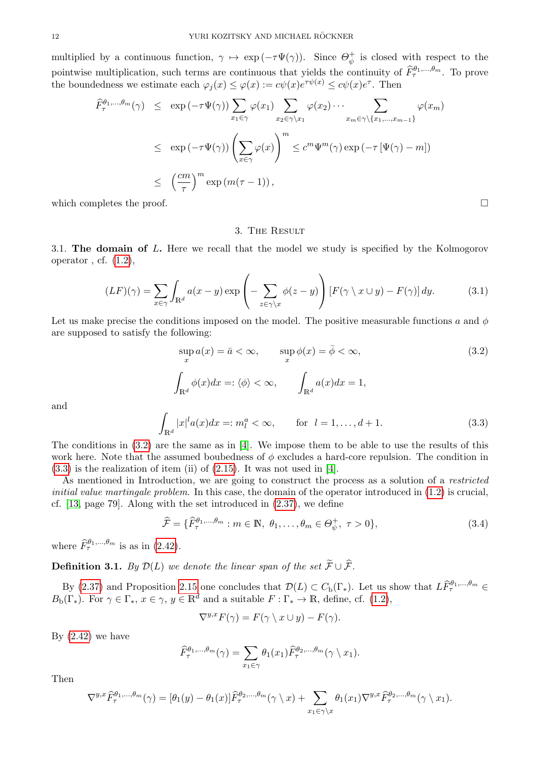multiplied by a continuous function,  $\gamma \mapsto \exp(-\tau \Psi(\gamma))$ . Since  $\Theta_{\psi}^+$  $\psi^+$  is closed with respect to the pointwise multiplication, such terms are continuous that yields the continuity of  $\widehat{F}_{\tau}^{\theta_1,\dots,\theta_m}$ . To prove the boundedness we estimate each  $\varphi_j(x) \leq \varphi(x) := c\psi(x)e^{\tau \psi(x)} \leq c\psi(x)e^{\tau}$ . Then

$$
\widehat{F}_{\tau}^{\theta_{1},\dots,\theta_{m}}(\gamma) \leq \exp(-\tau \Psi(\gamma)) \sum_{x_{1} \in \gamma} \varphi(x_{1}) \sum_{x_{2} \in \gamma \setminus x_{1}} \varphi(x_{2}) \cdots \sum_{x_{m} \in \gamma \setminus \{x_{1},\dots,x_{m-1}\}} \varphi(x_{m})
$$
\n
$$
\leq \exp(-\tau \Psi(\gamma)) \left(\sum_{x \in \gamma} \varphi(x)\right)^{m} \leq c^{m} \Psi^{m}(\gamma) \exp(-\tau \left[\Psi(\gamma) - m\right])
$$
\n
$$
\leq \left(\frac{cm}{\tau}\right)^{m} \exp(m(\tau - 1)),
$$

which completes the proof.  $\Box$ 

#### 3. The Result

<span id="page-11-1"></span><span id="page-11-0"></span>3.1. The domain of L. Here we recall that the model we study is specified by the Kolmogorov operator, cf.  $(1.2)$ ,

<span id="page-11-2"></span>
$$
(LF)(\gamma) = \sum_{x \in \gamma} \int_{\mathbb{R}^d} a(x - y) \exp\left(-\sum_{z \in \gamma \backslash x} \phi(z - y)\right) \left[F(\gamma \backslash x \cup y) - F(\gamma)\right] dy. \tag{3.1}
$$

Let us make precise the conditions imposed on the model. The positive measurable functions a and  $\phi$ are supposed to satisfy the following:

$$
\sup_{x} a(x) = \bar{a} < \infty, \qquad \sup_{x} \phi(x) = \bar{\phi} < \infty,
$$
\n
$$
\int_{\mathbb{R}^d} \phi(x) dx =: \langle \phi \rangle < \infty, \qquad \int_{\mathbb{R}^d} a(x) dx = 1,
$$
\n
$$
\int_{\mathbb{R}^d} |a(x)| dx =: \sup_{x \to a} a(x) \quad \text{for } a = 1, \qquad \int_{\mathbb{R}^d} |a(x)| dx =: \sup_{x \to a} a(x) \quad \text{for } a = 1, \qquad \int_{\mathbb{R}^d} |a(x)| dx =: \sup_{x \to a} a(x) \quad \text{for } a = 1, \qquad \int_{\mathbb{R}^d} |a(x)| dx =: \sup_{x \to a} a(x) \quad \text{for } a = 1, \qquad \int_{\mathbb{R}^d} |a(x)| dx =: \sup_{x \to a} a(x) \quad \text{for } a = 1, \qquad \int_{\mathbb{R}^d} |a(x)| dx =: \sup_{x \to a} a(x) \quad \text{for } a = 1, \qquad \int_{\mathbb{R}^d} |a(x)| dx =: \sup_{x \to a} a(x) \quad \text{for } a = 1, \qquad \int_{\mathbb{R}^d} |a(x)| dx =: \sup_{x \to a} a(x) \quad \text{for } a = 1, \qquad \int_{\mathbb{R}^d} |a(x)| dx =: \sup_{x \to a} a(x) \quad \text{for } a = 1, \qquad \int_{\mathbb{R}^d} |a(x)| dx =: \sup_{x \to a} a(x) \quad \text{for } a = 1, \qquad \int_{\mathbb{R}^d} |a(x)| dx =: \sup_{x \to a} a(x) \quad \text{for } a = 1, \qquad \int_{\mathbb{R}^d} |a(x)| dx =: \sup_{x \to a} a(x) \quad \text{for } a = 1, \qquad \int_{\mathbb{R}^d} |a(x)| dx =: \sup_{x \to a} a(x) \quad \text{for } a = 1, \qquad \int_{\mathbb{R}^d} |a(x)| dx =: \sup_{x \to a} a(x) \quad \text{for } a = 1, \qquad \int_{\mathbb{R}^d} |
$$

and

<span id="page-11-4"></span>
$$
\int_{\mathbb{R}^d} |x|^l a(x) dx =: m_l^a < \infty, \qquad \text{for} \ \ l = 1, \dots, d+1.
$$
 (3.3)

The conditions in  $(3.2)$  are the same as in [\[4\]](#page-42-1). We impose them to be able to use the results of this work here. Note that the assumed boubedness of  $\phi$  excludes a hard-core repulsion. The condition in  $(3.3)$  is the realization of item (ii) of  $(2.15)$ . It was not used in [\[4\]](#page-42-1).

As mentioned in Introduction, we are going to construct the process as a solution of a *restricted* initial value martingale problem. In this case, the domain of the operator introduced in  $(1.2)$  is crucial, cf. [\[13,](#page-43-9) page 79]. Along with the set introduced in [\(2.37\)](#page-9-8), we define

$$
\widehat{\mathcal{F}} = \{\widehat{F}_{\tau}^{\theta_1,\dots,\theta_m} : m \in \mathbb{N}, \ \theta_1,\dots,\theta_m \in \Theta_{\psi}^+, \ \tau > 0\},\tag{3.4}
$$

where  $\widehat{F}_{\tau}^{\theta_1,\dots,\theta_m}$  is as in [\(2.42\)](#page-10-0).

<span id="page-11-5"></span>**Definition 3.1.** By  $\mathcal{D}(L)$  we denote the linear span of the set  $\widetilde{\mathcal{F}} \cup \widehat{\mathcal{F}}$ .

By [\(2.37\)](#page-9-8) and Proposition [2.15](#page-10-5) one concludes that  $\mathcal{D}(L) \subset C_b(\Gamma_*)$ . Let us show that  $L\widehat{F}_{\tau}^{\theta_1,\dots,\theta_m} \in$  $B_{\rm b}(\Gamma_*)$ . For  $\gamma \in \Gamma_*, x \in \gamma, y \in \mathbb{R}^d$  and a suitable  $F : \Gamma_* \to \mathbb{R}$ , define, cf. [\(1.2\)](#page-1-1),

<span id="page-11-6"></span>
$$
\nabla^{y,x} F(\gamma) = F(\gamma \setminus x \cup y) - F(\gamma).
$$

By  $(2.42)$  we have

$$
\widehat{F}_{\tau}^{\theta_1,\ldots,\theta_m}(\gamma) = \sum_{x_1 \in \gamma} \theta_1(x_1) \widehat{F}_{\tau}^{\theta_2,\ldots,\theta_m}(\gamma \setminus x_1).
$$

Then

$$
\nabla^{y,x}\widehat{F}_{\tau}^{\theta_1,\ldots,\theta_m}(\gamma) = [\theta_1(y) - \theta_1(x)]\widehat{F}_{\tau}^{\theta_2,\ldots,\theta_m}(\gamma \setminus x) + \sum_{x_1 \in \gamma \setminus x} \theta_1(x_1) \nabla^{y,x}\widehat{F}_{\tau}^{\theta_2,\ldots,\theta_m}(\gamma \setminus x_1).
$$

<span id="page-11-3"></span>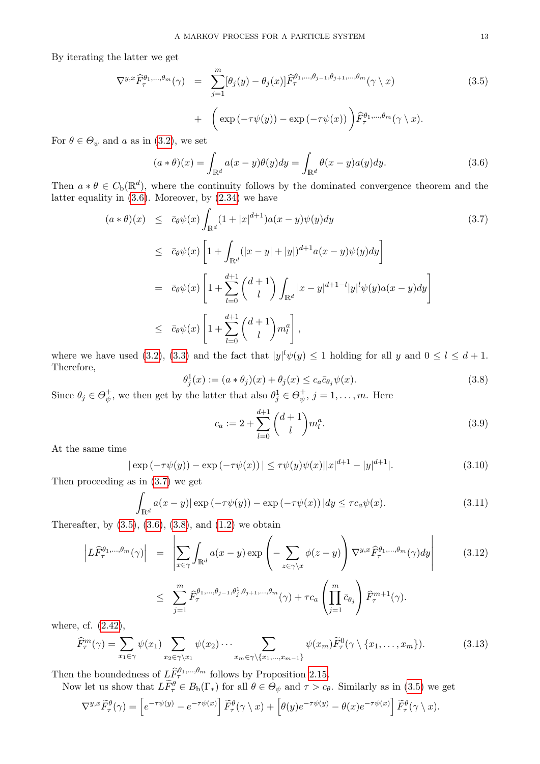By iterating the latter we get

<span id="page-12-2"></span>
$$
\nabla^{y,x} \widehat{F}_{\tau}^{\theta_1,\dots,\theta_m}(\gamma) = \sum_{j=1}^m [\theta_j(y) - \theta_j(x)] \widehat{F}_{\tau}^{\theta_1,\dots,\theta_{j-1},\theta_{j+1},\dots,\theta_m}(\gamma \setminus x) + \left( \exp(-\tau \psi(y)) - \exp(-\tau \psi(x)) \right) \widehat{F}_{\tau}^{\theta_1,\dots,\theta_m}(\gamma \setminus x).
$$
 (3.5)

For  $\theta \in \Theta_{\psi}$  and a as in [\(3.2\)](#page-11-3), we set

<span id="page-12-0"></span>
$$
(a * \theta)(x) = \int_{\mathbb{R}^d} a(x - y)\theta(y)dy = \int_{\mathbb{R}^d} \theta(x - y)a(y)dy.
$$
 (3.6)

Then  $a * \theta \in C_{\rm b}(\mathbb{R}^d)$ , where the continuity follows by the dominated convergence theorem and the latter equality in  $(3.6)$ . Moreover, by  $(2.34)$  we have

<span id="page-12-1"></span>
$$
(a * \theta)(x) \leq \bar{c}_{\theta}\psi(x)\int_{\mathbb{R}^{d}}(1+|x|^{d+1})a(x-y)\psi(y)dy
$$
\n
$$
\leq \bar{c}_{\theta}\psi(x)\left[1+\int_{\mathbb{R}^{d}}(|x-y|+|y|)^{d+1}a(x-y)\psi(y)dy\right]
$$
\n
$$
= \bar{c}_{\theta}\psi(x)\left[1+\sum_{l=0}^{d+1} {d+1 \choose l}\int_{\mathbb{R}^{d}}|x-y|^{d+1-l}|y|^{l}\psi(y)a(x-y)dy\right]
$$
\n
$$
\leq \bar{c}_{\theta}\psi(x)\left[1+\sum_{l=0}^{d+1} {d+1 \choose l}m_{l}^{a}\right],
$$
\n1. (2.2) (2.2) (2.3)

where we have used [\(3.2\)](#page-11-3), [\(3.3\)](#page-11-4) and the fact that  $|y|^l \psi(y) \leq 1$  holding for all y and  $0 \leq l \leq d+1$ . Therefore,

<span id="page-12-3"></span>
$$
\theta_j^1(x) := (a * \theta_j)(x) + \theta_j(x) \le c_a \bar{c}_{\theta_j} \psi(x). \tag{3.8}
$$

Since  $\theta_j \in \Theta_{\psi}^+$  $\psi^+_{\psi}$ , we then get by the latter that also  $\theta_j^1 \in \Theta_{\psi}^+$  $\psi^+_{\psi}, j=1,\ldots,m.$  Here

<span id="page-12-4"></span>
$$
c_a := 2 + \sum_{l=0}^{d+1} \binom{d+1}{l} m_l^a.
$$
\n(3.9)

At the same time

<span id="page-12-5"></span>
$$
|\exp(-\tau\psi(y)) - \exp(-\tau\psi(x))| \le \tau\psi(y)\psi(x)||x|^{d+1} - |y|^{d+1}|.
$$
\n(3.10)

Then proceeding as in [\(3.7\)](#page-12-1) we get

<span id="page-12-6"></span>
$$
\int_{\mathbb{R}^d} a(x - y) |\exp(-\tau \psi(y)) - \exp(-\tau \psi(x))| dy \le \tau c_a \psi(x).
$$
\n(3.11)

Thereafter, by  $(3.5)$ ,  $(3.6)$ ,  $(3.8)$ , and  $(1.2)$  we obtain

<span id="page-12-8"></span>
$$
\left| L\widehat{F}_{\tau}^{\theta_{1},\dots,\theta_{m}}(\gamma) \right| = \left| \sum_{x \in \gamma} \int_{\mathbb{R}^{d}} a(x - y) \exp \left( - \sum_{z \in \gamma \backslash x} \phi(z - y) \right) \nabla^{y,x} \widehat{F}_{\tau}^{\theta_{1},\dots,\theta_{m}}(\gamma) dy \right| \tag{3.12}
$$

$$
\leq \sum_{j=1}^m \widehat{F}_{\tau}^{\theta_1,\dots,\theta_{j-1},\theta_j^1,\theta_{j+1},\dots,\theta_m}(\gamma) + \tau c_a \left(\prod_{j=1}^m \bar{c}_{\theta_j}\right) \widehat{F}_{\tau}^{m+1}(\gamma).
$$

where, cf. [\(2.42\)](#page-10-0),

<span id="page-12-7"></span>
$$
\widehat{F}_{\tau}^{m}(\gamma) = \sum_{x_1 \in \gamma} \psi(x_1) \sum_{x_2 \in \gamma \setminus x_1} \psi(x_2) \cdots \sum_{x_m \in \gamma \setminus \{x_1, \dots, x_{m-1}\}} \psi(x_m) \widetilde{F}_{\tau}^{0}(\gamma \setminus \{x_1, \dots, x_m\}).
$$
\n(3.13)

Then the boundedness of  $L\widehat{F}_{\tau}^{\theta_1,\dots,\theta_m}$  follows by Proposition [2.15.](#page-10-5)

Now let us show that  $L\tilde{F}_{\tau}^{\theta} \in B_{b}(\Gamma_{*})$  for all  $\theta \in \Theta_{\psi}$  and  $\tau > c_{\theta}$ . Similarly as in [\(3.5\)](#page-12-2) we get

$$
\nabla^{y,x}\widetilde{F}^{\theta}_{\tau}(\gamma) = \left[e^{-\tau\psi(y)} - e^{-\tau\psi(x)}\right]\widetilde{F}^{\theta}_{\tau}(\gamma \setminus x) + \left[\theta(y)e^{-\tau\psi(y)} - \theta(x)e^{-\tau\psi(x)}\right]\widetilde{F}^{\theta}_{\tau}(\gamma \setminus x).
$$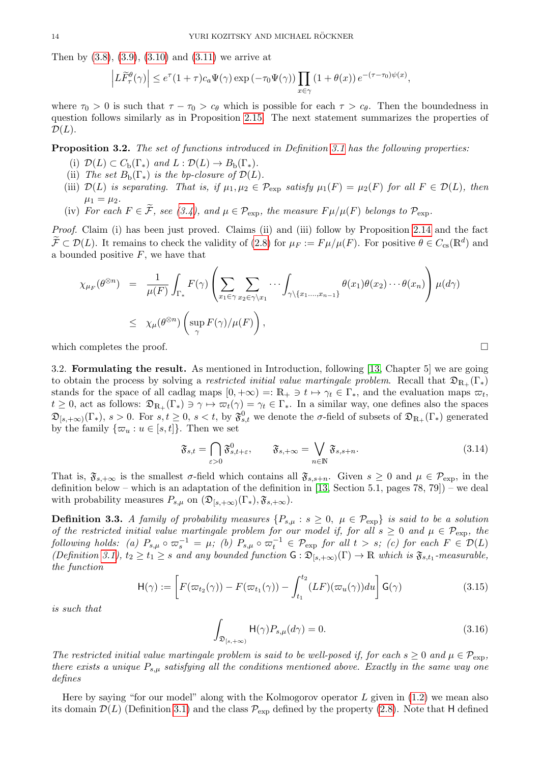Then by  $(3.8), (3.9), (3.10)$  $(3.8), (3.9), (3.10)$  $(3.8), (3.9), (3.10)$  $(3.8), (3.9), (3.10)$  and  $(3.11)$  we arrive at

$$
\left| L\widetilde{F}_{\tau}^{\theta}(\gamma) \right| \leq e^{\tau} (1+\tau)c_a \Psi(\gamma) \exp(-\tau_0 \Psi(\gamma)) \prod_{x \in \gamma} (1+\theta(x)) e^{-(\tau-\tau_0)\psi(x)},
$$

where  $\tau_0 > 0$  is such that  $\tau - \tau_0 > c_\theta$  which is possible for each  $\tau > c_\theta$ . Then the boundedness in question follows similarly as in Proposition [2.15.](#page-10-5) The next statement summarizes the properties of  $\mathcal{D}(L)$ .

<span id="page-13-3"></span>Proposition 3.2. The set of functions introduced in Definition [3.1](#page-11-5) has the following properties:

- (i)  $\mathcal{D}(L) \subset C_{\rm b}(\Gamma_{\ast})$  and  $L : \mathcal{D}(L) \to B_{\rm b}(\Gamma_{\ast}).$
- (ii) The set  $B_{\rm b}(\Gamma_{\ast})$  is the bp-closure of  $\mathcal{D}(L)$ .
- (iii)  $\mathcal{D}(L)$  is separating. That is, if  $\mu_1, \mu_2 \in \mathcal{P}_{\text{exp}}$  satisfy  $\mu_1(F) = \mu_2(F)$  for all  $F \in \mathcal{D}(L)$ , then  $\mu_1 = \mu_2$ .
- (iv) For each  $F \in \widetilde{\mathcal{F}}$ , see [\(3.4\)](#page-11-6), and  $\mu \in \mathcal{P}_{\text{exp}}$ , the measure  $F \mu/\mu(F)$  belongs to  $\mathcal{P}_{\text{exp}}$ .

Proof. Claim (i) has been just proved. Claims (ii) and (iii) follow by Proposition [2.14](#page-10-6) and the fact  $\widetilde{\mathcal{F}} \subset \mathcal{D}(L)$ . It remains to check the validity of [\(2.8\)](#page-4-9) for  $\mu_F := F \mu / \mu(F)$ . For positive  $\theta \in C_{\text{cs}}(\mathbb{R}^d)$  and a bounded positive  $F$ , we have that

$$
\chi_{\mu_F}(\theta^{\otimes n}) = \frac{1}{\mu(F)} \int_{\Gamma_*} F(\gamma) \left( \sum_{x_1 \in \gamma} \sum_{x_2 \in \gamma \setminus x_1} \cdots \int_{\gamma \setminus \{x_1, \dots, x_{n-1}\}} \theta(x_1) \theta(x_2) \cdots \theta(x_n) \right) \mu(d\gamma)
$$
  

$$
\leq \chi_{\mu}(\theta^{\otimes n}) \left( \sup_{\gamma} F(\gamma) / \mu(F) \right),
$$

which completes the proof.  $\Box$ 

<span id="page-13-0"></span>3.2. Formulating the result. As mentioned in Introduction, following [\[13,](#page-43-9) Chapter 5] we are going to obtain the process by solving a restricted initial value martingale problem. Recall that  $\mathfrak{D}_{R_+}(\Gamma_*)$ stands for the space of all cadlag maps  $[0, +\infty) =: \mathbb{R}_+ \ni t \mapsto \gamma_t \in \Gamma_*$ , and the evaluation maps  $\varpi_t$ ,  $t \geq 0$ , act as follows:  $\mathfrak{D}_{\mathbb{R}_+}(\Gamma_*) \ni \gamma \mapsto \varpi_t(\gamma) = \gamma_t \in \Gamma_*$ . In a similar way, one defines also the spaces  $\mathfrak{D}_{[s,+\infty)}(\Gamma_*), s > 0.$  For  $s,t \geq 0, s < t$ , by  $\mathfrak{F}^0_{s,t}$  we denote the  $\sigma$ -field of subsets of  $\mathfrak{D}_{\mathbb{R}_+}(\Gamma_*)$  generated by the family  $\{\varpi_u : u \in [s, t]\}.$  Then we set

<span id="page-13-1"></span>
$$
\mathfrak{F}_{s,t} = \bigcap_{\varepsilon > 0} \mathfrak{F}_{s,t+\varepsilon}^0, \qquad \mathfrak{F}_{s,+\infty} = \bigvee_{n \in \mathbb{N}} \mathfrak{F}_{s,s+n}.\tag{3.14}
$$

That is,  $\mathfrak{F}_{s,+\infty}$  is the smallest  $\sigma$ -field which contains all  $\mathfrak{F}_{s,s+n}$ . Given  $s \geq 0$  and  $\mu \in \mathcal{P}_{exp}$ , in the definition below – which is an adaptation of the definition in [\[13,](#page-43-9) Section 5.1, pages  $78, 79$ ]) – we deal with probability measures  $P_{s,\mu}$  on  $(\mathfrak{D}_{[s,+\infty)}(\Gamma_{*}), \mathfrak{F}_{s,+\infty}).$ 

<span id="page-13-4"></span>**Definition 3.3.** A family of probability measures  $\{P_{s,\mu}: s \geq 0, \mu \in \mathcal{P}_{exp}\}\$ is said to be a solution of the restricted initial value martingale problem for our model if, for all  $s \geq 0$  and  $\mu \in \mathcal{P}_{\text{exp}}$ , the  $\emph{following holds:}$  (a)  $P_{s,\mu} \circ \varpi_s^{-1} = \mu$ ; (b)  $P_{s,\mu} \circ \varpi_t^{-1} \in \mathcal{P}_{\rm exp}$  for all  $t > s$ ; (c) for each  $F \in \mathcal{D}(L)$  $(Definition\ 3.1), t_2 \geq t_1 \geq s \ and \ any \ bounded \ function \ G : \mathfrak{D}_{[s,+\infty)}(\Gamma) \to \mathbb{R} \ which \ is \ \mathfrak{F}_{s,t_1}$  $(Definition\ 3.1), t_2 \geq t_1 \geq s \ and \ any \ bounded \ function \ G : \mathfrak{D}_{[s,+\infty)}(\Gamma) \to \mathbb{R} \ which \ is \ \mathfrak{F}_{s,t_1}$  $(Definition\ 3.1), t_2 \geq t_1 \geq s \ and \ any \ bounded \ function \ G : \mathfrak{D}_{[s,+\infty)}(\Gamma) \to \mathbb{R} \ which \ is \ \mathfrak{F}_{s,t_1}$ -measurable, the function

<span id="page-13-2"></span>
$$
\mathsf{H}(\gamma) := \left[ F(\varpi_{t_2}(\gamma)) - F(\varpi_{t_1}(\gamma)) - \int_{t_1}^{t_2} (LF)(\varpi_u(\gamma)) du \right] \mathsf{G}(\gamma)
$$
(3.15)

is such that

<span id="page-13-5"></span>
$$
\int_{\mathfrak{D}_{[s,+\infty)}} \mathsf{H}(\gamma) P_{s,\mu}(d\gamma) = 0.
$$
\n(3.16)

The restricted initial value martingale problem is said to be well-posed if, for each  $s \geq 0$  and  $\mu \in \mathcal{P}_{\text{exp}}$ , there exists a unique  $P_{s,\mu}$  satisfying all the conditions mentioned above. Exactly in the same way one defines

Here by saying "for our model" along with the Kolmogorov operator  $L$  given in  $(1.2)$  we mean also its domain  $\mathcal{D}(L)$  (Definition [3.1\)](#page-11-5) and the class  $\mathcal{P}_{\text{exp}}$  defined by the property [\(2.8\)](#page-4-9). Note that H defined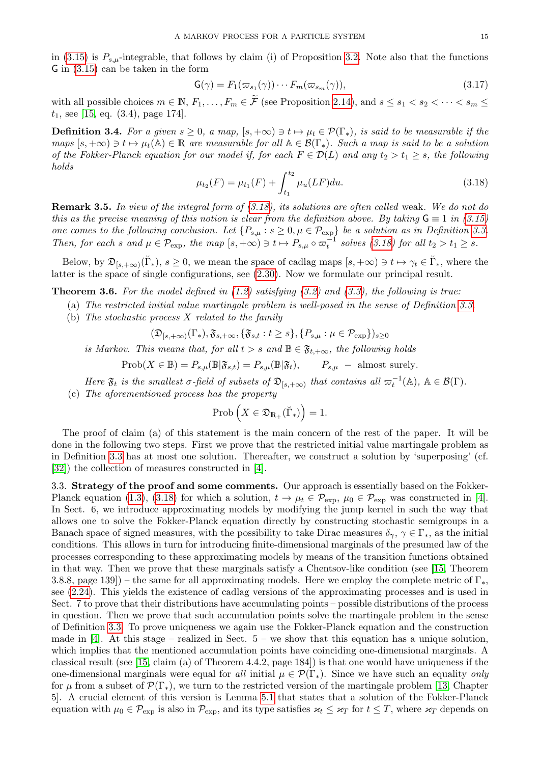in [\(3.15\)](#page-13-2) is  $P_{s,\mu}$ -integrable, that follows by claim (i) of Proposition [3.2.](#page-13-3) Note also that the functions G in [\(3.15\)](#page-13-2) can be taken in the form

<span id="page-14-5"></span>
$$
\mathsf{G}(\gamma) = F_1(\varpi_{s_1}(\gamma)) \cdots F_m(\varpi_{s_m}(\gamma)), \tag{3.17}
$$

with all possible choices  $m \in \mathbb{N}$ ,  $F_1, \ldots, F_m \in \widetilde{\mathcal{F}}$  (see Proposition [2.14\)](#page-10-6), and  $s \leq s_1 < s_2 < \cdots < s_m \leq$  $t_1$ , see [\[15,](#page-43-10) eq. (3.4), page 174].

<span id="page-14-4"></span>**Definition 3.4.** For a given  $s \geq 0$ , a map,  $[s, +\infty) \ni t \mapsto \mu_t \in \mathcal{P}(\Gamma_*),$  is said to be measurable if the maps  $[s, +\infty) \ni t \mapsto \mu_t(\mathbb{A}) \in \mathbb{R}$  are measurable for all  $\mathbb{A} \in \mathcal{B}(\Gamma_*)$ . Such a map is said to be a solution of the Fokker-Planck equation for our model if, for each  $F \in \mathcal{D}(L)$  and any  $t_2 > t_1 \geq s$ , the following holds

<span id="page-14-2"></span>
$$
\mu_{t_2}(F) = \mu_{t_1}(F) + \int_{t_1}^{t_2} \mu_u(LF) du.
$$
\n(3.18)

<span id="page-14-3"></span>Remark 3.5. In view of the integral form of [\(3.18\)](#page-14-2), its solutions are often called weak. We do not do this as the precise meaning of this notion is clear from the definition above. By taking  $G \equiv 1$  in [\(3.15\)](#page-13-2) one comes to the following conclusion. Let  $\{P_{s,\mu}: s \geq 0, \mu \in \mathcal{P}_{exp}\}$  be a solution as in Definition [3.3.](#page-13-4) Then, for each s and  $\mu \in \mathcal{P}_{\exp}$ , the map  $[s, +\infty) \ni t \mapsto P_{s,\mu} \circ \varpi_t^{-1}$  solves [\(3.18\)](#page-14-2) for all  $t_2 > t_1 \geq s$ .

Below, by  $\mathfrak{D}_{[s,+\infty)}(\check{\Gamma}_{*}), s \geq 0$ , we mean the space of cadlag maps  $[s,+\infty) \ni t \mapsto \gamma_t \in \check{\Gamma}_{*}$ , where the latter is the space of single configurations, see [\(2.30\)](#page-8-0). Now we formulate our principal result.

<span id="page-14-1"></span>**Theorem 3.6.** For the model defined in  $(1.2)$  satisfying  $(3.2)$  and  $(3.3)$ , the following is true:

- (a) The restricted initial value martingale problem is well-posed in the sense of Definition [3.3.](#page-13-4)
- (b) The stochastic process X related to the family

$$
(\mathfrak{D}_{[s,+\infty)}(\Gamma_*), \mathfrak{F}_{s,+\infty}, \{\mathfrak{F}_{s,t}: t \geq s\}, \{P_{s,\mu} : \mu \in \mathcal{P}_{\exp}\}_{s \geq 0}
$$

is Markov. This means that, for all  $t > s$  and  $\mathbb{B} \in \mathfrak{F}_{t,+\infty}$ , the following holds

$$
Prob(X \in \mathbb{B}) = P_{s,\mu}(\mathbb{B}|\mathfrak{F}_{s,t}) = P_{s,\mu}(\mathbb{B}|\mathfrak{F}_t), \qquad P_{s,\mu} - \text{almost surely.}
$$

Here  $\mathfrak{F}_t$  is the smallest  $\sigma$ -field of subsets of  $\mathfrak{D}_{[s,+\infty)}$  that contains all  $\varpi_t^{-1}(\mathbb{A})$ ,  $\mathbb{A} \in \mathcal{B}(\Gamma)$ . (c) The aforementioned process has the property

$$
\mathrm{Prob}\left(X\in \mathfrak{D}_{\mathbb{R}_+}(\breve{\Gamma}_*)\right)=1.
$$

The proof of claim (a) of this statement is the main concern of the rest of the paper. It will be done in the following two steps. First we prove that the restricted initial value martingale problem as in Definition [3.3](#page-13-4) has at most one solution. Thereafter, we construct a solution by 'superposing' (cf. [\[32\]](#page-43-18)) the collection of measures constructed in [\[4\]](#page-42-1).

<span id="page-14-0"></span>3.3. Strategy of the proof and some comments. Our approach is essentially based on the Fokker-Planck equation [\(1.3\)](#page-2-2), [\(3.18\)](#page-14-2) for which a solution,  $t \to \mu_t \in \mathcal{P}_{\text{exp}}$ ,  $\mu_0 \in \mathcal{P}_{\text{exp}}$  was constructed in [\[4\]](#page-42-1). In Sect. 6, we introduce approximating models by modifying the jump kernel in such the way that allows one to solve the Fokker-Planck equation directly by constructing stochastic semigroups in a Banach space of signed measures, with the possibility to take Dirac measures  $\delta_{\gamma}, \gamma \in \Gamma_{*}$ , as the initial conditions. This allows in turn for introducing finite-dimensional marginals of the presumed law of the processes corresponding to these approximating models by means of the transition functions obtained in that way. Then we prove that these marginals satisfy a Chentsov-like condition (see [\[15,](#page-43-10) Theorem 3.8.8, page 139]) – the same for all approximating models. Here we employ the complete metric of  $\Gamma_*$ , see [\(2.24\)](#page-7-2). This yields the existence of cadlag versions of the approximating processes and is used in Sect. 7 to prove that their distributions have accumulating points – possible distributions of the process in question. Then we prove that such accumulation points solve the martingale problem in the sense of Definition [3.3.](#page-13-4) To prove uniqueness we again use the Fokker-Planck equation and the construction made in  $[4]$ . At this stage – realized in Sect.  $5$  – we show that this equation has a unique solution, which implies that the mentioned accumulation points have coinciding one-dimensional marginals. A classical result (see [\[15,](#page-43-10) claim (a) of Theorem 4.4.2, page 184]) is that one would have uniqueness if the one-dimensional marginals were equal for all initial  $\mu \in \mathcal{P}(\Gamma_*)$ . Since we have such an equality only for  $\mu$  from a subset of  $\mathcal{P}(\Gamma_*)$ , we turn to the restricted version of the martingale problem [\[13,](#page-43-9) Chapter 5]. A crucial element of this version is Lemma [5.1](#page-18-3) that states that a solution of the Fokker-Planck equation with  $\mu_0 \in \mathcal{P}_{\text{exp}}$  is also in  $\mathcal{P}_{\text{exp}}$ , and its type satisfies  $\varkappa_t \leq \varkappa_T$  for  $t \leq T$ , where  $\varkappa_T$  depends on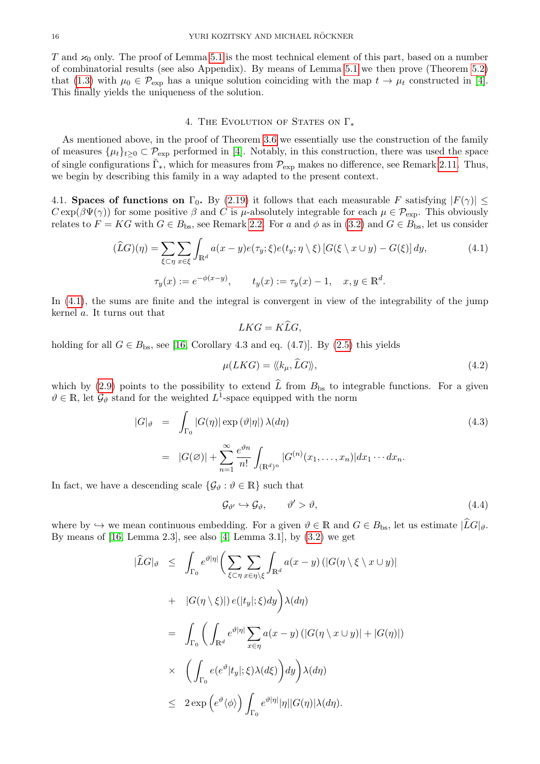T and  $\varkappa_0$  only. The proof of Lemma [5.1](#page-18-3) is the most technical element of this part, based on a number of combinatorial results (see also Appendix). By means of Lemma [5.1](#page-18-3) we then prove (Theorem [5.2\)](#page-19-0) that [\(1.3\)](#page-2-2) with  $\mu_0 \in \mathcal{P}_{\rm exp}$  has a unique solution coinciding with the map  $t \to \mu_t$  constructed in [\[4\]](#page-42-1). This finally yields the uniqueness of the solution.

## 4. THE EVOLUTION OF STATES ON  $\Gamma_*$

<span id="page-15-0"></span>As mentioned above, in the proof of Theorem [3.6](#page-14-1) we essentially use the construction of the family of measures  $\{\mu_t\}_{t>0} \subset \mathcal{P}_{\text{exp}}$  performed in [\[4\]](#page-42-1). Notably, in this construction, there was used the space of single configurations  $\breve{\Gamma}_{*}$ , which for measures from  $\mathcal{P}_{\rm exp}$  makes no difference, see Remark [2.11.](#page-9-2) Thus, we begin by describing this family in a way adapted to the present context.

<span id="page-15-1"></span>4.1. Spaces of functions on  $\Gamma_0$ . By [\(2.19\)](#page-6-9) it follows that each measurable F satisfying  $|F(\gamma)| \le$  $C \exp(\beta \Psi(\gamma))$  for some positive  $\beta$  and C is  $\mu$ -absolutely integrable for each  $\mu \in \mathcal{P}_{\text{exp}}$ . This obviously relates to  $F = KG$  with  $G \in B_{\text{bs}}$ , see Remark [2.2.](#page-4-11) For a and  $\phi$  as in [\(3.2\)](#page-11-3) and  $G \in B_{\text{bs}}$ , let us consider

$$
(\widehat{L}G)(\eta) = \sum_{\xi \subset \eta} \sum_{x \in \xi} \int_{\mathbb{R}^d} a(x - y) e(\tau_y; \xi) e(t_y; \eta \setminus \xi) \left[ G(\xi \setminus x \cup y) - G(\xi) \right] dy,
$$
\n
$$
\tau_y(x) := e^{-\phi(x - y)}, \qquad t_y(x) := \tau_y(x) - 1, \quad x, y \in \mathbb{R}^d.
$$
\n(4.1)

In [\(4.1\)](#page-15-2), the sums are finite and the integral is convergent in view of the integrability of the jump kernel a. It turns out that

<span id="page-15-2"></span>
$$
LKG = K\widehat{L}G,
$$

holding for all  $G \in B_{\text{bs}}$ , see [\[16,](#page-43-19) Corollary 4.3 and eq. (4.7)]. By [\(2.5\)](#page-4-7) this yields

<span id="page-15-4"></span>
$$
\mu(LKG) = \langle \langle k_{\mu}, \overline{LG} \rangle \rangle, \tag{4.2}
$$

which by [\(2.9\)](#page-5-0) points to the possibility to extend  $\hat{L}$  from  $B_{\text{bs}}$  to integrable functions. For a given  $\vartheta \in \mathbb{R}$ , let  $\mathcal{G}_{\vartheta}$  stand for the weighted  $L^1$ -space equipped with the norm

<span id="page-15-5"></span>
$$
|G|_{\vartheta} = \int_{\Gamma_0} |G(\eta)| \exp(\vartheta |\eta|) \lambda(d\eta)
$$
\n
$$
= |G(\varnothing)| + \sum_{n=1}^{\infty} \frac{e^{\vartheta n}}{n!} \int_{(\mathbb{R}^d)^n} |G^{(n)}(x_1, \dots, x_n)| dx_1 \cdots dx_n.
$$
\n(4.3)

In fact, we have a descending scale  $\{\mathcal{G}_{\vartheta} : \vartheta \in \mathbb{R}\}\$  such that

<span id="page-15-3"></span>
$$
\mathcal{G}_{\vartheta'} \hookrightarrow \mathcal{G}_{\vartheta}, \qquad \vartheta' > \vartheta, \tag{4.4}
$$

where by  $\hookrightarrow$  we mean continuous embedding. For a given  $\vartheta \in \mathbb{R}$  and  $G \in B_{\text{bs}}$ , let us estimate  $|LG|_{\vartheta}$ . By means of  $[16, \text{Lemma } 2.3]$ , see also  $[4, \text{Lemma } 3.1]$ , by  $(3.2)$  we get

$$
\begin{split}\n|\widehat{L}G|_{\vartheta} &\leq \int_{\Gamma_{0}} e^{\vartheta|\eta|} \bigg( \sum_{\xi \subset \eta} \sum_{x \in \eta \setminus \xi} \int_{\mathbb{R}^{d}} a(x - y) \left( |G(\eta \setminus \xi \setminus x \cup y)| \right. \\
&\quad \left. + \quad |G(\eta \setminus \xi)| \right) e(|t_{y}|; \xi) dy \bigg) \lambda(d\eta) \\
&= \int_{\Gamma_{0}} \bigg( \int_{\mathbb{R}^{d}} e^{\vartheta|\eta|} \sum_{x \in \eta} a(x - y) \left( |G(\eta \setminus x \cup y)| + |G(\eta)| \right) \\
&\quad \times \quad \bigg( \int_{\Gamma_{0}} e(e^{\vartheta}|t_{y}|; \xi) \lambda(d\xi) \bigg) dy \bigg) \lambda(d\eta) \\
&\leq 2 \exp \bigg( e^{\vartheta} \langle \phi \rangle \bigg) \int_{\Gamma_{0}} e^{\vartheta|\eta|} |\eta| |G(\eta)| \lambda(d\eta).\n\end{split}
$$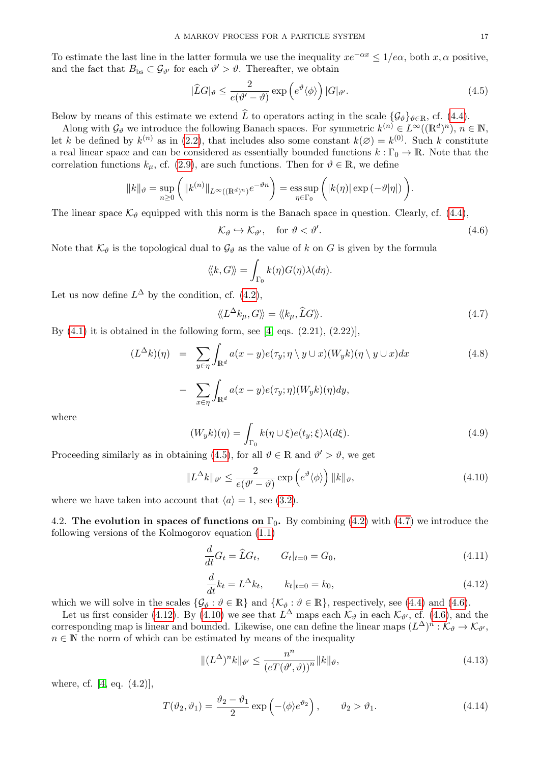To estimate the last line in the latter formula we use the inequality  $xe^{-\alpha x} \leq 1/e\alpha$ , both x,  $\alpha$  positive, and the fact that  $B_{bs} \subset \mathcal{G}_{\vartheta'}$  for each  $\vartheta' > \vartheta$ . Thereafter, we obtain

<span id="page-16-4"></span>
$$
|\widehat{L}G|_{\vartheta} \le \frac{2}{e(\vartheta' - \vartheta)} \exp\left(e^{\vartheta} \langle \phi \rangle\right) |G|_{\vartheta'}.
$$
\n(4.5)

Below by means of this estimate we extend  $\hat{L}$  to operators acting in the scale  $\{\mathcal{G}_{\vartheta}\}_{\vartheta \in \mathbb{R}}$ , cf. [\(4.4\)](#page-15-3).

Along with  $\mathcal{G}_{\vartheta}$  we introduce the following Banach spaces. For symmetric  $k^{(n)} \in L^{\infty}((\mathbb{R}^d)^n)$ ,  $n \in \mathbb{N}$ , let k be defined by  $k^{(n)}$  as in [\(2.2\)](#page-4-8), that includes also some constant  $k(\emptyset) = k^{(0)}$ . Such k constitute a real linear space and can be considered as essentially bounded functions  $k : \Gamma_0 \to \mathbb{R}$ . Note that the correlation functions  $k_{\mu}$ , cf. [\(2.9\)](#page-5-0), are such functions. Then for  $\vartheta \in \mathbb{R}$ , we define

$$
||k||_{\vartheta} = \sup_{n\geq 0} (||k^{(n)}||_{L^{\infty}((\mathbb{R}^d)^n)} e^{-\vartheta n}) = \operatorname{ess} \sup_{\eta \in \Gamma_0} (|k(\eta)| \exp(-\vartheta|\eta|)).
$$

The linear space  $\mathcal{K}_{\theta}$  equipped with this norm is the Banach space in question. Clearly, cf. [\(4.4\)](#page-15-3),

<span id="page-16-6"></span>
$$
\mathcal{K}_{\vartheta} \hookrightarrow \mathcal{K}_{\vartheta'}, \quad \text{for } \vartheta < \vartheta'.
$$
\n
$$
\tag{4.6}
$$

Note that  $\mathcal{K}_{\vartheta}$  is the topological dual to  $\mathcal{G}_{\vartheta}$  as the value of k on G is given by the formula

$$
\langle\!\langle k, G \rangle\!\rangle = \int_{\Gamma_0} k(\eta) G(\eta) \lambda(d\eta).
$$

Let us now define  $L^{\Delta}$  by the condition, cf. [\(4.2\)](#page-15-4),

<span id="page-16-5"></span>
$$
\langle\!\langle L^{\Delta}k_{\mu}, G\rangle\!\rangle = \langle\!\langle k_{\mu}, \widehat{L}G\rangle\!\rangle. \tag{4.7}
$$

By  $(4.1)$  it is obtained in the following form, see [\[4,](#page-42-1) eqs.  $(2.21)$ ,  $(2.22)$ ],

<span id="page-16-1"></span>
$$
(L^{\Delta}k)(\eta) = \sum_{y \in \eta} \int_{\mathbb{R}^d} a(x - y)e(\tau_y; \eta \setminus y \cup x)(W_y k)(\eta \setminus y \cup x) dx
$$
  
- 
$$
\sum_{x \in \eta} \int_{\mathbb{R}^d} a(x - y)e(\tau_y; \eta)(W_y k)(\eta) dy,
$$
 (4.8)

where

<span id="page-16-8"></span>
$$
(W_y k)(\eta) = \int_{\Gamma_0} k(\eta \cup \xi) e(t_y; \xi) \lambda(d\xi).
$$
 (4.9)

Proceeding similarly as in obtaining [\(4.5\)](#page-16-4), for all  $\vartheta \in \mathbb{R}$  and  $\vartheta' > \vartheta$ , we get

<span id="page-16-7"></span>
$$
||L^{\Delta}k||_{\vartheta'} \le \frac{2}{e(\vartheta' - \vartheta)} \exp\left(e^{\vartheta}\langle\phi\rangle\right) ||k||_{\vartheta}, \tag{4.10}
$$

where we have taken into account that  $\langle a \rangle = 1$ , see [\(3.2\)](#page-11-3).

<span id="page-16-0"></span>4.2. The evolution in spaces of functions on  $\Gamma_0$ . By combining [\(4.2\)](#page-15-4) with [\(4.7\)](#page-16-5) we introduce the following versions of the Kolmogorov equation [\(1.1\)](#page-1-2)

<span id="page-16-2"></span>
$$
\frac{d}{dt}G_t = \hat{L}G_t, \qquad G_t|_{t=0} = G_0,
$$
\n(4.11)

<span id="page-16-3"></span>
$$
\frac{d}{dt}k_t = L^{\Delta}k_t, \qquad k_t|_{t=0} = k_0,
$$
\n(4.12)

which we will solve in the scales  $\{\mathcal{G}_{\vartheta} : \vartheta \in \mathbb{R}\}\$  and  $\{\mathcal{K}_{\vartheta} : \vartheta \in \mathbb{R}\}\$ , respectively, see [\(4.4\)](#page-15-3) and [\(4.6\)](#page-16-6).

Let us first consider [\(4.12\)](#page-16-3). By [\(4.10\)](#page-16-7) we see that  $L^{\Delta}$  maps each  $\mathcal{K}_{\vartheta}$  in each  $\mathcal{K}_{\vartheta'}$ , cf. [\(4.6\)](#page-16-6), and the corresponding map is linear and bounded. Likewise, one can define the linear maps  $(L^{\Delta})^n : \mathcal{K}_{\vartheta} \to \mathcal{K}_{\vartheta'}$ ,  $n \in \mathbb{N}$  the norm of which can be estimated by means of the inequality

<span id="page-16-9"></span>
$$
\|(L^{\Delta})^n k\|_{\vartheta'} \le \frac{n^n}{\left(eT(\vartheta',\vartheta)\right)^n} \|k\|_{\vartheta},\tag{4.13}
$$

where, cf. [\[4,](#page-42-1) eq. (4.2)],

<span id="page-16-10"></span>
$$
T(\vartheta_2, \vartheta_1) = \frac{\vartheta_2 - \vartheta_1}{2} \exp\left(-\langle \phi \rangle e^{\vartheta_2}\right), \qquad \vartheta_2 > \vartheta_1. \tag{4.14}
$$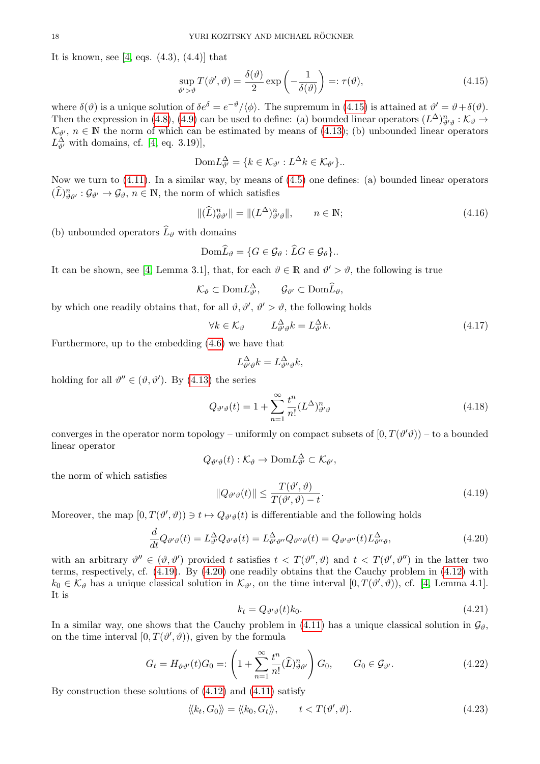It is known, see [\[4,](#page-42-1) eqs.  $(4.3)$ ,  $(4.4)$ ] that

<span id="page-17-0"></span>
$$
\sup_{\vartheta' > \vartheta} T(\vartheta', \vartheta) = \frac{\delta(\vartheta)}{2} \exp\left(-\frac{1}{\delta(\vartheta)}\right) =: \tau(\vartheta),\tag{4.15}
$$

where  $\delta(\vartheta)$  is a unique solution of  $\delta e^{\delta} = e^{-\vartheta}/\langle \phi \rangle$ . The supremum in [\(4.15\)](#page-17-0) is attained at  $\vartheta' = \vartheta + \delta(\vartheta)$ . Then the expression in [\(4.8\)](#page-16-1), [\(4.9\)](#page-16-8) can be used to define: (a) bounded linear operators  $(L^{\Delta})^n_{\theta'\theta} : \mathcal{K}_{\theta} \to$  $\mathcal{K}_{\vartheta}, n \in \mathbb{N}$  the norm of which can be estimated by means of [\(4.13\)](#page-16-9); (b) unbounded linear operators  $L^{\Delta}_{\vartheta'}$  with domains, cf. [\[4,](#page-42-1) eq. 3.19)],

$$
\text{Dom}L^{\Delta}_{\vartheta'} = \{ k \in \mathcal{K}_{\vartheta'} : L^{\Delta} k \in \mathcal{K}_{\vartheta'} \}.
$$

Now we turn to [\(4.11\)](#page-16-2). In a similar way, by means of [\(4.5\)](#page-16-4) one defines: (a) bounded linear operators  $(\widehat{L})_{\vartheta\vartheta'}^{n} : \mathcal{G}_{\vartheta'} \to \mathcal{G}_{\vartheta}, n \in \mathbb{N}$ , the norm of which satisfies

<span id="page-17-5"></span>
$$
\|(\widehat{L})^n_{\vartheta\vartheta'}\| = \|(L^{\Delta})^n_{\vartheta'\vartheta}\|, \qquad n \in \mathbb{N};\tag{4.16}
$$

(b) unbounded operators  $\widehat{L}_{\theta}$  with domains

$$
\text{Dom}\widehat{L}_{\vartheta} = \{G \in \mathcal{G}_{\vartheta} : \widehat{L}G \in \mathcal{G}_{\vartheta}\}.
$$

It can be shown, see [\[4,](#page-42-1) Lemma 3.1], that, for each  $\vartheta \in \mathbb{R}$  and  $\vartheta' > \vartheta$ , the following is true

$$
\mathcal{K}_{\vartheta} \subset \text{Dom} L^{\Delta}_{\vartheta'}, \qquad \mathcal{G}_{\vartheta'} \subset \text{Dom} \widehat{L}_{\vartheta},
$$

by which one readily obtains that, for all  $\vartheta, \vartheta', \vartheta' > \vartheta$ , the following holds

<span id="page-17-4"></span>
$$
\forall k \in \mathcal{K}_{\vartheta} \qquad L^{\Delta}_{\vartheta \vartheta} k = L^{\Delta}_{\vartheta} k. \tag{4.17}
$$

Furthermore, up to the embedding [\(4.6\)](#page-16-6) we have that

$$
L^{\Delta}_{\vartheta'\vartheta}k = L^{\Delta}_{\vartheta''\vartheta}k,
$$

holding for all  $\vartheta'' \in (\vartheta, \vartheta')$ . By [\(4.13\)](#page-16-9) the series

<span id="page-17-8"></span>
$$
Q_{\vartheta'\vartheta}(t) = 1 + \sum_{n=1}^{\infty} \frac{t^n}{n!} (L^{\Delta})^n_{\vartheta'\vartheta}
$$
\n(4.18)

converges in the operator norm topology – uniformly on compact subsets of  $[0, T(\vartheta' \vartheta))$  – to a bounded linear operator

$$
Q_{\vartheta'\vartheta}(t): \mathcal{K}_{\vartheta} \to \text{Dom} L_{\vartheta'}^{\Delta} \subset \mathcal{K}_{\vartheta'},
$$

the norm of which satisfies

<span id="page-17-1"></span>
$$
||Q_{\vartheta'\vartheta}(t)|| \le \frac{T(\vartheta', \vartheta)}{T(\vartheta', \vartheta) - t}.
$$
\n(4.19)

Moreover, the map  $[0, T(\vartheta', \vartheta)) \ni t \mapsto Q_{\vartheta', \vartheta}(t)$  is differentiable and the following holds

<span id="page-17-2"></span>
$$
\frac{d}{dt}Q_{\vartheta'\vartheta}(t) = L^{\Delta}_{\vartheta'}Q_{\vartheta'\vartheta}(t) = L^{\Delta}_{\vartheta'\vartheta''}Q_{\vartheta''\vartheta}(t) = Q_{\vartheta'\vartheta''}(t)L^{\Delta}_{\vartheta''\vartheta},\tag{4.20}
$$

with an arbitrary  $\vartheta'' \in (\vartheta, \vartheta')$  provided t satisfies  $t < T(\vartheta'', \vartheta)$  and  $t < T(\vartheta', \vartheta'')$  in the latter two terms, respectively, cf. [\(4.19\)](#page-17-1). By [\(4.20\)](#page-17-2) one readily obtains that the Cauchy problem in [\(4.12\)](#page-16-3) with  $k_0 \in \mathcal{K}_{\vartheta}$  has a unique classical solution in  $\mathcal{K}_{\vartheta'}$ , on the time interval  $[0, T(\vartheta', \vartheta))$ , cf. [\[4,](#page-42-1) Lemma 4.1]. It is

<span id="page-17-3"></span>
$$
k_t = Q_{\vartheta'\vartheta}(t)k_0. \tag{4.21}
$$

In a similar way, one shows that the Cauchy problem in [\(4.11\)](#page-16-2) has a unique classical solution in  $\mathcal{G}_{\vartheta}$ , on the time interval  $[0, T(\vartheta', \vartheta))$ , given by the formula

<span id="page-17-6"></span>
$$
G_t = H_{\vartheta\vartheta'}(t)G_0 =: \left(1 + \sum_{n=1}^{\infty} \frac{t^n}{n!} (\widehat{L})^n_{\vartheta\vartheta'}\right) G_0, \qquad G_0 \in \mathcal{G}_{\vartheta'}.
$$
 (4.22)

By construction these solutions of [\(4.12\)](#page-16-3) and [\(4.11\)](#page-16-2) satisfy

<span id="page-17-7"></span>
$$
\langle k_t, G_0 \rangle = \langle k_0, G_t \rangle, \qquad t < T(\vartheta', \vartheta). \tag{4.23}
$$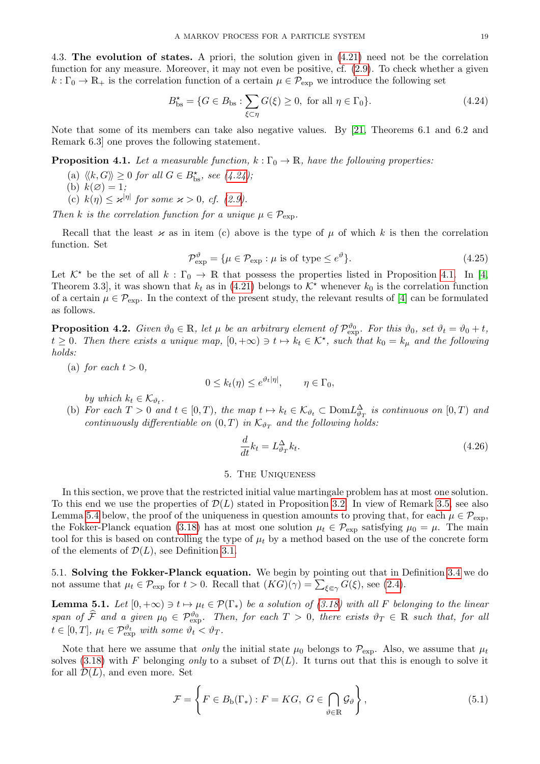<span id="page-18-0"></span>4.3. The evolution of states. A priori, the solution given in [\(4.21\)](#page-17-3) need not be the correlation function for any measure. Moreover, it may not even be positive, cf. [\(2.9\)](#page-5-0). To check whether a given  $k: \Gamma_0 \to \mathbb{R}_+$  is the correlation function of a certain  $\mu \in \mathcal{P}_{\text{exp}}$  we introduce the following set

<span id="page-18-4"></span>
$$
B_{\text{bs}}^{\star} = \{ G \in B_{\text{bs}} : \sum_{\xi \subset \eta} G(\xi) \ge 0, \text{ for all } \eta \in \Gamma_0 \}. \tag{4.24}
$$

Note that some of its members can take also negative values. By [\[21,](#page-43-14) Theorems 6.1 and 6.2 and Remark 6.3] one proves the following statement.

<span id="page-18-5"></span>**Proposition 4.1.** Let a measurable function,  $k : \Gamma_0 \to \mathbb{R}$ , have the following properties:

- (a)  $\langle k, G \rangle \geq 0$  for all  $G \in B_{\text{bs}}^{\star}$ , see [\(4.24\)](#page-18-4);
- (b)  $k(\emptyset) = 1;$
- (c)  $k(\eta) \leq \varkappa^{|\eta|}$  for some  $\varkappa > 0$ , cf. [\(2.9\)](#page-5-0).

Then k is the correlation function for a unique  $\mu \in \mathcal{P}_{\text{exp}}$ .

Recall that the least  $\varkappa$  as in item (c) above is the type of  $\mu$  of which k is then the correlation function. Set

<span id="page-18-7"></span>
$$
\mathcal{P}_{\rm exp}^{\vartheta} = \{ \mu \in \mathcal{P}_{\rm exp} : \mu \text{ is of type } \le e^{\vartheta} \}. \tag{4.25}
$$

Let  $K^*$  be the set of all  $k : \Gamma_0 \to \mathbb{R}$  that possess the properties listed in Proposition [4.1.](#page-18-5) In [\[4,](#page-42-1) Theorem 3.3, it was shown that  $k_t$  as in [\(4.21\)](#page-17-3) belongs to  $K^*$  whenever  $k_0$  is the correlation function of a certain  $\mu \in \mathcal{P}_{\text{exp}}$ . In the context of the present study, the relevant results of [\[4\]](#page-42-1) can be formulated as follows.

<span id="page-18-6"></span>**Proposition 4.2.** Given  $\vartheta_0 \in \mathbb{R}$ , let  $\mu$  be an arbitrary element of  $\mathcal{P}_{exp}^{\vartheta_0}$ . For this  $\vartheta_0$ , set  $\vartheta_t = \vartheta_0 + t$ ,  $t \geq 0$ . Then there exists a unique map,  $[0, +\infty) \ni t \mapsto k_t \in \mathcal{K}^*$ , such that  $k_0 = k_\mu$  and the following holds:

(a) for each  $t > 0$ ,

$$
0 \le k_t(\eta) \le e^{\vartheta_t |\eta|}, \qquad \eta \in \Gamma_0,
$$

by which  $k_t \in \mathcal{K}_{\vartheta_t}$ .

(b) For each  $T > 0$  and  $t \in [0, T)$ , the map  $t \mapsto k_t \in \mathcal{K}_{\vartheta_t} \subset Dom L^{\Delta}_{\vartheta_T}$  is continuous on  $[0, T)$  and continuously differentiable on  $(0,T)$  in  $\mathcal{K}_{\vartheta_T}$  and the following holds:

<span id="page-18-9"></span>
$$
\frac{d}{dt}k_t = L_{\vartheta_T}^{\Delta} k_t.
$$
\n(4.26)

# 5. The Uniqueness

<span id="page-18-1"></span>In this section, we prove that the restricted initial value martingale problem has at most one solution. To this end we use the properties of  $\mathcal{D}(L)$  stated in Proposition [3.2.](#page-13-3) In view of Remark [3.5,](#page-14-3) see also Lemma [5.4](#page-25-1) below, the proof of the uniqueness in question amounts to proving that, for each  $\mu \in \mathcal{P}_{\text{exp}}$ , the Fokker-Planck equation [\(3.18\)](#page-14-2) has at most one solution  $\mu_t \in \mathcal{P}_{\text{exp}}$  satisfying  $\mu_0 = \mu$ . The main tool for this is based on controlling the type of  $\mu_t$  by a method based on the use of the concrete form of the elements of  $\mathcal{D}(L)$ , see Definition [3.1.](#page-11-5)

<span id="page-18-2"></span>5.1. Solving the Fokker-Planck equation. We begin by pointing out that in Definition [3.4](#page-14-4) we do not assume that  $\mu_t \in \mathcal{P}_{\text{exp}}$  for  $t > 0$ . Recall that  $(KG)(\gamma) = \sum_{\xi \in \gamma} G(\xi)$ , see [\(2.4\)](#page-4-5).

<span id="page-18-3"></span>**Lemma 5.1.** Let  $[0, +\infty) \ni t \mapsto \mu_t \in \mathcal{P}(\Gamma_*)$  be a solution of [\(3.18\)](#page-14-2) with all F belonging to the linear span of  $\widehat{\mathcal{F}}$  and a given  $\mu_0 \in \mathcal{P}_{\text{exp}}^{\vartheta_0}$ . Then, for each  $T > 0$ , there exists  $\vartheta_T \in \mathbb{R}$  such that, for all  $t \in [0, T], \mu_t \in \mathcal{P}_{\text{exp}}^{\vartheta_t}$  with some  $\vartheta_t < \vartheta_T$ .

Note that here we assume that *only* the initial state  $\mu_0$  belongs to  $\mathcal{P}_{\text{exp}}$ . Also, we assume that  $\mu_t$ solves [\(3.18\)](#page-14-2) with F belonging only to a subset of  $\mathcal{D}(L)$ . It turns out that this is enough to solve it for all  $\mathcal{D}(L)$ , and even more. Set

<span id="page-18-8"></span>
$$
\mathcal{F} = \left\{ F \in B_{\mathbf{b}}(\Gamma_*) : F = KG, \ G \in \bigcap_{\vartheta \in \mathbb{R}} \mathcal{G}_{\vartheta} \right\},\tag{5.1}
$$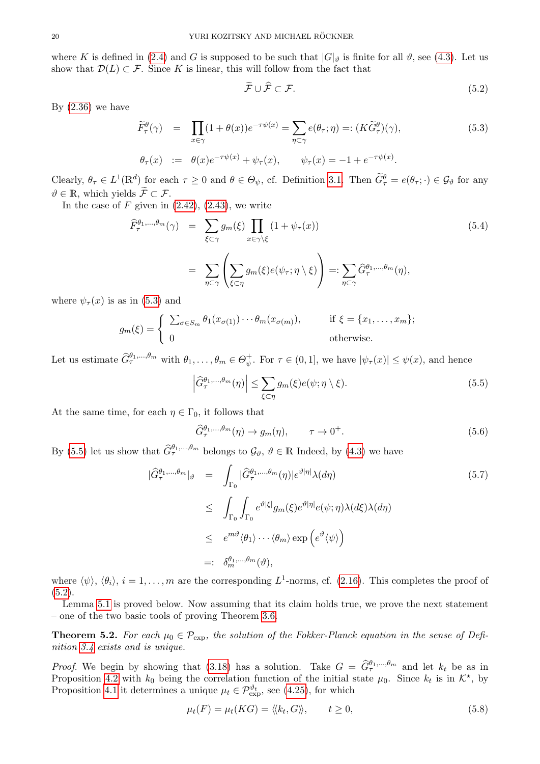where K is defined in [\(2.4\)](#page-4-5) and G is supposed to be such that  $|G|_{\vartheta}$  is finite for all  $\vartheta$ , see [\(4.3\)](#page-15-5). Let us show that  $\mathcal{D}(L) \subset \mathcal{F}$ . Since K is linear, this will follow from the fact that

<span id="page-19-3"></span>
$$
\widetilde{\mathcal{F}} \cup \widehat{\mathcal{F}} \subset \mathcal{F}.\tag{5.2}
$$

By  $(2.36)$  we have

<span id="page-19-1"></span>
$$
\widetilde{F}_{\tau}^{\theta}(\gamma) = \prod_{x \in \gamma} (1 + \theta(x)) e^{-\tau \psi(x)} = \sum_{\eta \subset \gamma} e(\theta_{\tau}; \eta) =: (K \widetilde{G}_{\tau}^{\theta})(\gamma),
$$
\n
$$
\theta_{\tau}(x) := \theta(x) e^{-\tau \psi(x)} + \psi_{\tau}(x), \qquad \psi_{\tau}(x) = -1 + e^{-\tau \psi(x)}.
$$
\n(5.3)

Clearly,  $\theta_{\tau} \in L^1(\mathbb{R}^d)$  for each  $\tau \geq 0$  and  $\theta \in \Theta_{\psi}$ , cf. Definition [3.1.](#page-11-5) Then  $\widetilde{G}_{\tau}^{\theta} = e(\theta_{\tau}; \cdot) \in \mathcal{G}_{\theta}$  for any  $\vartheta \in \mathbb{R}$ , which yields  $\widetilde{\mathcal{F}} \subset \mathcal{F}$ .

In the case of  $F$  given in  $(2.42)$ ,  $(2.43)$ , we write

<span id="page-19-5"></span>
$$
\widehat{F}_{\tau}^{\theta_1,\dots,\theta_m}(\gamma) = \sum_{\xi \subset \gamma} g_m(\xi) \prod_{x \in \gamma \setminus \xi} (1 + \psi_{\tau}(x))
$$
\n
$$
= \sum_{\eta \subset \gamma} \left( \sum_{\xi \subset \eta} g_m(\xi) e(\psi_{\tau}; \eta \setminus \xi) \right) =: \sum_{\eta \subset \gamma} \widehat{G}_{\tau}^{\theta_1,\dots,\theta_m}(\eta),
$$
\n
$$
\lim_{\eta \subset \gamma} (5.2) \text{ and } \tag{5.3}
$$

where  $\psi_{\tau}(x)$  is as in [\(5.3\)](#page-19-1) and

$$
g_m(\xi) = \begin{cases} \sum_{\sigma \in S_m} \theta_1(x_{\sigma(1)}) \cdots \theta_m(x_{\sigma(m)}), & \text{if } \xi = \{x_1, \dots, x_m\}; \\ 0 & \text{otherwise.} \end{cases}
$$

Let us estimate  $\widehat{G}_{\tau}^{\theta_1,\dots,\theta_m}$  with  $\theta_1,\dots,\theta_m \in \Theta_{\psi}^+$  $\psi^+_{\psi}$ . For  $\tau \in (0, 1]$ , we have  $|\psi_{\tau}(x)| \leq \psi(x)$ , and hence

<span id="page-19-2"></span>
$$
\left| \widehat{G}_{\tau}^{\theta_1,\ldots,\theta_m}(\eta) \right| \leq \sum_{\xi \subset \eta} g_m(\xi) e(\psi; \eta \setminus \xi). \tag{5.5}
$$

At the same time, for each  $\eta \in \Gamma_0$ , it follows that

<span id="page-19-7"></span>
$$
\widehat{G}_{\tau}^{\theta_1,\ldots,\theta_m}(\eta) \to g_m(\eta), \qquad \tau \to 0^+.
$$
\n(5.6)

By [\(5.5\)](#page-19-2) let us show that  $\hat{G}_{\tau}^{\theta_1,\dots,\theta_m}$  belongs to  $\mathcal{G}_{\vartheta}, \vartheta \in \mathbb{R}$  Indeed, by [\(4.3\)](#page-15-5) we have

<span id="page-19-6"></span>
$$
\begin{split}\n|\widehat{G}_{\tau}^{\theta_{1},\ldots,\theta_{m}}|_{\vartheta} &= \int_{\Gamma_{0}} |\widehat{G}_{\tau}^{\theta_{1},\ldots,\theta_{m}}(\eta)|e^{\vartheta|\eta|}\lambda(d\eta) \\
&\leq \int_{\Gamma_{0}} \int_{\Gamma_{0}} e^{\vartheta|\xi|} g_{m}(\xi)e^{\vartheta|\eta|} e(\psi;\eta)\lambda(d\xi)\lambda(d\eta) \\
&\leq e^{m\vartheta}\langle\theta_{1}\rangle \cdots \langle\theta_{m}\rangle \exp\left(e^{\vartheta}\langle\psi\rangle\right) \\
&=:\delta_{m}^{\theta_{1},\ldots,\theta_{m}}(\vartheta),\n\end{split} \tag{5.7}
$$

where  $\langle \psi \rangle$ ,  $\langle \theta_i \rangle$ ,  $i = 1, ..., m$  are the corresponding  $L^1$ -norms, cf. [\(2.16\)](#page-6-3). This completes the proof of  $(5.2).$  $(5.2).$ 

Lemma [5.1](#page-18-3) is proved below. Now assuming that its claim holds true, we prove the next statement – one of the two basic tools of proving Theorem [3.6.](#page-14-1)

<span id="page-19-0"></span>**Theorem 5.2.** For each  $\mu_0 \in \mathcal{P}_{\text{exp}}$ , the solution of the Fokker-Planck equation in the sense of Definition [3.4](#page-14-4) exists and is unique.

*Proof.* We begin by showing that [\(3.18\)](#page-14-2) has a solution. Take  $G = \hat{G}_{\tau}^{\theta_1,\dots,\theta_m}$  and let  $k_t$  be as in Proposition [4.2](#page-18-6) with  $k_0$  being the correlation function of the initial state  $\mu_0$ . Since  $k_t$  is in  $\mathcal{K}^*$ , by Proposition [4.1](#page-18-5) it determines a unique  $\mu_t \in \mathcal{P}_{\text{exp}}^{\vartheta_t}$ , see [\(4.25\)](#page-18-7), for which

<span id="page-19-4"></span>
$$
\mu_t(F) = \mu_t(KG) = \langle \langle k_t, G \rangle \rangle, \qquad t \ge 0,
$$
\n(5.8)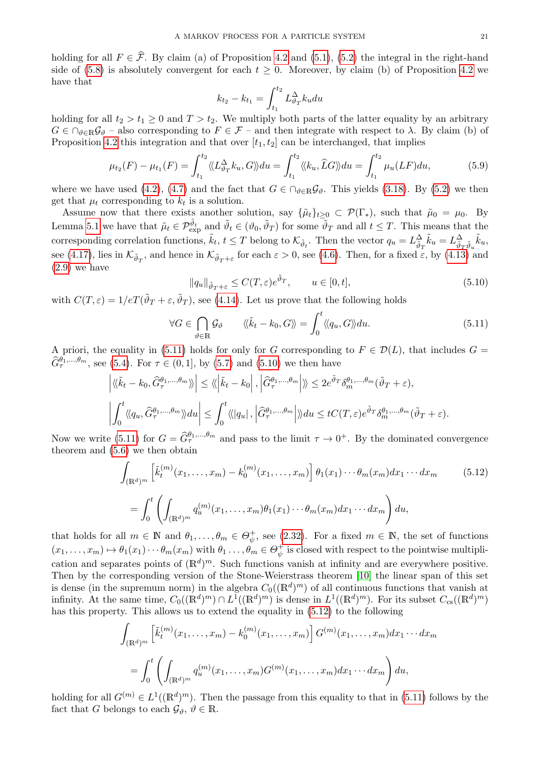holding for all  $F \in \hat{\mathcal{F}}$ . By claim (a) of Proposition [4.2](#page-18-6) and [\(5.1\)](#page-18-8), [\(5.2\)](#page-19-3) the integral in the right-hand side of [\(5.8\)](#page-19-4) is absolutely convergent for each  $t \geq 0$ . Moreover, by claim (b) of Proposition [4.2](#page-18-6) we have that

$$
k_{t_2} - k_{t_1} = \int_{t_1}^{t_2} L_{\vartheta_T}^{\Delta} k_u du
$$

holding for all  $t_2 > t_1 \geq 0$  and  $T > t_2$ . We multiply both parts of the latter equality by an arbitrary  $G \in \bigcap_{\vartheta \in \mathbb{R}} \mathcal{G}_{\vartheta}$  – also corresponding to  $F \in \mathcal{F}$  – and then integrate with respect to  $\lambda$ . By claim (b) of Proposition [4.2](#page-18-6) this integration and that over  $[t_1, t_2]$  can be interchanged, that implies

$$
\mu_{t_2}(F) - \mu_{t_1}(F) = \int_{t_1}^{t_2} \langle L^{\Delta}_{\vartheta_T} k_u, G \rangle du = \int_{t_1}^{t_2} \langle k_u, \widehat{L}G \rangle du = \int_{t_1}^{t_2} \mu_u(LF) du,
$$
\n(5.9)

where we have used [\(4.2\)](#page-15-4), [\(4.7\)](#page-16-5) and the fact that  $G \in \bigcap_{\vartheta \in \mathbb{R}} \mathcal{G}_{\vartheta}$ . This yields [\(3.18\)](#page-14-2). By [\(5.2\)](#page-19-3) we then get that  $\mu_t$  corresponding to  $k_t$  is a solution.

Assume now that there exists another solution, say  $\{\tilde{\mu}_t\}_{t>0} \subset \mathcal{P}(\Gamma_*)$ , such that  $\tilde{\mu}_0 = \mu_0$ . By Lemma [5.1](#page-18-3) we have that  $\tilde{\mu}_t \in \mathcal{P}_{\text{exp}}^{\tilde{\vartheta}_t}$  and  $\tilde{\vartheta}_t \in (\vartheta_0, \tilde{\vartheta}_T)$  for some  $\tilde{\vartheta}_T$  and all  $t \leq T$ . This means that the corresponding correlation functions,  $\tilde{k}_t$ ,  $t \leq T$  belong to  $\mathcal{K}_{\tilde{\vartheta}_t}$ . Then the vector  $q_u = L^{\Delta}_{\tilde{\vartheta}_T} \tilde{k}_u = L^{\Delta}_{\tilde{\vartheta}_T \tilde{\vartheta}_u} \tilde{k}_u$ , see [\(4.17\)](#page-17-4), lies in  $\mathcal{K}_{\tilde{\vartheta}_T}$ , and hence in  $\mathcal{K}_{\tilde{\vartheta}_T+\varepsilon}$  for each  $\varepsilon > 0$ , see [\(4.6\)](#page-16-6). Then, for a fixed  $\varepsilon$ , by [\(4.13\)](#page-16-9) and [\(2.9\)](#page-5-0) we have

<span id="page-20-1"></span>
$$
||q_u||_{\tilde{\vartheta}_T + \varepsilon} \le C(T, \varepsilon) e^{\tilde{\vartheta}_T}, \qquad u \in [0, t], \tag{5.10}
$$

with  $C(T,\varepsilon) = 1/eT(\tilde{\vartheta}_T + \varepsilon, \tilde{\vartheta}_T)$ , see [\(4.14\)](#page-16-10). Let us prove that the following holds

<span id="page-20-0"></span>
$$
\forall G \in \bigcap_{\vartheta \in \mathbb{R}} \mathcal{G}_{\vartheta} \qquad \langle \langle \tilde{k}_t - k_0, G \rangle \rangle = \int_0^t \langle \langle q_u, G \rangle \rangle du. \tag{5.11}
$$

A priori, the equality in [\(5.11\)](#page-20-0) holds for only for G corresponding to  $F \in \mathcal{D}(L)$ , that includes  $G =$  $\hat{G}_{\tau}^{\theta_1,...,\theta_m}$ , see [\(5.4\)](#page-19-5). For  $\tau \in (0,1]$ , by [\(5.7\)](#page-19-6) and [\(5.10\)](#page-20-1) we then have

$$
\left| \langle \langle \tilde{k}_t - k_0, \hat{G}_{\tau}^{\theta_1, \dots, \theta_m} \rangle \rangle \right| \leq \langle \langle \left| \tilde{k}_t - k_0 \right|, \left| \hat{G}_{\tau}^{\theta_1, \dots, \theta_m} \right| \rangle \rangle \leq 2e^{\tilde{\vartheta}_T} \delta_m^{\theta_1, \dots, \theta_m} (\tilde{\vartheta}_T + \varepsilon),
$$
  

$$
\left| \int_0^t \langle \langle q_u, \hat{G}_{\tau}^{\theta_1, \dots, \theta_m} \rangle \rangle du \right| \leq \int_0^t \langle \langle |q_u|, \left| \hat{G}_{\tau}^{\theta_1, \dots, \theta_m} \right| \rangle \rangle du \leq tC(T, \varepsilon)e^{\tilde{\vartheta}_T} \delta_m^{\theta_1, \dots, \theta_m} (\tilde{\vartheta}_T + \varepsilon).
$$

Now we write [\(5.11\)](#page-20-0) for  $G = \hat{G}_{\tau}^{\theta_1,\dots,\theta_m}$  and pass to the limit  $\tau \to 0^+$ . By the dominated convergence theorem and [\(5.6\)](#page-19-7) we then obtain

<span id="page-20-2"></span>
$$
\int_{(\mathbb{R}^d)^m} \left[ \tilde{k}_t^{(m)}(x_1, \dots, x_m) - k_0^{(m)}(x_1, \dots, x_m) \right] \theta_1(x_1) \cdots \theta_m(x_m) dx_1 \cdots dx_m \qquad (5.12)
$$

$$
= \int_0^t \left( \int_{(\mathbb{R}^d)^m} q_u^{(m)}(x_1, \dots, x_m) \theta_1(x_1) \cdots \theta_m(x_m) dx_1 \cdots dx_m \right) du,
$$

that holds for all  $m \in \mathbb{N}$  and  $\theta_1, \ldots, \theta_m \in \Theta_{\psi}^+$  $\psi^+$ , see [\(2.32\)](#page-9-4). For a fixed  $m \in \mathbb{N}$ , the set of functions  $(x_1, \ldots, x_m) \mapsto \theta_1(x_1) \cdots \theta_m(x_m)$  with  $\theta_1 \ldots, \theta_m \in \Theta_{\psi}^+$  $\psi^+_{\psi}$  is closed with respect to the pointwise multiplication and separates points of  $(\mathbb{R}^d)^m$ . Such functions vanish at infinity and are everywhere positive. Then by the corresponding version of the Stone-Weierstrass theorem [\[10\]](#page-42-8) the linear span of this set is dense (in the supremum norm) in the algebra  $C_0((\mathbb{R}^d)^m)$  of all continuous functions that vanish at infinity. At the same time,  $C_0((\mathbb{R}^d)^m) \cap L^1((\mathbb{R}^d)^m)$  is dense in  $L^1((\mathbb{R}^d)^m)$ . For its subset  $C_{cs}((\mathbb{R}^d)^m)$ has this property. This allows us to extend the equality in [\(5.12\)](#page-20-2) to the following

$$
\int_{(\mathbb{R}^d)^m} \left[ \tilde{k}_t^{(m)}(x_1, \dots, x_m) - k_0^{(m)}(x_1, \dots, x_m) \right] G^{(m)}(x_1, \dots, x_m) dx_1 \cdots dx_m
$$
  
= 
$$
\int_0^t \left( \int_{(\mathbb{R}^d)^m} q_u^{(m)}(x_1, \dots, x_m) G^{(m)}(x_1, \dots, x_m) dx_1 \cdots dx_m \right) du,
$$

holding for all  $G^{(m)} \in L^1((\mathbb{R}^d)^m)$ . Then the passage from this equality to that in [\(5.11\)](#page-20-0) follows by the fact that G belongs to each  $\mathcal{G}_{\vartheta}, \vartheta \in \mathbb{R}$ .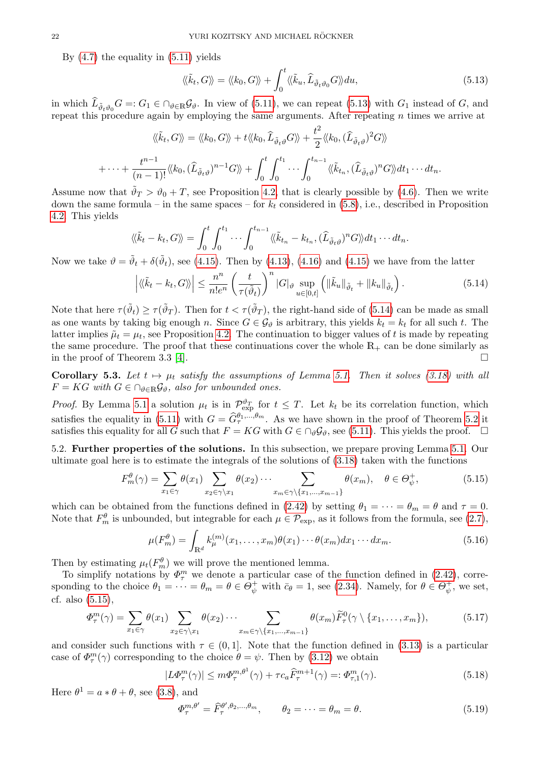By  $(4.7)$  the equality in  $(5.11)$  yields

<span id="page-21-1"></span>
$$
\langle\langle \tilde{k}_t, G \rangle\rangle = \langle\langle k_0, G \rangle\rangle + \int_0^t \langle\langle \tilde{k}_u, \hat{L}_{\tilde{\vartheta}_t \vartheta_0} G \rangle\rangle du, \qquad (5.13)
$$

in which  $L_{\tilde{\vartheta}_t\vartheta_0}G =: G_1 \in \bigcap_{\vartheta \in \mathbb{R}} \mathcal{G}_{\vartheta}$ . In view of [\(5.11\)](#page-20-0), we can repeat [\(5.13\)](#page-21-1) with  $G_1$  instead of  $G$ , and repeat this procedure again by employing the same arguments. After repeating  $n$  times we arrive at

$$
\langle\langle \tilde{k}_t, G \rangle\rangle = \langle\langle k_0, G \rangle\rangle + t \langle\langle k_0, \widehat{L}_{\tilde{\vartheta}_t \vartheta} G \rangle\rangle + \frac{t^2}{2} \langle\langle k_0, (\widehat{L}_{\tilde{\vartheta}_t \vartheta})^2 G \rangle\rangle
$$
  
+ \cdots + 
$$
\frac{t^{n-1}}{(n-1)!} \langle\langle k_0, (\widehat{L}_{\tilde{\vartheta}_t \vartheta})^{n-1} G \rangle\rangle + \int_0^t \int_0^{t_1} \cdots \int_0^{t_{n-1}} \langle\langle \tilde{k}_{t_n}, (\widehat{L}_{\tilde{\vartheta}_t \vartheta})^n G \rangle\rangle dt_1 \cdots dt_n.
$$

Assume now that  $\tilde{\vartheta}_T > \vartheta_0 + T$ , see Proposition [4.2,](#page-18-6) that is clearly possible by [\(4.6\)](#page-16-6). Then we write down the same formula – in the same spaces – for  $k_t$  considered in [\(5.8\)](#page-19-4), i.e., described in Proposition [4.2.](#page-18-6) This yields

$$
\langle\!\langle \tilde{k}_t-k_t, G\rangle\!\rangle = \int_0^t \int_0^{t_1} \cdots \int_0^{t_{n-1}} \langle\!\langle \tilde{k}_{t_n}-k_{t_n}, (\widehat{L}_{\tilde{\vartheta}_t\vartheta})^n G\rangle\!\rangle dt_1 \cdots dt_n.
$$

Now we take  $\vartheta = \tilde{\vartheta}_t + \delta(\tilde{\vartheta}_t)$ , see [\(4.15\)](#page-17-0). Then by [\(4.13\)](#page-16-9), [\(4.16\)](#page-17-5) and (4.15) we have from the latter

<span id="page-21-2"></span>
$$
\left| \langle \langle \tilde{k}_t - k_t, G \rangle \rangle \right| \leq \frac{n^n}{n! e^n} \left( \frac{t}{\tau(\tilde{\vartheta}_t)} \right)^n |G|_{\vartheta} \sup_{u \in [0,t]} \left( \| \tilde{k}_u \|_{\tilde{\vartheta}_t} + \| k_u \|_{\tilde{\vartheta}_t} \right).
$$
 (5.14)

Note that here  $\tau(\tilde{\vartheta}_t) \ge \tau(\tilde{\vartheta}_T)$ . Then for  $t < \tau(\tilde{\vartheta}_T)$ , the right-hand side of [\(5.14\)](#page-21-2) can be made as small as one wants by taking big enough n. Since  $G \in \mathcal{G}_{\theta}$  is arbitrary, this yields  $\tilde{k}_t = k_t$  for all such t. The latter implies  $\tilde{\mu}_t = \mu_t$ , see Proposition [4.2.](#page-18-6) The continuation to bigger values of t is made by repeating the same procedure. The proof that these continuations cover the whole  $\mathbb{R}_+$  can be done similarly as in the proof of Theorem 3.3 [\[4\]](#page-42-1).  $\Box$ 

<span id="page-21-8"></span>Corollary 5.3. Let  $t \mapsto \mu_t$  satisfy the assumptions of Lemma [5.1.](#page-18-3) Then it solves [\(3.18\)](#page-14-2) with all  $F = KG$  with  $G \in \bigcap_{\vartheta \in \mathbb{R}} \mathcal{G}_{\vartheta}$ , also for unbounded ones.

*Proof.* By Lemma [5.1](#page-18-3) a solution  $\mu_t$  is in  $\mathcal{P}_{\text{exp}}^{\vartheta_T}$  for  $t \leq T$ . Let  $k_t$  be its correlation function, which satisfies the equality in [\(5.11\)](#page-20-0) with  $G = \hat{G}_{\tau}^{\theta_1,\dots,\theta_m}$ . As we have shown in the proof of Theorem [5.2](#page-19-0) it satisfies this equality for all G such that  $F = KG$  with  $G \in \bigcap_{\vartheta} \mathcal{G}_{\vartheta}$ , see [\(5.11\)](#page-20-0). This yields the proof.  $\square$ 

<span id="page-21-0"></span>5.2. Further properties of the solutions. In this subsection, we prepare proving Lemma [5.1.](#page-18-3) Our ultimate goal here is to estimate the integrals of the solutions of [\(3.18\)](#page-14-2) taken with the functions

<span id="page-21-3"></span>
$$
F_m^{\theta}(\gamma) = \sum_{x_1 \in \gamma} \theta(x_1) \sum_{x_2 \in \gamma \setminus x_1} \theta(x_2) \cdots \sum_{x_m \in \gamma \setminus \{x_1, \dots, x_{m-1}\}} \theta(x_m), \quad \theta \in \Theta_{\psi}^+, \tag{5.15}
$$

which can be obtained from the functions defined in [\(2.42\)](#page-10-0) by setting  $\theta_1 = \cdots = \theta_m = \theta$  and  $\tau = 0$ . Note that  $F_m^{\theta}$  is unbounded, but integrable for each  $\mu \in \mathcal{P}_{\rm exp}$ , as it follows from the formula, see [\(2.7\)](#page-4-3),

<span id="page-21-7"></span>
$$
\mu(F_m^{\theta}) = \int_{\mathbb{R}^d} k_{\mu}^{(m)}(x_1, \dots, x_m) \theta(x_1) \cdots \theta(x_m) dx_1 \cdots dx_m.
$$
\n(5.16)

Then by estimating  $\mu_t(F_m^{\theta})$  we will prove the mentioned lemma.

To simplify notations by  $\Phi_{\tau}^{m}$  we denote a particular case of the function defined in [\(2.42\)](#page-10-0), corresponding to the choice  $\theta_1 = \cdots = \theta_m = \theta \in \Theta_{\psi}^+$  with  $\bar{c}_{\theta} = 1$ , see [\(2.34\)](#page-9-3). Namely, for  $\theta \in \Theta_{\psi}^+$  $\psi^+_{\psi}$ , we set, cf. also [\(5.15\)](#page-21-3),

<span id="page-21-6"></span>
$$
\Phi_{\tau}^{m}(\gamma) = \sum_{x_1 \in \gamma} \theta(x_1) \sum_{x_2 \in \gamma \setminus x_1} \theta(x_2) \cdots \sum_{x_m \in \gamma \setminus \{x_1, \dots, x_{m-1}\}} \theta(x_m) \widetilde{F}_{\tau}^{0}(\gamma \setminus \{x_1, \dots, x_m\}), \tag{5.17}
$$

and consider such functions with  $\tau \in (0, 1]$ . Note that the function defined in [\(3.13\)](#page-12-7) is a particular case of  $\Phi_{\tau}^{m}(\gamma)$  corresponding to the choice  $\theta = \psi$ . Then by [\(3.12\)](#page-12-8) we obtain

<span id="page-21-5"></span>
$$
|L\Phi_{\tau}^{m}(\gamma)| \leq m\Phi_{\tau}^{m,\theta^{1}}(\gamma) + \tau c_{a}\widehat{F}_{\tau}^{m+1}(\gamma) =: \Phi_{\tau,1}^{m}(\gamma).
$$
\n(5.18)

Here  $\theta^1 = a * \theta + \theta$ , see [\(3.8\)](#page-12-3), and

<span id="page-21-4"></span>
$$
\Phi_{\tau}^{m,\theta'} = \widehat{F}_{\tau}^{\theta',\theta_2,\dots,\theta_m}, \qquad \theta_2 = \dots = \theta_m = \theta.
$$
\n(5.19)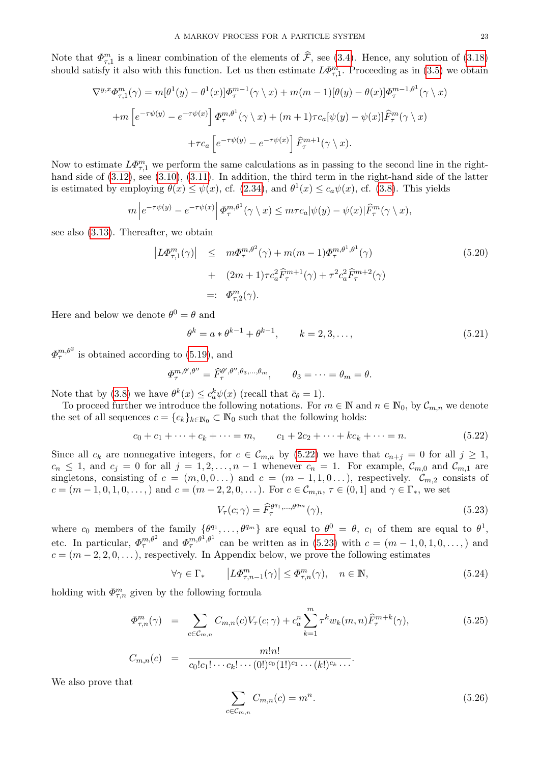Note that  $\Phi_{\tau,1}^m$  is a linear combination of the elements of  $\hat{\mathcal{F}}$ , see [\(3.4\)](#page-11-6). Hence, any solution of [\(3.18\)](#page-14-2) should satisfy it also with this function. Let us then estimate  $L\Phi_{\tau,1}^m$ . Proceeding as in [\(3.5\)](#page-12-2) we obtain

$$
\nabla^{y,x} \Phi_{\tau,1}^m(\gamma) = m[\theta^1(y) - \theta^1(x)] \Phi_{\tau}^{m-1}(\gamma \setminus x) + m(m-1)[\theta(y) - \theta(x)] \Phi_{\tau}^{m-1,\theta^1}(\gamma \setminus x)
$$

$$
+ m \left[ e^{-\tau \psi(y)} - e^{-\tau \psi(x)} \right] \Phi_{\tau}^{m,\theta^1}(\gamma \setminus x) + (m+1)\tau c_a[\psi(y) - \psi(x)] \widehat{F}_{\tau}^m(\gamma \setminus x)
$$

$$
+ \tau c_a \left[ e^{-\tau \psi(y)} - e^{-\tau \psi(x)} \right] \widehat{F}_{\tau}^{m+1}(\gamma \setminus x).
$$

Now to estimate  $L\Phi_{\tau,1}^m$  we perform the same calculations as in passing to the second line in the righthand side of  $(3.12)$ , see  $(3.10)$ ,  $(3.11)$ . In addition, the third term in the right-hand side of the latter is estimated by employing  $\theta(x) \leq \psi(x)$ , cf. [\(2.34\)](#page-9-3), and  $\theta^1(x) \leq c_a \psi(x)$ , cf. [\(3.8\)](#page-12-3). This yields

$$
m\left|e^{-\tau\psi(y)}-e^{-\tau\psi(x)}\right|\Phi_{\tau}^{m,\theta^1}(\gamma\setminus x)\leq m\tau c_a|\psi(y)-\psi(x)|\widehat{F}_{\tau}^m(\gamma\setminus x),
$$

see also [\(3.13\)](#page-12-7). Thereafter, we obtain

<span id="page-22-3"></span>
$$
\begin{aligned}\n\left| L\Phi_{\tau,1}^{m}(\gamma) \right| &\leq m\Phi_{\tau}^{m,\theta^{2}}(\gamma) + m(m-1)\Phi_{\tau}^{m,\theta^{1},\theta^{1}}(\gamma) \\
&\quad + (2m+1)\tau c_{a}^{2}\widehat{F}_{\tau}^{m+1}(\gamma) + \tau^{2}c_{a}^{2}\widehat{F}_{\tau}^{m+2}(\gamma) \\
&=\::\Phi_{\tau,2}^{m}(\gamma).\n\end{aligned} \tag{5.20}
$$

Here and below we denote  $\theta^0 = \theta$  and

<span id="page-22-5"></span>
$$
\theta^{k} = a * \theta^{k-1} + \theta^{k-1}, \qquad k = 2, 3, ..., \qquad (5.21)
$$

 $\Phi_{\tau}^{m,\theta^2}$  is obtained according to [\(5.19\)](#page-21-4), and

$$
\Phi_{\tau}^{m,\theta',\theta''} = \widehat{F}_{\tau}^{\theta',\theta'',\theta_3,\dots,\theta_m}, \qquad \theta_3 = \dots = \theta_m = \theta.
$$

Note that by [\(3.8\)](#page-12-3) we have  $\theta^k(x) \leq c_a^k \psi(x)$  (recall that  $\bar{c}_{\theta} = 1$ ).

To proceed further we introduce the following notations. For  $m \in \mathbb{N}$  and  $n \in \mathbb{N}_0$ , by  $\mathcal{C}_{m,n}$  we denote the set of all sequences  $c = \{c_k\}_{k \in \mathbb{N}_0} \subset \mathbb{N}_0$  such that the following holds:

<span id="page-22-0"></span>
$$
c_0 + c_1 + \dots + c_k + \dots = m, \qquad c_1 + 2c_2 + \dots + kc_k + \dots = n. \tag{5.22}
$$

Since all  $c_k$  are nonnegative integers, for  $c \in \mathcal{C}_{m,n}$  by [\(5.22\)](#page-22-0) we have that  $c_{n+j} = 0$  for all  $j \ge 1$ ,  $c_n \leq 1$ , and  $c_j = 0$  for all  $j = 1, 2, \ldots, n-1$  whenever  $c_n = 1$ . For example,  $\mathcal{C}_{m,0}$  and  $\mathcal{C}_{m,1}$  are singletons, consisting of  $c = (m, 0, 0, ...)$  and  $c = (m - 1, 1, 0, ...)$ , respectively.  $\mathcal{C}_{m,2}$  consists of  $c = (m-1, 0, 1, 0, \ldots)$  and  $c = (m-2, 2, 0, \ldots)$ . For  $c \in \mathcal{C}_{m,n}$ ,  $\tau \in (0, 1]$  and  $\gamma \in \Gamma_*$ , we set

<span id="page-22-1"></span>
$$
V_{\tau}(c;\gamma) = \widehat{F}_{\tau}^{\theta^{q_1},\dots,\theta^{q_m}}(\gamma),\tag{5.23}
$$

where  $c_0$  members of the family  $\{\theta^{q_1}, \ldots, \theta^{q_m}\}$  are equal to  $\theta^0 = \theta$ ,  $c_1$  of them are equal to  $\theta^1$ , etc. In particular,  $\Phi_{\tau}^{m,\theta^2}$  and  $\Phi_{\tau}^{m,\theta^1,\theta^1}$  can be written as in [\(5.23\)](#page-22-1) with  $c = (m-1,0,1,0,\ldots)$  and  $c = (m-2, 2, 0, \dots)$ , respectively. In Appendix below, we prove the following estimates

<span id="page-22-6"></span>
$$
\forall \gamma \in \Gamma_* \qquad \left| L\Phi_{\tau,n-1}^m(\gamma) \right| \le \Phi_{\tau,n}^m(\gamma), \quad n \in \mathbb{N}, \tag{5.24}
$$

holding with  $\Phi_{\tau,n}^m$  given by the following formula

<span id="page-22-2"></span>
$$
\Phi_{\tau,n}^m(\gamma) = \sum_{c \in \mathcal{C}_{m,n}} C_{m,n}(c) V_\tau(c;\gamma) + c_a^n \sum_{k=1}^m \tau^k w_k(m,n) \widehat{F}_{\tau}^{m+k}(\gamma), \tag{5.25}
$$

$$
C_{m,n}(c) = \frac{m!n!}{c_0!c_1!\cdots c_k!\cdots(0!)^{c_0}(1!)^{c_1}\cdots(k!)^{c_k}\cdots}.
$$

We also prove that

<span id="page-22-4"></span>
$$
\sum_{c \in \mathcal{C}_{m,n}} C_{m,n}(c) = m^n. \tag{5.26}
$$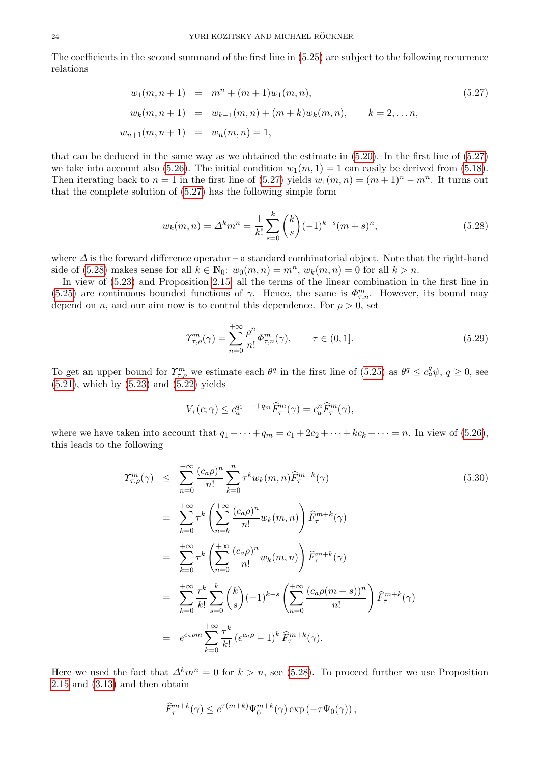The coefficients in the second summand of the first line in [\(5.25\)](#page-22-2) are subject to the following recurrence relations

<span id="page-23-0"></span>
$$
w_1(m, n+1) = m^n + (m+1)w_1(m, n),
$$
  
\n
$$
w_k(m, n+1) = w_{k-1}(m, n) + (m+k)w_k(m, n),
$$
  
\n
$$
k = 2, ..., n,
$$
  
\n
$$
w_{n+1}(m, n+1) = w_n(m, n) = 1,
$$
  
\n(5.27)

that can be deduced in the same way as we obtained the estimate in [\(5.20\)](#page-22-3). In the first line of [\(5.27\)](#page-23-0) we take into account also [\(5.26\)](#page-22-4). The initial condition  $w_1(m, 1) = 1$  can easily be derived from [\(5.18\)](#page-21-5). Then iterating back to  $n = 1$  in the first line of [\(5.27\)](#page-23-0) yields  $w_1(m, n) = (m + 1)^n - m^n$ . It turns out that the complete solution of [\(5.27\)](#page-23-0) has the following simple form

<span id="page-23-1"></span>
$$
w_k(m,n) = \Delta^k m^n = \frac{1}{k!} \sum_{s=0}^k {k \choose s} (-1)^{k-s} (m+s)^n,
$$
\n(5.28)

where  $\Delta$  is the forward difference operator – a standard combinatorial object. Note that the right-hand side of [\(5.28\)](#page-23-1) makes sense for all  $k \in \mathbb{N}_0$ :  $w_0(m, n) = m^n$ ,  $w_k(m, n) = 0$  for all  $k > n$ .

In view of [\(5.23\)](#page-22-1) and Proposition [2.15,](#page-10-5) all the terms of the linear combination in the first line in [\(5.25\)](#page-22-2) are continuous bounded functions of  $\gamma$ . Hence, the same is  $\Phi_{\tau,n}^m$ . However, its bound may depend on n, and our aim now is to control this dependence. For  $\rho > 0$ , set

<span id="page-23-3"></span>
$$
\Upsilon_{\tau,\rho}^m(\gamma) = \sum_{n=0}^{+\infty} \frac{\rho^n}{n!} \Phi_{\tau,n}^m(\gamma), \qquad \tau \in (0,1].
$$
\n(5.29)

To get an upper bound for  $\Upsilon_{\tau,\rho}^m$  we estimate each  $\theta^q$  in the first line of [\(5.25\)](#page-22-2) as  $\theta^q \leq c_a^q \psi$ ,  $q \geq 0$ , see  $(5.21)$ , which by  $(5.23)$  and  $(5.22)$  yields

$$
V_{\tau}(c;\gamma) \le c_a^{q_1 + \dots + q_m} \widehat{F}_{\tau}^m(\gamma) = c_a^n \widehat{F}_{\tau}^m(\gamma),
$$

where we have taken into account that  $q_1 + \cdots + q_m = c_1 + 2c_2 + \cdots + kc_k + \cdots = n$ . In view of [\(5.26\)](#page-22-4), this leads to the following

<span id="page-23-2"></span>
$$
\mathcal{L}_{\tau,\rho}^{m}(\gamma) \leq \sum_{n=0}^{+\infty} \frac{(c_{a}\rho)^{n}}{n!} \sum_{k=0}^{n} \tau^{k} w_{k}(m,n) \widehat{F}_{\tau}^{m+k}(\gamma)
$$
\n
$$
= \sum_{k=0}^{+\infty} \tau^{k} \left( \sum_{n=k}^{+\infty} \frac{(c_{a}\rho)^{n}}{n!} w_{k}(m,n) \right) \widehat{F}_{\tau}^{m+k}(\gamma)
$$
\n
$$
= \sum_{k=0}^{+\infty} \tau^{k} \left( \sum_{n=0}^{+\infty} \frac{(c_{a}\rho)^{n}}{n!} w_{k}(m,n) \right) \widehat{F}_{\tau}^{m+k}(\gamma)
$$
\n
$$
= \sum_{k=0}^{+\infty} \frac{\tau^{k}}{k!} \sum_{s=0}^{k} {k \choose s} (-1)^{k-s} \left( \sum_{n=0}^{+\infty} \frac{(c_{a}\rho(m+s))^{n}}{n!} \right) \widehat{F}_{\tau}^{m+k}(\gamma)
$$
\n
$$
= e^{c_{a}\rho m} \sum_{k=0}^{+\infty} \frac{\tau^{k}}{k!} (e^{c_{a}\rho} - 1)^{k} \widehat{F}_{\tau}^{m+k}(\gamma).
$$
\n(5.30)

Here we used the fact that  $\Delta^k m^n = 0$  for  $k > n$ , see [\(5.28\)](#page-23-1). To proceed further we use Proposition [2.15](#page-10-5) and [\(3.13\)](#page-12-7) and then obtain

$$
\widehat{F}^{m+k}_\tau(\gamma) \leq e^{\tau(m+k)}\Psi^{m+k}_0(\gamma)\exp\left(-\tau\Psi_0(\gamma)\right),
$$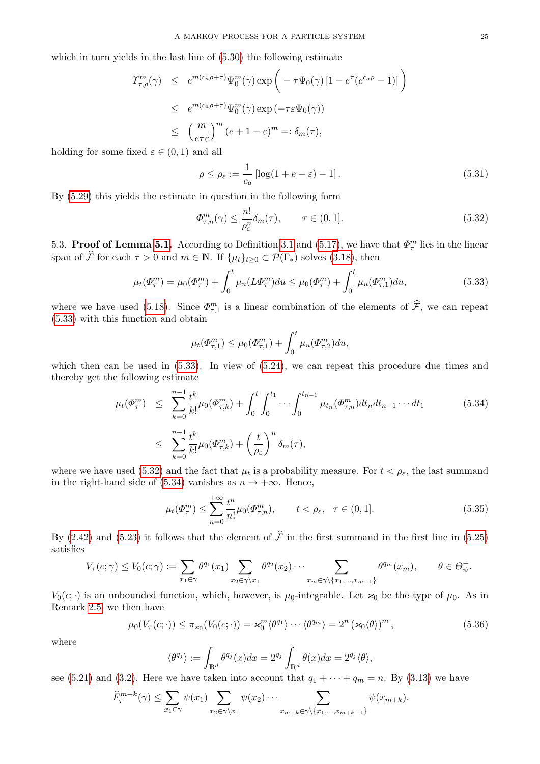which in turn yields in the last line of  $(5.30)$  the following estimate

$$
\begin{aligned}\n\Upsilon_{\tau,\rho}^{m}(\gamma) &\leq e^{m(c_{a}\rho+\tau)}\Psi_{0}^{m}(\gamma)\exp\left(-\tau\Psi_{0}(\gamma)\left[1-e^{\tau}(e^{c_{a}\rho}-1)\right]\right) \\
&\leq e^{m(c_{a}\rho+\tau)}\Psi_{0}^{m}(\gamma)\exp\left(-\tau\varepsilon\Psi_{0}(\gamma)\right) \\
&\leq \left(\frac{m}{e\tau\varepsilon}\right)^{m}(e+1-\varepsilon)^{m} =: \delta_{m}(\tau),\n\end{aligned}
$$

holding for some fixed  $\varepsilon \in (0,1)$  and all

<span id="page-24-6"></span>
$$
\rho \le \rho_{\varepsilon} := \frac{1}{c_a} \left[ \log(1 + e - \varepsilon) - 1 \right]. \tag{5.31}
$$

By [\(5.29\)](#page-23-3) this yields the estimate in question in the following form

<span id="page-24-2"></span>
$$
\Phi_{\tau,n}^m(\gamma) \le \frac{n!}{\rho_{\varepsilon}^n} \delta_m(\tau), \qquad \tau \in (0,1]. \tag{5.32}
$$

<span id="page-24-0"></span>5.3. Proof of Lemma [5.1.](#page-18-3) According to Definition [3.1](#page-11-5) and [\(5.17\)](#page-21-6), we have that  $\Phi_{\tau}^{m}$  lies in the linear span of  $\hat{\mathcal{F}}$  for each  $\tau > 0$  and  $m \in \mathbb{N}$ . If  $\{\mu_t\}_{t\geq 0} \subset \mathcal{P}(\Gamma_*)$  solves [\(3.18\)](#page-14-2), then

<span id="page-24-1"></span>
$$
\mu_t(\Phi_\tau^m) = \mu_0(\Phi_\tau^m) + \int_0^t \mu_u(L\Phi_\tau^m) du \le \mu_0(\Phi_\tau^m) + \int_0^t \mu_u(\Phi_{\tau,1}^m) du,\tag{5.33}
$$

where we have used [\(5.18\)](#page-21-5). Since  $\Phi_{\tau,1}^m$  is a linear combination of the elements of  $\hat{\mathcal{F}}$ , we can repeat [\(5.33\)](#page-24-1) with this function and obtain

$$
\mu_t(\Phi_{\tau,1}^m) \le \mu_0(\Phi_{\tau,1}^m) + \int_0^t \mu_u(\Phi_{\tau,2}^m) du,
$$

which then can be used in  $(5.33)$ . In view of  $(5.24)$ , we can repeat this procedure due times and thereby get the following estimate

<span id="page-24-3"></span>
$$
\mu_t(\Phi_\tau^m) \leq \sum_{k=0}^{n-1} \frac{t^k}{k!} \mu_0(\Phi_{\tau,k}^m) + \int_0^t \int_0^{t_1} \cdots \int_0^{t_{n-1}} \mu_{t_n}(\Phi_{\tau,n}^m) dt_n dt_{n-1} \cdots dt_1
$$
\n
$$
\leq \sum_{k=0}^{n-1} \frac{t^k}{k!} \mu_0(\Phi_{\tau,k}^m) + \left(\frac{t}{\rho_\varepsilon}\right)^n \delta_m(\tau),
$$
\n(5.34)

where we have used [\(5.32\)](#page-24-2) and the fact that  $\mu_t$  is a probability measure. For  $t < \rho_{\varepsilon}$ , the last summand in the right-hand side of [\(5.34\)](#page-24-3) vanishes as  $n \to +\infty$ . Hence,

<span id="page-24-5"></span>
$$
\mu_t(\Phi_\tau^m) \le \sum_{n=0}^{+\infty} \frac{t^n}{n!} \mu_0(\Phi_{\tau,n}^m), \qquad t < \rho_\varepsilon, \quad \tau \in (0,1]. \tag{5.35}
$$

By [\(2.42\)](#page-10-0) and [\(5.23\)](#page-22-1) it follows that the element of  $\hat{\mathcal{F}}$  in the first summand in the first line in [\(5.25\)](#page-22-2) satisfies

$$
V_{\tau}(c;\gamma) \leq V_0(c;\gamma) := \sum_{x_1 \in \gamma} \theta^{q_1}(x_1) \sum_{x_2 \in \gamma \setminus x_1} \theta^{q_2}(x_2) \cdots \sum_{x_m \in \gamma \setminus \{x_1, \ldots, x_{m-1}\}} \theta^{q_m}(x_m), \qquad \theta \in \Theta_{\psi}^+.
$$

 $V_0(c; \cdot)$  is an unbounded function, which, however, is  $\mu_0$ -integrable. Let  $\varkappa_0$  be the type of  $\mu_0$ . As in Remark [2.5,](#page-5-2) we then have

<span id="page-24-4"></span>
$$
\mu_0(V_\tau(c; \cdot)) \le \pi_{\varkappa_0}(V_0(c; \cdot)) = \varkappa_0^m \langle \theta^{q_1} \rangle \cdots \langle \theta^{q_m} \rangle = 2^n \left( \varkappa_0 \langle \theta \rangle \right)^m, \tag{5.36}
$$

where

$$
\langle \theta^{q_j} \rangle := \int_{\mathbb{R}^d} \theta^{q_j}(x) dx = 2^{q_j} \int_{\mathbb{R}^d} \theta(x) dx = 2^{q_j} \langle \theta \rangle,
$$

see [\(5.21\)](#page-22-5) and [\(3.2\)](#page-11-3). Here we have taken into account that  $q_1 + \cdots + q_m = n$ . By [\(3.13\)](#page-12-7) we have

$$
\widehat{F}_{\tau}^{m+k}(\gamma) \leq \sum_{x_1 \in \gamma} \psi(x_1) \sum_{x_2 \in \gamma \setminus x_1} \psi(x_2) \cdots \sum_{x_{m+k} \in \gamma \setminus \{x_1, \dots, x_{m+k-1}\}} \psi(x_{m+k}).
$$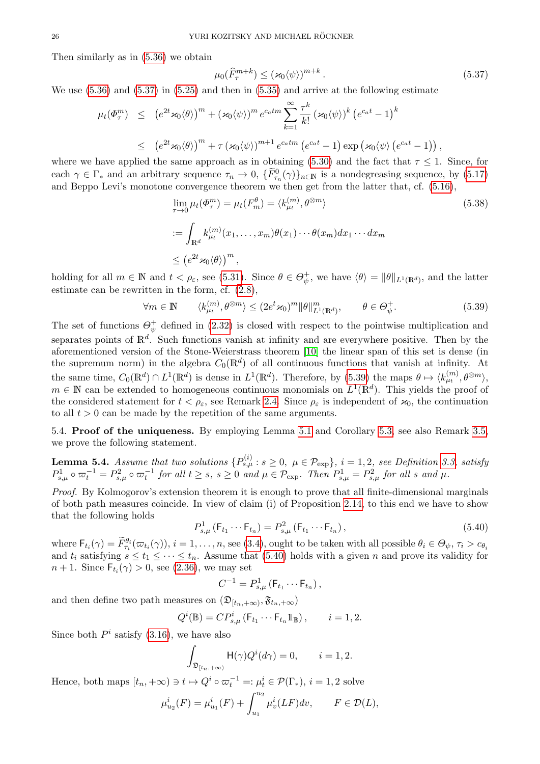Then similarly as in [\(5.36\)](#page-24-4) we obtain

<span id="page-25-2"></span>
$$
\mu_0(\widehat{F}_{\tau}^{m+k}) \le (\varkappa_0 \langle \psi \rangle)^{m+k} \,. \tag{5.37}
$$

We use  $(5.36)$  and  $(5.37)$  in  $(5.25)$  and then in  $(5.35)$  and arrive at the following estimate

$$
\mu_t(\Phi_\tau^m) \leq (e^{2t} \varkappa_0 \langle \theta \rangle)^m + (\varkappa_0 \langle \psi \rangle)^m e^{c_a t m} \sum_{k=1}^{\infty} \frac{\tau^k}{k!} (\varkappa_0 \langle \psi \rangle)^k (e^{c_a t} - 1)^k
$$
  

$$
\leq (e^{2t} \varkappa_0 \langle \theta \rangle)^m + \tau (\varkappa_0 \langle \psi \rangle)^{m+1} e^{c_a t m} (e^{c_a t} - 1) \exp (\varkappa_0 \langle \psi \rangle (e^{c_a t} - 1)),
$$

where we have applied the same approach as in obtaining [\(5.30\)](#page-23-2) and the fact that  $\tau \leq 1$ . Since, for each  $\gamma \in \Gamma_*$  and an arbitrary sequence  $\tau_n \to 0$ ,  $\{\widetilde{F}_{\tau_n}^0(\gamma)\}_{n\in\mathbb{N}}$  is a nondegreasing sequence, by [\(5.17\)](#page-21-6) and Beppo Levi's monotone convergence theorem we then get from the latter that, cf. [\(5.16\)](#page-21-7),

<span id="page-25-5"></span>
$$
\lim_{\tau \to 0} \mu_t(\Phi_\tau^m) = \mu_t(F_m^\theta) = \langle k_{\mu_t}^{(m)}, \theta^{\otimes m} \rangle
$$
\n
$$
:= \int_{\mathbb{R}^d} k_{\mu_t}^{(m)}(x_1, \dots, x_m) \theta(x_1) \cdots \theta(x_m) dx_1 \cdots dx_m
$$
\n
$$
\leq (e^{2t} \varkappa_0 \langle \theta \rangle)^m,
$$
\n(5.38)

holding for all  $m \in \mathbb{N}$  and  $t < \rho_{\varepsilon}$ , see [\(5.31\)](#page-24-6). Since  $\theta \in \Theta_{\psi}^+$  $\psi_{\psi}^{+}$ , we have  $\langle \theta \rangle = ||\theta||_{L^{1}(\mathbb{R}^{d})}$ , and the latter estimate can be rewritten in the form, cf. [\(2.8\)](#page-4-9),

<span id="page-25-3"></span>
$$
\forall m \in \mathbb{N} \qquad \langle k_{\mu}^{(m)}, \theta^{\otimes m} \rangle \le (2e^t \varkappa_0)^m \|\theta\|_{L^1(\mathbb{R}^d)}^m, \qquad \theta \in \Theta_{\psi}^+.
$$

The set of functions  $\Theta_{\psi}^+$  $\psi$  defined in [\(2.32\)](#page-9-4) is closed with respect to the pointwise multiplication and separates points of  $\mathbb{R}^d$ . Such functions vanish at infinity and are everywhere positive. Then by the aforementioned version of the Stone-Weierstrass theorem [\[10\]](#page-42-8) the linear span of this set is dense (in the supremum norm) in the algebra  $C_0(\mathbb{R}^d)$  of all continuous functions that vanish at infinity. At the same time,  $C_0(\mathbb{R}^d) \cap L^1(\mathbb{R}^d)$  is dense in  $L^1(\mathbb{R}^d)$ . Therefore, by [\(5.39\)](#page-25-3) the maps  $\theta \mapsto \langle k_{\mu_t}^{(m)}, \theta^{\otimes m} \rangle$ ,  $m \in \mathbb{N}$  can be extended to homogeneous continuous monomials on  $L^1(\mathbb{R}^d)$ . This yields the proof of the considered statement for  $t < \rho_{\varepsilon}$ , see Remark [2.4.](#page-5-6) Since  $\rho_{\varepsilon}$  is independent of  $\varkappa_0$ , the continuation to all  $t > 0$  can be made by the repetition of the same arguments.

<span id="page-25-0"></span>5.4. Proof of the uniqueness. By employing Lemma [5.1](#page-18-3) and Corollary [5.3,](#page-21-8) see also Remark [3.5,](#page-14-3) we prove the following statement.

<span id="page-25-1"></span>**Lemma 5.4.** Assume that two solutions  ${P_{s,\mu}^{(i)}: s \ge 0, \ \mu \in \mathcal{P}_{exp}}$ ,  $i = 1, 2$ , see Definition [3.3,](#page-13-4) satisfy  $P_{s,\mu}^1 \circ \varpi_t^{-1} = P_{s,\mu}^2 \circ \varpi_t^{-1}$  for all  $t \geq s$ ,  $s \geq 0$  and  $\mu \in \mathcal{P}_{\exp}$ . Then  $P_{s,\mu}^1 = P_{s,\mu}^2$  for all s and  $\mu$ .

Proof. By Kolmogorov's extension theorem it is enough to prove that all finite-dimensional marginals of both path measures coincide. In view of claim (i) of Proposition [2.14,](#page-10-6) to this end we have to show that the following holds

<span id="page-25-4"></span>
$$
P_{s,\mu}^{1}(\mathsf{F}_{t_{1}}\cdots\mathsf{F}_{t_{n}})=P_{s,\mu}^{2}(\mathsf{F}_{t_{1}}\cdots\mathsf{F}_{t_{n}}),
$$
\n(5.40)

where  $\mathsf{F}_{t_i}(\gamma) = \widetilde{F}_{\tau_i}^{\theta_i}(\varpi_{t_i}(\gamma)), i = 1, \ldots, n$ , see [\(3.4\)](#page-11-6), ought to be taken with all possible  $\theta_i \in \Theta_{\psi}, \tau_i > c_{\theta_i}$ and  $t_i$  satisfying  $s \le t_1 \le \cdots \le t_n$ . Assume that [\(5.40\)](#page-25-4) holds with a given n and prove its validity for  $n+1$ . Since  $\mathsf{F}_{t_i}(\gamma) > 0$ , see [\(2.36\)](#page-9-1), we may set

$$
C^{-1} = P_{s,\mu}^1(\mathsf{F}_{t_1} \cdots \mathsf{F}_{t_n}),
$$

and then define two path measures on  $(\mathfrak{D}_{[t_n,+\infty)}, \mathfrak{F}_{t_n,+\infty})$ 

$$
Q^{i}(\mathbb{B}) = CP^{i}_{s,\mu}(\mathsf{F}_{t_1}\cdots\mathsf{F}_{t_n}\mathbb{1}_{\mathbb{B}}), \qquad i = 1,2.
$$

Since both  $P^i$  satisfy [\(3.16\)](#page-13-5), we have also

$$
\int_{\mathfrak{D}_{[t_n,+\infty)}} \mathsf{H}(\gamma) Q^i(d\gamma) = 0, \qquad i = 1, 2.
$$

Hence, both maps  $[t_n, +\infty) \ni t \mapsto Q^i \circ \varpi_t^{-1} =: \mu_t^i \in \mathcal{P}(\Gamma_*), i = 1, 2$  solve

$$
\mu_{u_2}^i(F) = \mu_{u_1}^i(F) + \int_{u_1}^{u_2} \mu_v^i(LF) dv, \qquad F \in \mathcal{D}(L),
$$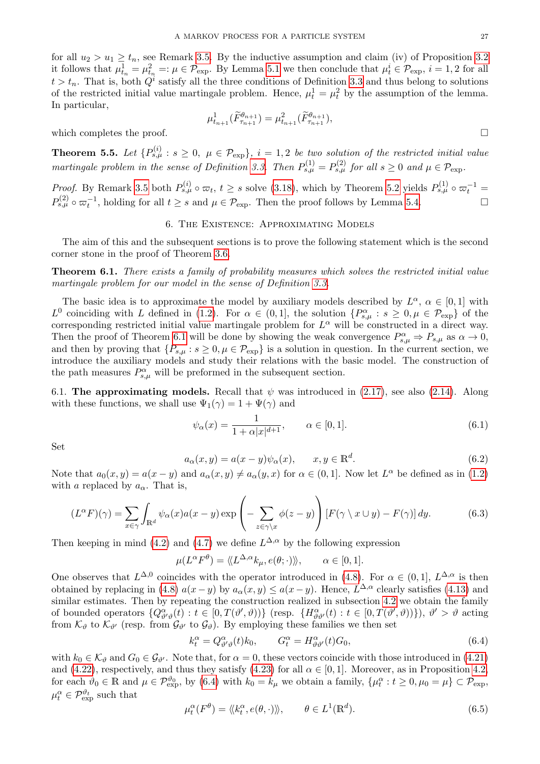for all  $u_2 > u_1 \ge t_n$ , see Remark [3.5.](#page-14-3) By the inductive assumption and claim (iv) of Proposition [3.2](#page-13-3) it follows that  $\mu_{t_n}^1 = \mu_{t_n}^2 =: \mu \in \mathcal{P}_{\text{exp}}$ . By Lemma [5.1](#page-18-3) we then conclude that  $\mu_t^i \in \mathcal{P}_{\text{exp}}$ ,  $i = 1, 2$  for all  $t > t_n$ . That is, both  $Q^i$  satisfy all the three conditions of Definition [3.3](#page-13-4) and thus belong to solutions of the restricted initial value martingale problem. Hence,  $\mu_t^1 = \mu_t^2$  by the assumption of the lemma. In particular,

$$
\mu^1_{t_{n+1}}(\widetilde{F}^{\theta_{n+1}}_{\tau_{n+1}}) = \mu^2_{t_{n+1}}(\widetilde{F}^{\theta_{n+1}}_{\tau_{n+1}}),
$$

which completes the proof.  $\Box$ 

<span id="page-26-8"></span>**Theorem 5.5.** Let  ${P_{s,\mu}^{(i)}: s \geq 0, \ \mu \in \mathcal{P}_{exp}}$ ,  $i = 1,2$  be two solution of the restricted initial value martingale problem in the sense of Definition [3.3.](#page-13-4) Then  $P_{s,\mu}^{(1)} = P_{s,\mu}^{(2)}$  for all  $s \geq 0$  and  $\mu \in \mathcal{P}_{\text{exp}}$ .

*Proof.* By Remark [3.5](#page-14-3) both  $P_{s,\mu}^{(i)} \circ \varpi_t$ ,  $t \geq s$  solve [\(3.18\)](#page-14-2), which by Theorem [5.2](#page-19-0) yields  $P_{s,\mu}^{(1)} \circ \varpi_t^{-1} =$  $P_{s,\mu}^{(2)} \circ \varpi_t^{-1}$ , holding for all  $t \geq s$  and  $\mu \in \mathcal{P}_{\text{exp}}$ . Then the proof follows by Lemma [5.4.](#page-25-1)

# 6. The Existence: Approximating Models

<span id="page-26-0"></span>The aim of this and the subsequent sections is to prove the following statement which is the second corner stone in the proof of Theorem [3.6.](#page-14-1)

<span id="page-26-2"></span>**Theorem 6.1.** There exists a family of probability measures which solves the restricted initial value martingale problem for our model in the sense of Definition [3.3.](#page-13-4)

The basic idea is to approximate the model by auxiliary models described by  $L^{\alpha}$ ,  $\alpha \in [0,1]$  with  $L^0$  coinciding with L defined in [\(1.2\)](#page-1-1). For  $\alpha \in (0,1]$ , the solution  $\{P^{\alpha}_{s,\mu}: s \geq 0, \mu \in \mathcal{P}_{\text{exp}}\}$  of the corresponding restricted initial value martingale problem for  $L^{\alpha}$  will be constructed in a direct way. Then the proof of Theorem [6.1](#page-26-2) will be done by showing the weak convergence  $P^{\alpha}_{s,\mu} \Rightarrow P_{s,\mu}$  as  $\alpha \to 0$ , and then by proving that  $\{P_{s,\mu}: s \geq 0, \mu \in \mathcal{P}_{\exp}\}\$ is a solution in question. In the current section, we introduce the auxiliary models and study their relations with the basic model. The construction of the path measures  $P^{\alpha}_{s,\mu}$  will be preformed in the subsequent section.

<span id="page-26-1"></span>6.1. The approximating models. Recall that  $\psi$  was introduced in [\(2.17\)](#page-6-2), see also [\(2.14\)](#page-6-4). Along with these functions, we shall use  $\Psi_1(\gamma) = 1 + \Psi(\gamma)$  and

<span id="page-26-5"></span>
$$
\psi_{\alpha}(x) = \frac{1}{1 + \alpha |x|^{d+1}}, \qquad \alpha \in [0, 1].
$$
\n(6.1)

Set

<span id="page-26-6"></span>
$$
a_{\alpha}(x, y) = a(x - y)\psi_{\alpha}(x), \qquad x, y \in \mathbb{R}^d.
$$
\n(6.2)

Note that  $a_0(x, y) = a(x - y)$  and  $a_\alpha(x, y) \neq a_\alpha(y, x)$  for  $\alpha \in (0, 1]$ . Now let  $L^\alpha$  be defined as in  $(1.2)$ with a replaced by  $a_{\alpha}$ . That is,

<span id="page-26-3"></span>
$$
(L^{\alpha}F)(\gamma) = \sum_{x \in \gamma} \int_{\mathbb{R}^d} \psi_{\alpha}(x) a(x - y) \exp\left(-\sum_{z \in \gamma \setminus x} \phi(z - y)\right) \left[F(\gamma \setminus x \cup y) - F(\gamma)\right] dy.
$$
 (6.3)

Then keeping in mind [\(4.2\)](#page-15-4) and [\(4.7\)](#page-16-5) we define  $L^{\Delta,\alpha}$  by the following expression

$$
\mu(L^{\alpha}F^{\theta}) = \langle L^{\Delta,\alpha}k_{\mu}, e(\theta; \cdot) \rangle, \qquad \alpha \in [0,1].
$$

One observes that  $L^{\Delta,0}$  coincides with the operator introduced in [\(4.8\)](#page-16-1). For  $\alpha \in (0,1], L^{\Delta,\alpha}$  is then obtained by replacing in [\(4.8\)](#page-16-1)  $a(x-y)$  by  $a_{\alpha}(x,y) \leq a(x-y)$ . Hence,  $L^{\Delta,\alpha}$  clearly satisfies [\(4.13\)](#page-16-9) and similar estimates. Then by repeating the construction realized in subsection [4.2](#page-16-0) we obtain the family of bounded operators  $\{Q_{\vartheta'\vartheta}^{\alpha}(t): t \in [0, T(\vartheta', \vartheta))\}$  (resp.  $\{H_{\vartheta\vartheta'}^{\alpha}(t): t \in [0, T(\vartheta', \vartheta))\}$ ),  $\vartheta' > \vartheta$  acting from  $\mathcal{K}_{\vartheta}$  to  $\mathcal{K}_{\vartheta'}$  (resp. from  $\mathcal{G}_{\vartheta'}$  to  $\mathcal{G}_{\vartheta}$ ). By employing these families we then set

<span id="page-26-4"></span>
$$
k_t^{\alpha} = Q_{\vartheta' \vartheta}^{\alpha}(t)k_0, \qquad G_t^{\alpha} = H_{\vartheta \vartheta'}^{\alpha}(t)G_0,
$$
\n
$$
(6.4)
$$

with  $k_0 \in \mathcal{K}_{\theta}$  and  $G_0 \in \mathcal{G}_{\theta'}$ . Note that, for  $\alpha = 0$ , these vectors coincide with those introduced in [\(4.21\)](#page-17-3) and [\(4.22\)](#page-17-6), respectively, and thus they satisfy [\(4.23\)](#page-17-7) for all  $\alpha \in [0,1]$ . Moreover, as in Proposition [4.2,](#page-18-6) for each  $\vartheta_0 \in \mathbb{R}$  and  $\mu \in \mathcal{P}_{\rm exp}^{\vartheta_0}$ , by [\(6.4\)](#page-26-4) with  $k_0 = k_\mu$  we obtain a family,  $\{\mu_t^{\alpha}: t \geq 0, \mu_0 = \mu\} \subset \mathcal{P}_{\rm exp}$ ,  $\mu_t^{\alpha} \in \mathcal{P}_{\rm exp}^{\vartheta_t}$  such that

<span id="page-26-7"></span>
$$
\mu_t^{\alpha}(F^{\theta}) = \langle k_t^{\alpha}, e(\theta, \cdot) \rangle, \qquad \theta \in L^1(\mathbb{R}^d). \tag{6.5}
$$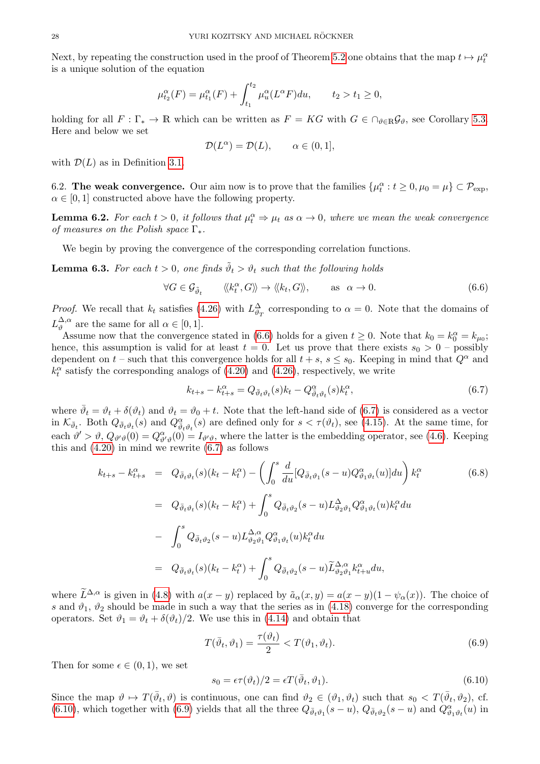Next, by repeating the construction used in the proof of Theorem [5.2](#page-19-0) one obtains that the map  $t \mapsto \mu_t^{\alpha}$ is a unique solution of the equation

$$
\mu_{t_2}^{\alpha}(F) = \mu_{t_1}^{\alpha}(F) + \int_{t_1}^{t_2} \mu_u^{\alpha}(L^{\alpha}F) du, \qquad t_2 > t_1 \ge 0,
$$

holding for all  $F : \Gamma_* \to \mathbb{R}$  which can be written as  $F = KG$  with  $G \in \cap_{\vartheta \in \mathbb{R}} \mathcal{G}_{\vartheta}$ , see Corollary [5.3.](#page-21-8) Here and below we set

$$
\mathcal{D}(L^{\alpha}) = \mathcal{D}(L), \qquad \alpha \in (0, 1],
$$

with  $\mathcal{D}(L)$  as in Definition [3.1.](#page-11-5)

<span id="page-27-0"></span>6.2. The weak convergence. Our aim now is to prove that the families  $\{\mu_t^{\alpha}: t \geq 0, \mu_0 = \mu\} \subset \mathcal{P}_{\text{exp}}$ ,  $\alpha \in [0, 1]$  constructed above have the following property.

<span id="page-27-6"></span>**Lemma 6.2.** For each  $t > 0$ , it follows that  $\mu_t^{\alpha} \Rightarrow \mu_t$  as  $\alpha \rightarrow 0$ , where we mean the weak convergence of measures on the Polish space  $\Gamma_*$ .

We begin by proving the convergence of the corresponding correlation functions.

<span id="page-27-7"></span>**Lemma 6.3.** For each  $t > 0$ , one finds  $\tilde{\vartheta}_t > \vartheta_t$  such that the following holds

<span id="page-27-1"></span>
$$
\forall G \in \mathcal{G}_{\tilde{\vartheta}_t} \qquad \langle k_t^{\alpha}, G \rangle \rangle \to \langle k_t, G \rangle \rangle, \qquad \text{as } \alpha \to 0.
$$
 (6.6)

*Proof.* We recall that  $k_t$  satisfies [\(4.26\)](#page-18-9) with  $L^{\Delta}_{\vartheta_T}$  corresponding to  $\alpha = 0$ . Note that the domains of  $L_{\vartheta}^{\Delta,\alpha}$  $\alpha^{\Delta,\alpha}$  are the same for all  $\alpha \in [0,1]$ .

Assume now that the convergence stated in [\(6.6\)](#page-27-1) holds for a given  $t \ge 0$ . Note that  $k_0 = k_0^{\alpha} = k_{\mu_0}$ ; hence, this assumption is valid for at least  $t = 0$ . Let us prove that there exists  $s_0 > 0$  – possibly dependent on  $t$  – such that this convergence holds for all  $t + s$ ,  $s \leq s_0$ . Keeping in mind that  $Q^{\alpha}$  and  $k_t^{\alpha}$  satisfy the corresponding analogs of [\(4.20\)](#page-17-2) and [\(4.26\)](#page-18-9), respectively, we write

<span id="page-27-2"></span>
$$
k_{t+s} - k_{t+s}^{\alpha} = Q_{\bar{\vartheta}_t \vartheta_t}(s) k_t - Q_{\bar{\vartheta}_t \vartheta_t}^{\alpha}(s) k_t^{\alpha}, \tag{6.7}
$$

where  $\bar{\vartheta}_t = \vartheta_t + \delta(\vartheta_t)$  and  $\vartheta_t = \vartheta_0 + t$ . Note that the left-hand side of [\(6.7\)](#page-27-2) is considered as a vector in  $\mathcal{K}_{\bar{\vartheta}_t}$ . Both  $Q_{\bar{\vartheta}_t \vartheta_t}(s)$  and  $Q_{\vartheta_t \vartheta_t}^{\alpha}(s)$  are defined only for  $s < \tau(\vartheta_t)$ , see [\(4.15\)](#page-17-0). At the same time, for each  $\vartheta' > \vartheta$ ,  $Q_{\vartheta'\vartheta}(0) = Q_{\vartheta'\vartheta}^{\alpha}(0) = I_{\vartheta'\vartheta}$ , where the latter is the embedding operator, see [\(4.6\)](#page-16-6). Keeping this and  $(4.20)$  in mind we rewrite  $(6.7)$  as follows

<span id="page-27-5"></span>
$$
k_{t+s} - k_{t+s}^{\alpha} = Q_{\bar{\vartheta}_t \vartheta_t}(s)(k_t - k_t^{\alpha}) - \left( \int_0^s \frac{d}{du} [Q_{\bar{\vartheta}_t \vartheta_1}(s-u) Q_{\vartheta_1 \vartheta_t}^{\alpha}(u)] du \right) k_t^{\alpha}
$$
\n
$$
= Q_{\bar{\vartheta}_t \vartheta_t}(s)(k_t - k_t^{\alpha}) + \int_0^s Q_{\bar{\vartheta}_t \vartheta_2}(s-u) L_{\vartheta_2 \vartheta_1}^{\Delta} Q_{\vartheta_1 \vartheta_t}^{\alpha}(u) k_t^{\alpha} du
$$
\n
$$
- \int_0^s Q_{\bar{\vartheta}_t \vartheta_2}(s-u) L_{\vartheta_2 \vartheta_1}^{\Delta, \alpha} Q_{\vartheta_1 \vartheta_t}^{\alpha}(u) k_t^{\alpha} du
$$
\n
$$
= Q_{\bar{\vartheta}_t \vartheta_t}(s)(k_t - k_t^{\alpha}) + \int_0^s Q_{\bar{\vartheta}_t \vartheta_2}(s-u) \widetilde{L}_{\vartheta_2 \vartheta_1}^{\Delta, \alpha} k_{t+u}^{\alpha} du,
$$
\n(6.8)

where  $\widetilde{L}^{\Delta,\alpha}$  is given in [\(4.8\)](#page-16-1) with  $a(x - y)$  replaced by  $\tilde{a}_\alpha(x, y) = a(x - y)(1 - \psi_\alpha(x))$ . The choice of s and  $\vartheta_1$ ,  $\vartheta_2$  should be made in such a way that the series as in [\(4.18\)](#page-17-8) converge for the corresponding operators. Set  $\vartheta_1 = \vartheta_t + \delta(\vartheta_t)/2$ . We use this in [\(4.14\)](#page-16-10) and obtain that

<span id="page-27-4"></span>
$$
T(\bar{\vartheta}_t, \vartheta_1) = \frac{\tau(\vartheta_t)}{2} < T(\vartheta_1, \vartheta_t). \tag{6.9}
$$

Then for some  $\epsilon \in (0,1)$ , we set

<span id="page-27-3"></span>
$$
s_0 = \epsilon \tau(\vartheta_t)/2 = \epsilon T(\bar{\vartheta}_t, \vartheta_1). \tag{6.10}
$$

Since the map  $\vartheta \mapsto T(\bar{\vartheta}_t, \vartheta)$  is continuous, one can find  $\vartheta_2 \in (\vartheta_1, \vartheta_t)$  such that  $s_0 < T(\bar{\vartheta}_t, \vartheta_2)$ , cf. [\(6.10\)](#page-27-3), which together with [\(6.9\)](#page-27-4) yields that all the three  $Q_{\bar{\vartheta}_t\vartheta_1}(s-u)$ ,  $Q_{\bar{\vartheta}_t\vartheta_2}(s-u)$  and  $Q_{\vartheta_1\vartheta_t}^{\alpha}(u)$  in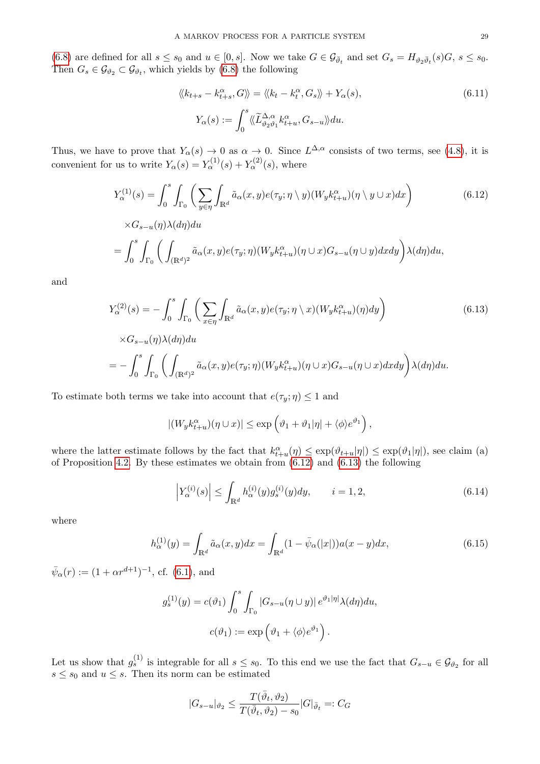[\(6.8\)](#page-27-5) are defined for all  $s \le s_0$  and  $u \in [0, s]$ . Now we take  $G \in \mathcal{G}_{\bar{\vartheta}_t}$  and set  $G_s = H_{\vartheta_2 \bar{\vartheta}_t}(s)G$ ,  $s \le s_0$ . Then  $G_s \in \mathcal{G}_{\vartheta_2} \subset \mathcal{G}_{\vartheta_t}$ , which yields by [\(6.8\)](#page-27-5) the following

<span id="page-28-4"></span>
$$
\langle\!\langle k_{t+s} - k_{t+s}^{\alpha}, G \rangle\!\rangle = \langle\!\langle k_t - k_t^{\alpha}, G_s \rangle\!\rangle + Y_{\alpha}(s),
$$
\n
$$
Y_{\alpha}(s) := \int_0^s \langle\!\langle \widetilde{L}_{\vartheta_2\vartheta_1}^{\Delta,\alpha} k_{t+u}^{\alpha}, G_{s-u} \rangle\!\rangle du.
$$
\n(6.11)

Thus, we have to prove that  $Y_{\alpha}(s) \to 0$  as  $\alpha \to 0$ . Since  $L^{\Delta,\alpha}$  consists of two terms, see [\(4.8\)](#page-16-1), it is convenient for us to write  $Y_{\alpha}(s) = Y_{\alpha}^{(1)}(s) + Y_{\alpha}^{(2)}(s)$ , where

<span id="page-28-0"></span>
$$
Y_{\alpha}^{(1)}(s) = \int_0^s \int_{\Gamma_0} \left( \sum_{y \in \eta} \int_{\mathbb{R}^d} \tilde{a}_{\alpha}(x, y) e(\tau_y; \eta \setminus y) (W_y k_{t+u}^{\alpha})(\eta \setminus y \cup x) dx \right) \times G_{s-u}(\eta) \lambda(d\eta) du
$$
  
= 
$$
\int_0^s \int_{\Gamma_0} \left( \int_{(\mathbb{R}^d)^2} \tilde{a}_{\alpha}(x, y) e(\tau_y; \eta) (W_y k_{t+u}^{\alpha})(\eta \cup x) G_{s-u}(\eta \cup y) dx dy \right) \lambda(d\eta) du,
$$
 (6.12)

and

<span id="page-28-1"></span>
$$
Y_{\alpha}^{(2)}(s) = -\int_{0}^{s} \int_{\Gamma_{0}} \left( \sum_{x \in \eta} \int_{\mathbb{R}^{d}} \tilde{a}_{\alpha}(x, y) e(\tau_{y}; \eta \setminus x) (W_{y} k_{t+u}^{\alpha})(\eta) dy \right) \tag{6.13}
$$

$$
\times G_{s-u}(\eta) \lambda(d\eta) du
$$

$$
= -\int_{0}^{s} \int_{\Gamma_{0}} \left( \int_{(\mathbb{R}^{d})^{2}} \tilde{a}_{\alpha}(x, y) e(\tau_{y}; \eta) (W_{y} k_{t+u}^{\alpha})(\eta \cup x) G_{s-u}(\eta \cup x) dx dy \right) \lambda(d\eta) du.
$$

To estimate both terms we take into account that  $e(\tau_y; \eta) \leq 1$  and

$$
|(W_y k_{t+u}^\alpha)(\eta \cup x)| \le \exp\left(\vartheta_1 + \vartheta_1 |\eta| + \langle \phi \rangle e^{\vartheta_1}\right),
$$

where the latter estimate follows by the fact that  $k_{t+u}^{\alpha}(\eta) \leq \exp(\vartheta_{t+u}|\eta|) \leq \exp(\vartheta_1|\eta|)$ , see claim (a) of Proposition [4.2.](#page-18-6) By these estimates we obtain from  $(6.12)$  and  $(6.13)$  the following

<span id="page-28-3"></span>
$$
\left| Y_{\alpha}^{(i)}(s) \right| \leq \int_{\mathbb{R}^d} h_{\alpha}^{(i)}(y) g_s^{(i)}(y) dy, \qquad i = 1, 2,
$$
\n(6.14)

where

<span id="page-28-2"></span>
$$
h_{\alpha}^{(1)}(y) = \int_{\mathbb{R}^d} \tilde{a}_{\alpha}(x, y) dx = \int_{\mathbb{R}^d} (1 - \bar{\psi}_{\alpha}(|x|)) a(x - y) dx,
$$
 (6.15)

 $\bar{\psi}_{\alpha}(r) := (1 + \alpha r^{d+1})^{-1}$ , cf. [\(6.1\)](#page-26-5), and

$$
g_s^{(1)}(y) = c(\vartheta_1) \int_0^s \int_{\Gamma_0} |G_{s-u}(\eta \cup y)| e^{\vartheta_1 |\eta|} \lambda(d\eta) du,
$$
  

$$
c(\vartheta_1) := \exp\left(\vartheta_1 + \langle \phi \rangle e^{\vartheta_1}\right).
$$

Let us show that  $g_s^{(1)}$  is integrable for all  $s \le s_0$ . To this end we use the fact that  $G_{s-u} \in \mathcal{G}_{\vartheta_2}$  for all  $s \leq s_0$  and  $u \leq s$ . Then its norm can be estimated

$$
|G_{s-u}|_{\vartheta_2}\leq \frac{T(\bar{\vartheta}_t,\vartheta_2)}{T(\bar{\vartheta}_t,\vartheta_2)-s_0}|G|_{\bar{\vartheta}_t}=:C_G
$$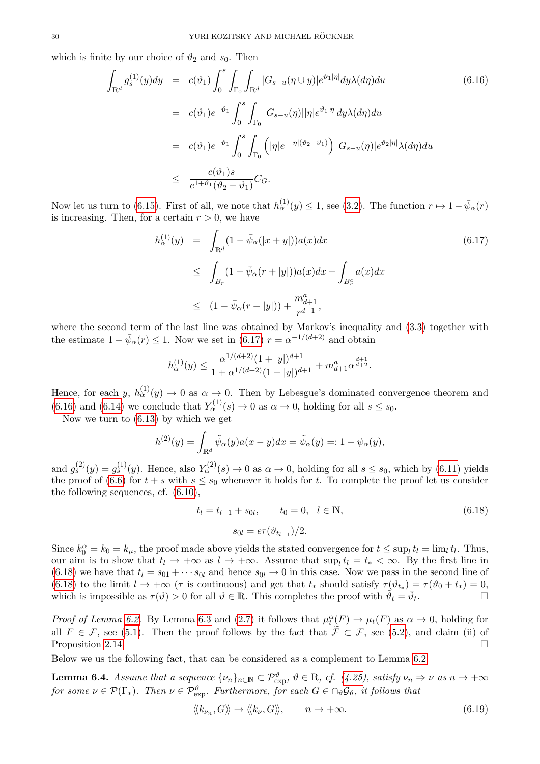which is finite by our choice of  $\vartheta_2$  and  $s_0$ . Then

<span id="page-29-1"></span>
$$
\int_{\mathbb{R}^d} g_s^{(1)}(y) dy = c(\vartheta_1) \int_0^s \int_{\Gamma_0} \int_{\mathbb{R}^d} |G_{s-u}(\eta \cup y)| e^{\vartheta_1 |\eta|} dy \lambda(d\eta) du
$$
\n
$$
= c(\vartheta_1) e^{-\vartheta_1} \int_0^s \int_{\Gamma_0} |G_{s-u}(\eta)| |\eta| e^{\vartheta_1 |\eta|} dy \lambda(d\eta) du
$$
\n
$$
= c(\vartheta_1) e^{-\vartheta_1} \int_0^s \int_{\Gamma_0} \left( |\eta| e^{-|\eta|(\vartheta_2 - \vartheta_1)} \right) |G_{s-u}(\eta)| e^{\vartheta_2 |\eta|} \lambda(d\eta) du
$$
\n
$$
\leq \frac{c(\vartheta_1) s}{e^{1+\vartheta_1}(\vartheta_2 - \vartheta_1)} C_G.
$$
\n(6.16)

Now let us turn to [\(6.15\)](#page-28-2). First of all, we note that  $h_{\alpha}^{(1)}(y) \leq 1$ , see [\(3.2\)](#page-11-3). The function  $r \mapsto 1 - \bar{\psi}_{\alpha}(r)$ is increasing. Then, for a certain  $r > 0$ , we have

<span id="page-29-0"></span>
$$
h_{\alpha}^{(1)}(y) = \int_{\mathbb{R}^d} (1 - \bar{\psi}_{\alpha}(|x+y|)) a(x) dx
$$
\n
$$
\leq \int_{B_r} (1 - \bar{\psi}_{\alpha}(r+|y|)) a(x) dx + \int_{B_r^c} a(x) dx
$$
\n
$$
\leq (1 - \bar{\psi}_{\alpha}(r+|y|)) + \frac{m_{d+1}^a}{r^{d+1}},
$$
\n(6.17)

where the second term of the last line was obtained by Markov's inequality and [\(3.3\)](#page-11-4) together with the estimate  $1 - \bar{\psi}_{\alpha}(r) \leq 1$ . Now we set in [\(6.17\)](#page-29-0)  $r = \alpha^{-1/(d+2)}$  and obtain

$$
h_{\alpha}^{(1)}(y) \le \frac{\alpha^{1/(d+2)}(1+|y|)^{d+1}}{1+\alpha^{1/(d+2)}(1+|y|)^{d+1}} + m_{d+1}^a \alpha^{\frac{d+1}{d+2}}.
$$

Hence, for each  $y, h_{\alpha}^{(1)}(y) \to 0$  as  $\alpha \to 0$ . Then by Lebesgue's dominated convergence theorem and [\(6.16\)](#page-29-1) and [\(6.14\)](#page-28-3) we conclude that  $Y_\alpha^{(1)}(s) \to 0$  as  $\alpha \to 0$ , holding for all  $s \leq s_0$ .

Now we turn to [\(6.13\)](#page-28-1) by which we get

$$
h^{(2)}(y) = \int_{\mathbb{R}^d} \tilde{\psi}_{\alpha}(y) a(x - y) dx = \tilde{\psi}_{\alpha}(y) =: 1 - \psi_{\alpha}(y),
$$

and  $g_s^{(2)}(y) = g_s^{(1)}(y)$ . Hence, also  $Y_\alpha^{(2)}(s) \to 0$  as  $\alpha \to 0$ , holding for all  $s \le s_0$ , which by [\(6.11\)](#page-28-4) yields the proof of [\(6.6\)](#page-27-1) for  $t + s$  with  $s \leq s_0$  whenever it holds for t. To complete the proof let us consider the following sequences, cf. [\(6.10\)](#page-27-3),

<span id="page-29-2"></span>
$$
t_l = t_{l-1} + s_{0l}, \t t_0 = 0, l \in \mathbb{N},
$$
  

$$
s_{0l} = \epsilon \tau (\vartheta_{t_{l-1}})/2.
$$
 (6.18)

Since  $k_0^{\alpha} = k_0 = k_{\mu}$ , the proof made above yields the stated convergence for  $t \leq \sup_l t_l = \lim_l t_l$ . Thus, our aim is to show that  $t_l \to +\infty$  as  $l \to +\infty$ . Assume that  $\sup_l t_l = t_* < \infty$ . By the first line in  $(6.18)$  we have that  $t_l = s_{01} + \cdots s_{0l}$  and hence  $s_{0l} \rightarrow 0$  in this case. Now we pass in the second line of [\(6.18\)](#page-29-2) to the limit  $l \to +\infty$  ( $\tau$  is continuous) and get that  $t_*$  should satisfy  $\tau(\vartheta_{t_*}) = \tau(\vartheta_0 + t_*) = 0$ , which is impossible as  $\tau(\vartheta) > 0$  for all  $\vartheta \in \mathbb{R}$ . This completes the proof with  $\tilde{\vartheta}_t = \bar{\vartheta}_t$ . — П

*Proof of Lemma [6.2.](#page-27-6)* By Lemma [6.3](#page-27-7) and [\(2.7\)](#page-4-3) it follows that  $\mu_t^{\alpha}(F) \to \mu_t(F)$  as  $\alpha \to 0$ , holding for all  $F \in \mathcal{F}$ , see [\(5.1\)](#page-18-8). Then the proof follows by the fact that  $\tilde{\mathcal{F}} \subset \mathcal{F}$ , see [\(5.2\)](#page-19-3), and claim (ii) of Proposition 2.14 Proposition [2.14.](#page-10-6)

Below we us the following fact, that can be considered as a complement to Lemma [6.2.](#page-27-6)

<span id="page-29-4"></span>**Lemma 6.4.** Assume that a sequence  $\{\nu_n\}_{n\in\mathbb{N}}\subset\mathcal{P}_{\text{exp}}^{\vartheta}$ ,  $\vartheta\in\mathbb{R}$ , cf. [\(4.25\)](#page-18-7), satisfy  $\nu_n \Rightarrow \nu$  as  $n\to +\infty$ for some  $\nu \in \mathcal{P}(\Gamma_*).$  Then  $\nu \in \mathcal{P}_{\exp}^{\vartheta}$ . Furthermore, for each  $G \in \cap_{\vartheta} \mathcal{G}_{\vartheta}$ , it follows that

<span id="page-29-3"></span>
$$
\langle k_{\nu_n}, G \rangle \rangle \to \langle k_{\nu}, G \rangle \rangle, \qquad n \to +\infty. \tag{6.19}
$$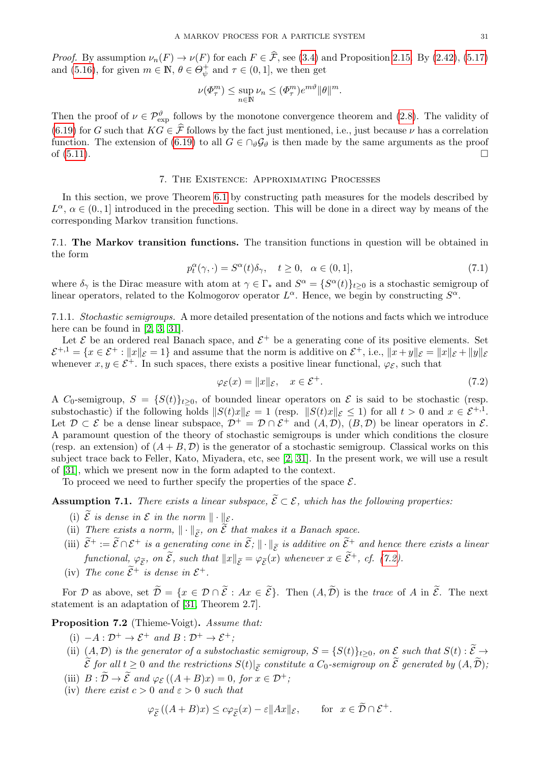*Proof.* By assumption  $\nu_n(F) \to \nu(F)$  for each  $F \in \hat{\mathcal{F}}$ , see [\(3.4\)](#page-11-6) and Proposition [2.15.](#page-10-5) By [\(2.42\)](#page-10-0), [\(5.17\)](#page-21-6) and [\(5.16\)](#page-21-7), for given  $m \in \mathbb{N}, \theta \in \Theta_{\psi}^+$  $\psi^+$  and  $\tau \in (0,1]$ , we then get

$$
\nu(\Phi_{\tau}^{m}) \leq \sup_{n \in \mathbb{N}} \nu_{n} \leq (\Phi_{\tau}^{m}) e^{m\vartheta} ||\theta||^{m}.
$$

Then the proof of  $\nu \in \mathcal{P}_{\text{exp}}^{\vartheta}$  follows by the monotone convergence theorem and [\(2.8\)](#page-4-9). The validity of [\(6.19\)](#page-29-3) for G such that  $KG \in \hat{\mathcal{F}}$  follows by the fact just mentioned, i.e., just because  $\nu$  has a correlation function. The extension of [\(6.19\)](#page-29-3) to all  $G \in \bigcap_{\vartheta} \mathcal{G}_{\vartheta}$  is then made by the same arguments as the proof of  $(5.11)$ .

# 7. The Existence: Approximating Processes

<span id="page-30-0"></span>In this section, we prove Theorem [6.1](#page-26-2) by constructing path measures for the models described by  $L^{\alpha}$ ,  $\alpha \in (0, 1]$  introduced in the preceding section. This will be done in a direct way by means of the corresponding Markov transition functions.

<span id="page-30-1"></span>7.1. The Markov transition functions. The transition functions in question will be obtained in the form

<span id="page-30-5"></span>
$$
p_t^{\alpha}(\gamma, \cdot) = S^{\alpha}(t)\delta_{\gamma}, \quad t \ge 0, \quad \alpha \in (0, 1], \tag{7.1}
$$

where  $\delta_{\gamma}$  is the Dirac measure with atom at  $\gamma \in \Gamma_*$  and  $S^{\alpha} = \{S^{\alpha}(t)\}_{t \geq 0}$  is a stochastic semigroup of linear operators, related to the Kolmogorov operator  $L^{\alpha}$ . Hence, we begin by constructing  $S^{\alpha}$ .

7.1.1. Stochastic semigroups. A more detailed presentation of the notions and facts which we introduce here can be found in [\[2,](#page-42-9) [3,](#page-42-10) [31\]](#page-43-20).

Let  $\mathcal E$  be an ordered real Banach space, and  $\mathcal E^+$  be a generating cone of its positive elements. Set  $\mathcal{E}^{+,1} = \{x \in \mathcal{E}^+ : ||x||_{\mathcal{E}} = 1\}$  and assume that the norm is additive on  $\mathcal{E}^+$ , i.e.,  $||x + y||_{\mathcal{E}} = ||x||_{\mathcal{E}} + ||y||_{\mathcal{E}}$ whenever  $x, y \in \mathcal{E}^+$ . In such spaces, there exists a positive linear functional,  $\varphi_{\mathcal{E}}$ , such that

<span id="page-30-2"></span>
$$
\varphi_{\mathcal{E}}(x) = \|x\|_{\mathcal{E}}, \quad x \in \mathcal{E}^+. \tag{7.2}
$$

A C<sub>0</sub>-semigroup,  $S = \{S(t)\}_{t>0}$ , of bounded linear operators on  $\mathcal E$  is said to be stochastic (resp. substochastic) if the following holds  $||S(t)x||_{\mathcal{E}} = 1$  (resp.  $||S(t)x||_{\mathcal{E}} \leq 1$ ) for all  $t > 0$  and  $x \in \mathcal{E}^{+,1}$ . Let  $\mathcal{D} \subset \mathcal{E}$  be a dense linear subspace,  $\mathcal{D}^+ = \mathcal{D} \cap \mathcal{E}^+$  and  $(A, \mathcal{D})$ ,  $(B, \mathcal{D})$  be linear operators in  $\mathcal{E}$ . A paramount question of the theory of stochastic semigroups is under which conditions the closure (resp. an extension) of  $(A + B, \mathcal{D})$  is the generator of a stochastic semigroup. Classical works on this subject trace back to Feller, Kato, Miyadera, etc, see [\[2,](#page-42-9) [31\]](#page-43-20). In the present work, we will use a result of [\[31\]](#page-43-20), which we present now in the form adapted to the context.

To proceed we need to further specify the properties of the space  $\mathcal{E}$ .

<span id="page-30-4"></span>**Assumption 7.1.** There exists a linear subspace,  $\widetilde{\mathcal{E}} \subset \mathcal{E}$ , which has the following properties:

- (i)  $\widetilde{\mathcal{E}}$  is dense in  $\mathcal E$  in the norm  $\|\cdot\|_{\mathcal E}$ .
- (ii) There exists a norm,  $\|\cdot\|_{\widetilde{\mathcal{E}}}$ , on  $\widetilde{\mathcal{E}}$  that makes it a Banach space.
- (iii)  $\widetilde{\mathcal{E}}^+ := \widetilde{\mathcal{E}} \cap \mathcal{E}^+$  is a generating cone in  $\widetilde{\mathcal{E}}$ ;  $\|\cdot\|_{\widetilde{\mathcal{E}}}$  is additive on  $\widetilde{\mathcal{E}}^+$  and hence there exists a linear functional,  $\varphi_{\tilde{\mathcal{E}}},$  on  $\tilde{\mathcal{E}},$  such that  $||x||_{\tilde{\mathcal{E}}} = \varphi_{\tilde{\mathcal{E}}}(x)$  whenever  $x \in \tilde{\mathcal{E}}^+$ , cf. [\(7.2\)](#page-30-2).
- (iv) The cone  $\tilde{\mathcal{E}}^+$  is dense in  $\mathcal{E}^+$ .

For D as above, set  $\widetilde{\mathcal{D}} = \{x \in \mathcal{D} \cap \widetilde{\mathcal{E}} : Ax \in \widetilde{\mathcal{E}}\}$ . Then  $(A, \widetilde{\mathcal{D}})$  is the trace of A in  $\widetilde{\mathcal{E}}$ . The next statement is an adaptation of [\[31,](#page-43-20) Theorem 2.7].

<span id="page-30-3"></span>Proposition 7.2 (Thieme-Voigt). Assume that:

- (i)  $-A: \mathcal{D}^+ \to \mathcal{E}^+$  and  $B: \mathcal{D}^+ \to \mathcal{E}^+$ :
- (ii)  $(A, \mathcal{D})$  is the generator of a substochastic semigroup,  $S = \{S(t)\}_{t>0}$ , on  $\mathcal E$  such that  $S(t) : \widetilde{\mathcal E} \to$  $\mathcal{E}$  for all  $t \geq 0$  and the restrictions  $S(t)|_{\tilde{\mathcal{E}}}$  constitute a  $C_0$ -semigroup on  $\mathcal{E}$  generated by  $(A, \mathcal{D}),$
- (iii)  $B : \widetilde{\mathcal{D}} \to \widetilde{\mathcal{E}}$  and  $\varphi_{\mathcal{E}}((A + B)x) = 0$ , for  $x \in \mathcal{D}^+$ ;
- (iv) there exist  $c > 0$  and  $\varepsilon > 0$  such that

$$
\varphi_{\widetilde{\mathcal{E}}}((A+B)x) \le c\varphi_{\widetilde{\mathcal{E}}}(x) - \varepsilon ||Ax||_{\mathcal{E}}, \quad \text{for } x \in \widetilde{\mathcal{D}} \cap \mathcal{E}^+.
$$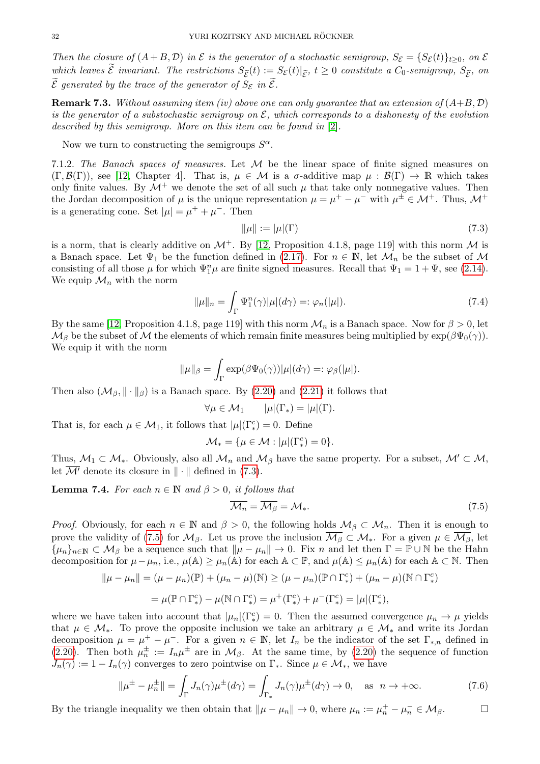Then the closure of  $(A + B, D)$  in  $\mathcal E$  is the generator of a stochastic semigroup,  $S_{\mathcal E} = \{S_{\mathcal E}(t)\}_{t>0}$ , on  $\mathcal E$ which leaves  $\mathcal E$  invariant. The restrictions  $S_{\tilde{\mathcal E}}(t) := S_{\mathcal E}(t)|_{\tilde{\mathcal E}}, t \geq 0$  constitute a  $C_0$ -semigroup,  $S_{\tilde{\mathcal E}}$ , on  $\widetilde{\mathcal{E}}$  generated by the trace of the generator of  $S_{\mathcal{E}}$  in  $\widetilde{\mathcal{E}}$ .

**Remark 7.3.** Without assuming item (iv) above one can only guarantee that an extension of  $(A+B, D)$ is the generator of a substochastic semigroup on  $\mathcal{E}$ , which corresponds to a dishonesty of the evolution described by this semigroup. More on this item can be found in [\[2\]](#page-42-9).

Now we turn to constructing the semigroups  $S^{\alpha}$ .

7.1.2. The Banach spaces of measures. Let  $M$  be the linear space of finite signed measures on  $(\Gamma, \mathcal{B}(\Gamma))$ , see [\[12,](#page-43-13) Chapter 4]. That is,  $\mu \in \mathcal{M}$  is a  $\sigma$ -additive map  $\mu : \mathcal{B}(\Gamma) \to \mathbb{R}$  which takes only finite values. By  $\mathcal{M}^+$  we denote the set of all such  $\mu$  that take only nonnegative values. Then the Jordan decomposition of  $\mu$  is the unique representation  $\mu = \mu^+ - \mu^-$  with  $\mu^{\pm} \in \mathcal{M}^+$ . Thus,  $\mathcal{M}^+$ is a generating cone. Set  $|\mu| = \mu^+ + \mu^-$ . Then

<span id="page-31-0"></span>
$$
\|\mu\| := |\mu|(\Gamma) \tag{7.3}
$$

is a norm, that is clearly additive on  $\mathcal{M}^+$ . By [\[12,](#page-43-13) Proposition 4.1.8, page 119] with this norm  $\mathcal M$  is a Banach space. Let  $\Psi_1$  be the function defined in [\(2.17\)](#page-6-2). For  $n \in \mathbb{N}$ , let  $\mathcal{M}_n$  be the subset of  $\mathcal M$ consisting of all those  $\mu$  for which  $\Psi_1^n\mu$  are finite signed measures. Recall that  $\Psi_1 = 1 + \Psi$ , see [\(2.14\)](#page-6-4). We equip  $\mathcal{M}_n$  with the norm

<span id="page-31-3"></span>
$$
\|\mu\|_{n} = \int_{\Gamma} \Psi_{1}^{n}(\gamma)|\mu|(d\gamma) =: \varphi_{n}(|\mu|). \tag{7.4}
$$

By the same [\[12,](#page-43-13) Proposition 4.1.8, page 119] with this norm  $\mathcal{M}_n$  is a Banach space. Now for  $\beta > 0$ , let  $\mathcal{M}_{\beta}$  be the subset of M the elements of which remain finite measures being multiplied by  $\exp(\beta \Psi_0(\gamma))$ . We equip it with the norm

$$
\|\mu\|_{\beta} = \int_{\Gamma} \exp(\beta \Psi_0(\gamma)) |\mu|(d\gamma) =: \varphi_{\beta}(|\mu|).
$$

Then also  $(\mathcal{M}_{\beta}, \|\cdot\|_{\beta})$  is a Banach space. By [\(2.20\)](#page-6-1) and [\(2.21\)](#page-6-8) it follows that

$$
\forall \mu \in \mathcal{M}_1 \qquad |\mu|(\Gamma_*) = |\mu|(\Gamma).
$$

That is, for each  $\mu \in \mathcal{M}_1$ , it follows that  $|\mu|(\Gamma_*^c) = 0$ . Define

$$
\mathcal{M}_* = \{ \mu \in \mathcal{M} : |\mu|(\Gamma_*^c) = 0 \}.
$$

Thus,  $M_1 \subset M_*$ . Obviously, also all  $M_n$  and  $M_\beta$  have the same property. For a subset,  $M' \subset M$ , let  $\overline{\mathcal{M}'}$  denote its closure in  $\|\cdot\|$  defined in [\(7.3\)](#page-31-0).

<span id="page-31-4"></span>**Lemma 7.4.** For each  $n \in \mathbb{N}$  and  $\beta > 0$ , it follows that

<span id="page-31-2"></span><span id="page-31-1"></span>
$$
\overline{\mathcal{M}_n} = \overline{\mathcal{M}_\beta} = \mathcal{M}_*.\tag{7.5}
$$

*Proof.* Obviously, for each  $n \in \mathbb{N}$  and  $\beta > 0$ , the following holds  $\mathcal{M}_{\beta} \subset \mathcal{M}_n$ . Then it is enough to prove the validity of [\(7.5\)](#page-31-1) for  $\mathcal{M}_{\beta}$ . Let us prove the inclusion  $\overline{\mathcal{M}_{\beta}} \subset \mathcal{M}_{*}$ . For a given  $\mu \in \overline{\mathcal{M}_{\beta}}$ , let  $\{\mu_n\}_{n\in\mathbb{N}}\subset\mathcal{M}_\beta$  be a sequence such that  $\|\mu-\mu_n\|\to 0$ . Fix n and let then  $\Gamma=\mathbb{P}\cup\mathbb{N}$  be the Hahn decomposition for  $\mu-\mu_n$ , i.e.,  $\mu(\mathbb{A}) \geq \mu_n(\mathbb{A})$  for each  $\mathbb{A} \subset \mathbb{P}$ , and  $\mu(\mathbb{A}) \leq \mu_n(\mathbb{A})$  for each  $\mathbb{A} \subset \mathbb{N}$ . Then

$$
\|\mu - \mu_n\| = (\mu - \mu_n)(\mathbb{P}) + (\mu_n - \mu)(\mathbb{N}) \ge (\mu - \mu_n)(\mathbb{P} \cap \Gamma_*^c) + (\mu_n - \mu)(\mathbb{N} \cap \Gamma_*^c)
$$
  
=  $\mu(\mathbb{P} \cap \Gamma_*^c) - \mu(\mathbb{N} \cap \Gamma_*^c) = \mu^+(\Gamma_*^c) + \mu^-(\Gamma_*^c) = |\mu|(\Gamma_*^c),$ 

where we have taken into account that  $|\mu_n|(\Gamma^c_*)=0$ . Then the assumed convergence  $\mu_n \to \mu$  yields that  $\mu \in \mathcal{M}_*$ . To prove the opposite inclusion we take an arbitrary  $\mu \in \mathcal{M}_*$  and write its Jordan decomposition  $\mu = \mu^+ - \mu^-$ . For a given  $n \in \mathbb{N}$ , let  $I_n$  be the indicator of the set  $\Gamma_{*,n}$  defined in [\(2.20\)](#page-6-1). Then both  $\mu_n^{\pm} := I_n \mu^{\pm}$  are in  $\mathcal{M}_{\beta}$ . At the same time, by [\(2.20\)](#page-6-1) the sequence of function  $J_n(\gamma) := 1 - I_n(\gamma)$  converges to zero pointwise on  $\Gamma_*$ . Since  $\mu \in \mathcal{M}_*$ , we have

$$
\|\mu^{\pm} - \mu_n^{\pm}\| = \int_{\Gamma} J_n(\gamma)\mu^{\pm}(d\gamma) = \int_{\Gamma_*} J_n(\gamma)\mu^{\pm}(d\gamma) \to 0, \quad \text{as } n \to +\infty.
$$
 (7.6)

By the triangle inequality we then obtain that  $\|\mu - \mu_n\| \to 0$ , where  $\mu_n := \mu_n^+ - \mu_n^- \in \mathcal{M}_\beta$ .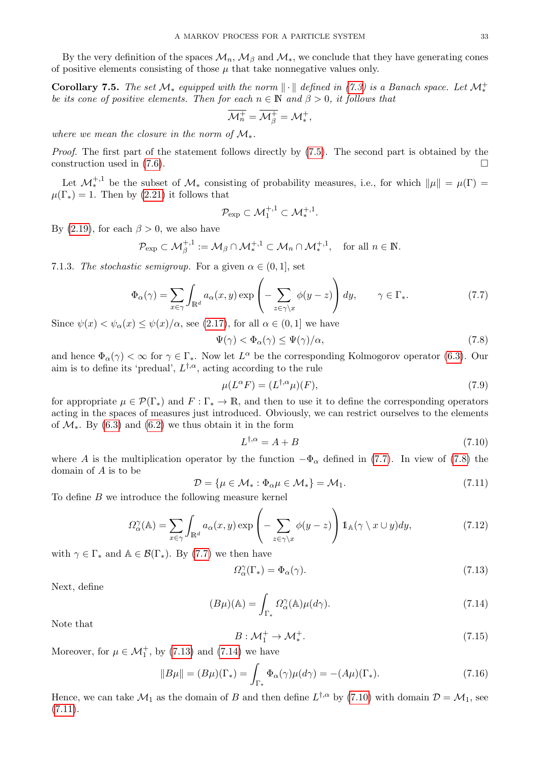By the very definition of the spaces  $\mathcal{M}_n$ ,  $\mathcal{M}_\beta$  and  $\mathcal{M}_*$ , we conclude that they have generating cones of positive elements consisting of those  $\mu$  that take nonnegative values only.

<span id="page-32-9"></span>Corollary 7.5. The set  $\mathcal{M}_*$  equipped with the norm  $\|\cdot\|$  defined in [\(7.3\)](#page-31-0) is a Banach space. Let  $\mathcal{M}_*^+$ be its cone of positive elements. Then for each  $n \in \mathbb{N}$  and  $\beta > 0$ , it follows that

$$
\overline{\mathcal{M}^+_n} = \overline{\mathcal{M}^+_{{\beta}}} = \mathcal{M}^+_*,
$$

where we mean the closure in the norm of  $\mathcal{M}_*$ .

Proof. The first part of the statement follows directly by [\(7.5\)](#page-31-1). The second part is obtained by the construction used in  $(7.6)$ .

Let  $\mathcal{M}_{*}^{+,1}$  be the subset of  $\mathcal{M}_{*}$  consisting of probability measures, i.e., for which  $\|\mu\| = \mu(\Gamma) =$  $\mu(\Gamma_*)=1$ . Then by [\(2.21\)](#page-6-8) it follows that

$$
\mathcal{P}_{\rm exp} \subset \mathcal{M}_1^{+,1} \subset \mathcal{M}_*^{+,1}.
$$

By [\(2.19\)](#page-6-9), for each  $\beta > 0$ , we also have

$$
\mathcal{P}_{\exp} \subset \mathcal{M}_{\beta}^{+,1} := \mathcal{M}_{\beta} \cap \mathcal{M}_{*}^{+,1} \subset \mathcal{M}_{n} \cap \mathcal{M}_{*}^{+,1}, \quad \text{for all } n \in \mathbb{N}.
$$

7.1.3. The stochastic semigroup. For a given  $\alpha \in (0,1]$ , set

<span id="page-32-2"></span>
$$
\Phi_{\alpha}(\gamma) = \sum_{x \in \gamma} \int_{\mathbb{R}^d} a_{\alpha}(x, y) \exp\left(-\sum_{z \in \gamma \setminus x} \phi(y - z)\right) dy, \qquad \gamma \in \Gamma_*.
$$
 (7.7)

Since  $\psi(x) < \psi_{\alpha}(x) \leq \psi(x)/\alpha$ , see [\(2.17\)](#page-6-2), for all  $\alpha \in (0,1]$  we have

<span id="page-32-3"></span>
$$
\Psi(\gamma) < \Phi_{\alpha}(\gamma) \le \Psi(\gamma)/\alpha,\tag{7.8}
$$

and hence  $\Phi_{\alpha}(\gamma) < \infty$  for  $\gamma \in \Gamma_*$ . Now let  $L^{\alpha}$  be the corresponding Kolmogorov operator [\(6.3\)](#page-26-3). Our aim is to define its 'predual',  $L^{\dagger,\alpha}$ , acting according to the rule

<span id="page-32-0"></span>
$$
\mu(L^{\alpha}F) = (L^{\dagger,\alpha}\mu)(F),\tag{7.9}
$$

for appropriate  $\mu \in \mathcal{P}(\Gamma_*)$  and  $F : \Gamma_* \to \mathbb{R}$ , and then to use it to define the corresponding operators acting in the spaces of measures just introduced. Obviously, we can restrict ourselves to the elements of  $\mathcal{M}_{*}$ . By [\(6.3\)](#page-26-3) and [\(6.2\)](#page-26-6) we thus obtain it in the form

<span id="page-32-1"></span>
$$
L^{\dagger,\alpha} = A + B \tag{7.10}
$$

where A is the multiplication operator by the function  $-\Phi_{\alpha}$  defined in [\(7.7\)](#page-32-2). In view of [\(7.8\)](#page-32-3) the domain of A is to be

<span id="page-32-6"></span>
$$
\mathcal{D} = \{ \mu \in \mathcal{M}_* : \Phi_\alpha \mu \in \mathcal{M}_* \} = \mathcal{M}_1. \tag{7.11}
$$

To define B we introduce the following measure kernel

<span id="page-32-7"></span>
$$
\Omega_{\alpha}^{\gamma}(\mathbb{A}) = \sum_{x \in \gamma} \int_{\mathbb{R}^d} a_{\alpha}(x, y) \exp\left(-\sum_{z \in \gamma \backslash x} \phi(y - z)\right) \mathbb{1}_{\mathbb{A}}(\gamma \backslash x \cup y) dy,\tag{7.12}
$$

with  $\gamma \in \Gamma_*$  and  $\mathbb{A} \in \mathcal{B}(\Gamma_*)$ . By [\(7.7\)](#page-32-2) we then have

<span id="page-32-4"></span>
$$
\Omega_{\alpha}^{\gamma}(\Gamma_{*}) = \Phi_{\alpha}(\gamma). \tag{7.13}
$$

Next, define

<span id="page-32-5"></span>
$$
(B\mu)(\mathbb{A}) = \int_{\Gamma_*} \Omega_\alpha^\gamma(\mathbb{A}) \mu(d\gamma).
$$
 (7.14)

Note that

<span id="page-32-8"></span>
$$
B: \mathcal{M}_1^+ \to \mathcal{M}_*^+.
$$
 (7.15)

Moreover, for  $\mu \in \mathcal{M}_1^+$ , by [\(7.13\)](#page-32-4) and [\(7.14\)](#page-32-5) we have

<span id="page-32-10"></span>
$$
||B\mu|| = (B\mu)(\Gamma_*) = \int_{\Gamma_*} \Phi_\alpha(\gamma)\mu(d\gamma) = -(A\mu)(\Gamma_*). \tag{7.16}
$$

Hence, we can take  $\mathcal{M}_1$  as the domain of B and then define  $L^{\dagger,\alpha}$  by [\(7.10\)](#page-32-1) with domain  $\mathcal{D} = \mathcal{M}_1$ , see  $(7.11).$  $(7.11).$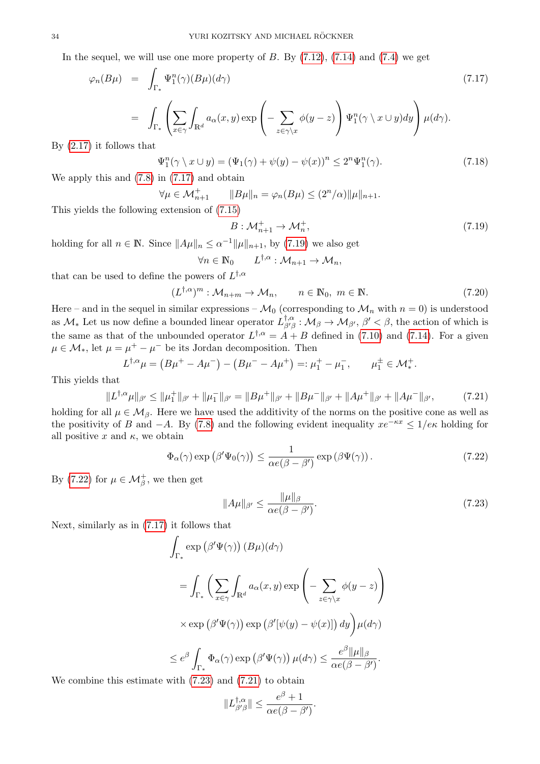In the sequel, we will use one more property of  $B$ . By  $(7.12)$ ,  $(7.14)$  and  $(7.4)$  we get

<span id="page-33-0"></span>
$$
\varphi_n(B\mu) = \int_{\Gamma_*} \Psi_1^n(\gamma)(B\mu)(d\gamma)
$$
\n
$$
= \int_{\Gamma_*} \left( \sum_{x \in \gamma} \int_{\mathbb{R}^d} a_\alpha(x, y) \exp\left( -\sum_{z \in \gamma \backslash x} \phi(y - z) \right) \Psi_1^n(\gamma \backslash x \cup y) dy \right) \mu(d\gamma).
$$
\n(7.17)

By [\(2.17\)](#page-6-2) it follows that

<span id="page-33-6"></span>
$$
\Psi_1^n(\gamma \setminus x \cup y) = (\Psi_1(\gamma) + \psi(y) - \psi(x))^n \le 2^n \Psi_1^n(\gamma). \tag{7.18}
$$

We apply this and [\(7.8\)](#page-32-3) in [\(7.17\)](#page-33-0) and obtain

$$
\forall \mu \in \mathcal{M}_{n+1}^+ \qquad \|B\mu\|_n = \varphi_n(B\mu) \le (2^n/\alpha) \|\mu\|_{n+1}.
$$

This yields the following extension of [\(7.15\)](#page-32-8)

<span id="page-33-1"></span>
$$
B: \mathcal{M}_{n+1}^+ \to \mathcal{M}_n^+, \tag{7.19}
$$

holding for all  $n \in \mathbb{N}$ . Since  $||A\mu||_n \leq \alpha^{-1}||\mu||_{n+1}$ , by [\(7.19\)](#page-33-1) we also get

$$
\forall n \in \mathbb{N}_0 \qquad L^{\dagger,\alpha} : \mathcal{M}_{n+1} \to \mathcal{M}_n,
$$

that can be used to define the powers of  $L^{\dagger,\alpha}$ 

<span id="page-33-5"></span>
$$
(L^{\dagger,\alpha})^m : \mathcal{M}_{n+m} \to \mathcal{M}_n, \qquad n \in \mathbb{N}, \ m \in \mathbb{N}.
$$
 (7.20)

Here – and in the sequel in similar expressions –  $\mathcal{M}_0$  (corresponding to  $\mathcal{M}_n$  with  $n = 0$ ) is understood as  $\mathcal{M}_{*}$  Let us now define a bounded linear operator  $L_{\beta\prime\beta}^{\dagger,\alpha}$  $\phi^{\dagger,\alpha}_{\beta\beta}: \mathcal{M}_{\beta} \to \mathcal{M}_{\beta'}, \beta' < \beta$ , the action of which is the same as that of the unbounded operator  $L^{\dagger,\alpha} = A + B$  defined in [\(7.10\)](#page-32-1) and [\(7.14\)](#page-32-5). For a given  $\mu \in \mathcal{M}_{*}$ , let  $\mu = \mu^{+} - \mu^{-}$  be its Jordan decomposition. Then

$$
L^{\dagger,\alpha}\mu = (B\mu^+ - A\mu^-) - (B\mu^- - A\mu^+) =: \mu_1^+ - \mu_1^-, \qquad \mu_1^\pm \in \mathcal{M}_*^+.
$$

This yields that

<span id="page-33-4"></span>
$$
||L^{\dagger,\alpha}\mu||_{\beta'} \le ||\mu_1^+||_{\beta'} + ||\mu_1^-||_{\beta'} = ||B\mu^+||_{\beta'} + ||B\mu^-||_{\beta'} + ||A\mu^+||_{\beta'} + ||A\mu^-||_{\beta'},\tag{7.21}
$$

holding for all  $\mu \in \mathcal{M}_{\beta}$ . Here we have used the additivity of the norms on the positive cone as well as the positivity of B and  $-A$ . By [\(7.8\)](#page-32-3) and the following evident inequality  $xe^{-\kappa x} \leq 1/e\kappa$  holding for all positive x and  $\kappa$ , we obtain

<span id="page-33-2"></span>
$$
\Phi_{\alpha}(\gamma) \exp\left(\beta' \Psi_0(\gamma)\right) \le \frac{1}{\alpha e(\beta - \beta')} \exp\left(\beta \Psi(\gamma)\right). \tag{7.22}
$$

By [\(7.22\)](#page-33-2) for  $\mu \in \mathcal{M}_{\beta}^{+}$ , we then get

<span id="page-33-3"></span>
$$
||A\mu||_{\beta'} \le \frac{||\mu||_{\beta}}{\alpha e(\beta - \beta')}.
$$
\n(7.23)

Next, similarly as in [\(7.17\)](#page-33-0) it follows that

$$
\int_{\Gamma_{*}} \exp(\beta' \Psi(\gamma)) (B\mu)(d\gamma)
$$
\n
$$
= \int_{\Gamma_{*}} \left( \sum_{x \in \gamma} \int_{\mathbb{R}^{d}} a_{\alpha}(x, y) \exp\left( -\sum_{z \in \gamma \setminus x} \phi(y - z) \right) \right)
$$
\n
$$
\times \exp(\beta' \Psi(\gamma)) \exp(\beta' [\psi(y) - \psi(x)]) dy \Big) \mu(d\gamma)
$$
\n
$$
\leq e^{\beta} \int_{\Gamma_{*}} \Phi_{\alpha}(\gamma) \exp(\beta' \Psi(\gamma)) \mu(d\gamma) \leq \frac{e^{\beta} ||\mu||_{\beta}}{\alpha e(\beta - \beta')}.
$$
\nand

We combine this estimate with [\(7.23\)](#page-33-3) and [\(7.21\)](#page-33-4) to obtain

$$
||L_{\beta'\beta}^{\dagger,\alpha}|| \leq \frac{e^{\beta}+1}{\alpha e(\beta-\beta')}.
$$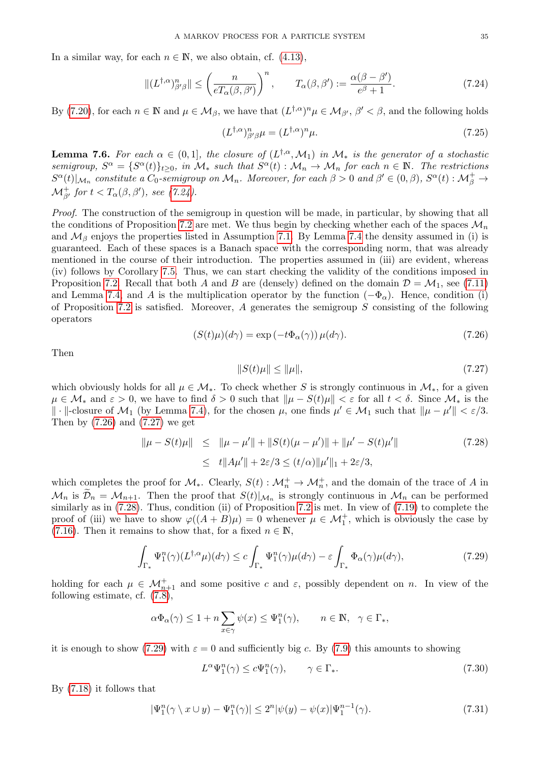In a similar way, for each  $n \in \mathbb{N}$ , we also obtain, cf. [\(4.13\)](#page-16-9),

<span id="page-34-0"></span>
$$
\|(L^{\dagger,\alpha})^n_{\beta'\beta}\| \le \left(\frac{n}{eT_\alpha(\beta,\beta')}\right)^n, \qquad T_\alpha(\beta,\beta') := \frac{\alpha(\beta-\beta')}{e^{\beta}+1}.\tag{7.24}
$$

By [\(7.20\)](#page-33-5), for each  $n \in \mathbb{N}$  and  $\mu \in \mathcal{M}_{\beta}$ , we have that  $(L^{\dagger,\alpha})^n \mu \in \mathcal{M}_{\beta'}$ ,  $\beta' < \beta$ , and the following holds

<span id="page-34-7"></span>
$$
(L^{\dagger,\alpha})^n_{\beta'\beta}\mu = (L^{\dagger,\alpha})^n\mu.
$$
\n(7.25)

<span id="page-34-8"></span>**Lemma 7.6.** For each  $\alpha \in (0,1]$ , the closure of  $(L^{\dagger,\alpha}, \mathcal{M}_1)$  in  $\mathcal{M}_*$  is the generator of a stochastic semigroup,  $S^{\alpha} = \{S^{\alpha}(t)\}_{t \geq 0}$ , in  $\mathcal{M}_{*}$  such that  $S^{\alpha}(t) : \mathcal{M}_{n} \to \mathcal{M}_{n}$  for each  $n \in \mathbb{N}$ . The restrictions  $S^{\alpha}(t)|_{\mathcal{M}_n}$  constitute a  $C_0$ -semigroup on  $\mathcal{M}_n$ . Moreover, for each  $\beta > 0$  and  $\beta' \in (0, \beta)$ ,  $S^{\alpha}(t) : \mathcal{M}_{\beta}^+ \to$  ${\mathcal M}_{\beta'}^+$  for  $t< T_{\alpha}(\beta, \beta'),$  see [\(7.24\)](#page-34-0).

Proof. The construction of the semigroup in question will be made, in particular, by showing that all the conditions of Proposition [7.2](#page-30-3) are met. We thus begin by checking whether each of the spaces  $\mathcal{M}_n$ and  $\mathcal{M}_{\beta}$  enjoys the properties listed in Assumption [7.1.](#page-30-4) By Lemma [7.4](#page-31-4) the density assumed in (i) is guaranteed. Each of these spaces is a Banach space with the corresponding norm, that was already mentioned in the course of their introduction. The properties assumed in (iii) are evident, whereas (iv) follows by Corollary [7.5.](#page-32-9) Thus, we can start checking the validity of the conditions imposed in Proposition [7.2.](#page-30-3) Recall that both A and B are (densely) defined on the domain  $\mathcal{D} = \mathcal{M}_1$ , see [\(7.11\)](#page-32-6) and Lemma [7.4,](#page-31-4) and A is the multiplication operator by the function  $(-\Phi_{\alpha})$ . Hence, condition (i) of Proposition [7.2](#page-30-3) is satisfied. Moreover, A generates the semigroup  $S$  consisting of the following operators

<span id="page-34-1"></span>
$$
(S(t)\mu)(d\gamma) = \exp(-t\Phi_{\alpha}(\gamma))\,\mu(d\gamma). \tag{7.26}
$$

Then

<span id="page-34-2"></span>
$$
||S(t)\mu|| \le ||\mu||,\tag{7.27}
$$

which obviously holds for all  $\mu \in \mathcal{M}_*$ . To check whether S is strongly continuous in  $\mathcal{M}_*$ , for a given  $\mu \in \mathcal{M}_*$  and  $\varepsilon > 0$ , we have to find  $\delta > 0$  such that  $\|\mu - S(t)\mu\| < \varepsilon$  for all  $t < \delta$ . Since  $\mathcal{M}_*$  is the  $\|\cdot\|$ -closure of  $\mathcal{M}_1$  (by Lemma [7.4\)](#page-31-4), for the chosen  $\mu$ , one finds  $\mu' \in \mathcal{M}_1$  such that  $\|\mu - \mu'\| < \varepsilon/3$ . Then by  $(7.26)$  and  $(7.27)$  we get

<span id="page-34-3"></span>
$$
\|\mu - S(t)\mu\| \leq \|\mu - \mu'\| + \|S(t)(\mu - \mu')\| + \|\mu' - S(t)\mu'\|
$$
\n
$$
\leq t \|A\mu'\| + 2\varepsilon/3 \leq (t/\alpha) \|\mu'\|_1 + 2\varepsilon/3,
$$
\n(7.28)

which completes the proof for  $\mathcal{M}_*$ . Clearly,  $S(t): \mathcal{M}_n^+ \to \mathcal{M}_n^+$ , and the domain of the trace of A in  $\mathcal{M}_n$  is  $\mathcal{D}_n = \mathcal{M}_{n+1}$ . Then the proof that  $S(t)|_{\mathcal{M}_n}$  is strongly continuous in  $\mathcal{M}_n$  can be performed similarly as in  $(7.28)$ . Thus, condition (ii) of Proposition [7.2](#page-30-3) is met. In view of  $(7.19)$  to complete the proof of (iii) we have to show  $\varphi((A + B)\mu) = 0$  whenever  $\mu \in \mathcal{M}_{1}^{+}$ , which is obviously the case by [\(7.16\)](#page-32-10). Then it remains to show that, for a fixed  $n \in \mathbb{N}$ ,

<span id="page-34-4"></span>
$$
\int_{\Gamma_*} \Psi_1^n(\gamma) (L^{\dagger,\alpha}\mu)(d\gamma) \le c \int_{\Gamma_*} \Psi_1^n(\gamma)\mu(d\gamma) - \varepsilon \int_{\Gamma_*} \Phi_\alpha(\gamma)\mu(d\gamma),\tag{7.29}
$$

holding for each  $\mu \in \mathcal{M}_{n+1}^+$  and some positive c and  $\varepsilon$ , possibly dependent on n. In view of the following estimate, cf. [\(7.8\)](#page-32-3),

$$
\alpha \Phi_{\alpha}(\gamma) \le 1 + n \sum_{x \in \gamma} \psi(x) \le \Psi_1^n(\gamma), \qquad n \in \mathbb{N}, \ \ \gamma \in \Gamma_*,
$$

it is enough to show [\(7.29\)](#page-34-4) with  $\varepsilon = 0$  and sufficiently big c. By [\(7.9\)](#page-32-0) this amounts to showing

<span id="page-34-6"></span>
$$
L^{\alpha} \Psi_1^n(\gamma) \le c \Psi_1^n(\gamma), \qquad \gamma \in \Gamma_*.
$$
\n(7.30)

By [\(7.18\)](#page-33-6) it follows that

<span id="page-34-5"></span>
$$
|\Psi_1^n(\gamma \setminus x \cup y) - \Psi_1^n(\gamma)| \le 2^n |\psi(y) - \psi(x)| \Psi_1^{n-1}(\gamma). \tag{7.31}
$$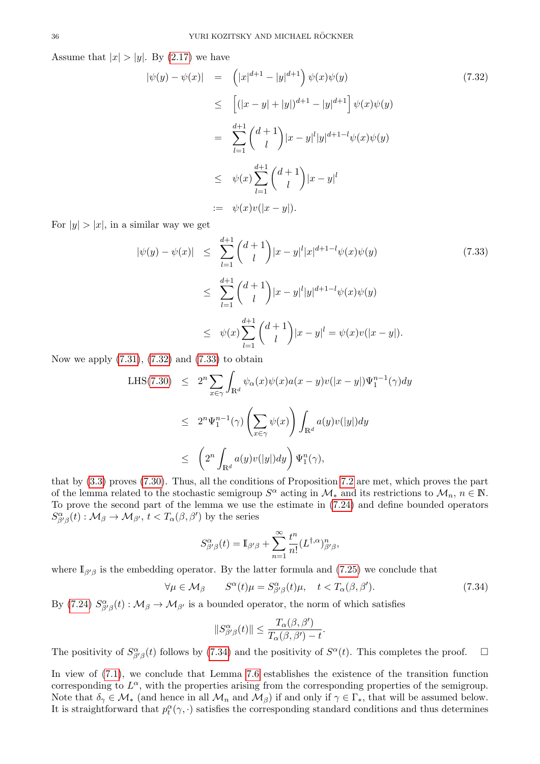Assume that  $|x| > |y|$ . By [\(2.17\)](#page-6-2) we have

<span id="page-35-0"></span>
$$
|\psi(y) - \psi(x)| = (|x|^{d+1} - |y|^{d+1}) \psi(x)\psi(y)
$$
\n
$$
\leq [(|x - y| + |y|)^{d+1} - |y|^{d+1}] \psi(x)\psi(y)
$$
\n
$$
= \sum_{l=1}^{d+1} {d+1 \choose l} |x - y|^l |y|^{d+1-l} \psi(x)\psi(y)
$$
\n
$$
\leq \psi(x) \sum_{l=1}^{d+1} {d+1 \choose l} |x - y|^l
$$
\n
$$
= \psi(x)v(|x - y|).
$$
\n(7.32)

For  $|y| > |x|$ , in a similar way we get

<span id="page-35-1"></span>
$$
|\psi(y) - \psi(x)| \leq \sum_{l=1}^{d+1} {d+1 \choose l} |x - y|^l |x|^{d+1-l} \psi(x) \psi(y)
$$
(7.33)  

$$
\leq \sum_{l=1}^{d+1} {d+1 \choose l} |x - y|^l |y|^{d+1-l} \psi(x) \psi(y)
$$
  

$$
\leq \psi(x) \sum_{l=1}^{d+1} {d+1 \choose l} |x - y|^l = \psi(x) \psi(|x - y|).
$$

Now we apply  $(7.31)$ ,  $(7.32)$  and  $(7.33)$  to obtain

LHS(7.30) 
$$
\leq 2^{n} \sum_{x \in \gamma} \int_{\mathbb{R}^{d}} \psi_{\alpha}(x) \psi(x) a(x - y) v(|x - y|) \Psi_{1}^{n-1}(\gamma) dy
$$

$$
\leq 2^{n} \Psi_{1}^{n-1}(\gamma) \left( \sum_{x \in \gamma} \psi(x) \right) \int_{\mathbb{R}^{d}} a(y) v(|y|) dy
$$

$$
\leq \left( 2^{n} \int_{\mathbb{R}^{d}} a(y) v(|y|) dy \right) \Psi_{1}^{n}(\gamma),
$$

that by [\(3.3\)](#page-11-4) proves [\(7.30\)](#page-34-6). Thus, all the conditions of Proposition [7.2](#page-30-3) are met, which proves the part of the lemma related to the stochastic semigroup  $S^{\alpha}$  acting in  $\mathcal{M}_{*}$  and its restrictions to  $\mathcal{M}_{n}$ ,  $n \in \mathbb{N}$ . To prove the second part of the lemma we use the estimate in [\(7.24\)](#page-34-0) and define bounded operators  $S^{\alpha}_{\beta'\beta}(t) : \mathcal{M}_{\beta} \to \mathcal{M}_{\beta'}$ ,  $t < T_{\alpha}(\beta, \beta')$  by the series

$$
S^{\alpha}_{\beta'\beta}(t) = \mathbb{I}_{\beta'\beta} + \sum_{n=1}^{\infty} \frac{t^n}{n!} (L^{\dagger,\alpha})^n_{\beta'\beta},
$$

where  $\mathbb{I}_{\beta'\beta}$  is the embedding operator. By the latter formula and [\(7.25\)](#page-34-7) we conclude that

<span id="page-35-2"></span>
$$
\forall \mu \in \mathcal{M}_{\beta} \qquad S^{\alpha}(t)\mu = S^{\alpha}_{\beta'\beta}(t)\mu, \quad t < T_{\alpha}(\beta, \beta'). \tag{7.34}
$$

By [\(7.24\)](#page-34-0)  $S^{\alpha}_{\beta'\beta}(t) : \mathcal{M}_{\beta} \to \mathcal{M}_{\beta'}$  is a bounded operator, the norm of which satisfies

$$
||S^{\alpha}_{\beta'\beta}(t)|| \leq \frac{T_{\alpha}(\beta, \beta')}{T_{\alpha}(\beta, \beta') - t}.
$$

The positivity of  $S^{\alpha}_{\beta'\beta}(t)$  follows by [\(7.34\)](#page-35-2) and the positivity of  $S^{\alpha}(t)$ . This completes the proof.  $\Box$ 

In view of [\(7.1\)](#page-30-5), we conclude that Lemma [7.6](#page-34-8) establishes the existence of the transition function corresponding to  $L^{\alpha}$ , with the properties arising from the corresponding properties of the semigroup. Note that  $\delta_{\gamma} \in \mathcal{M}_{*}$  (and hence in all  $\mathcal{M}_{n}$  and  $\mathcal{M}_{\beta}$ ) if and only if  $\gamma \in \Gamma_{*}$ , that will be assumed below. It is straightforward that  $p_t^{\alpha}(\gamma, \cdot)$  satisfies the corresponding standard conditions and thus determines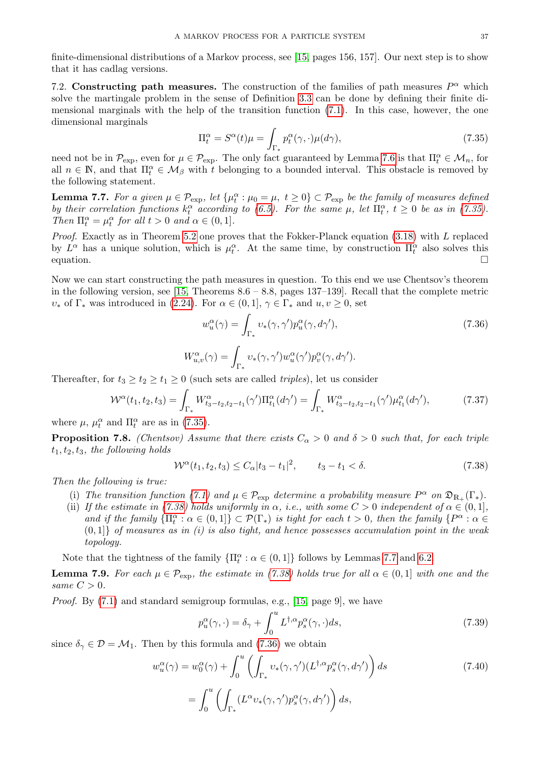finite-dimensional distributions of a Markov process, see [\[15,](#page-43-10) pages 156, 157]. Our next step is to show that it has cadlag versions.

<span id="page-36-0"></span>7.2. Constructing path measures. The construction of the families of path measures  $P^{\alpha}$  which solve the martingale problem in the sense of Definition [3.3](#page-13-4) can be done by defining their finite dimensional marginals with the help of the transition function [\(7.1\)](#page-30-5). In this case, however, the one dimensional marginals

<span id="page-36-1"></span>
$$
\Pi_t^{\alpha} = S^{\alpha}(t)\mu = \int_{\Gamma_*} p_t^{\alpha}(\gamma, \cdot) \mu(d\gamma), \tag{7.35}
$$

need not be in  $\mathcal{P}_{\text{exp}}$ , even for  $\mu \in \mathcal{P}_{\text{exp}}$ . The only fact guaranteed by Lemma [7.6](#page-34-8) is that  $\Pi_t^{\alpha} \in \mathcal{M}_n$ , for all  $n \in \mathbb{N}$ , and that  $\Pi_t^{\alpha} \in \mathcal{M}_{\beta}$  with t belonging to a bounded interval. This obstacle is removed by the following statement.

<span id="page-36-3"></span>**Lemma 7.7.** For a given  $\mu \in \mathcal{P}_{exp}$ , let  $\{\mu_t^{\alpha} : \mu_0 = \mu, t \geq 0\} \subset \mathcal{P}_{exp}$  be the family of measures defined by their correlation functions  $k_t^{\alpha}$  according to [\(6.5\)](#page-26-7). For the same  $\mu$ , let  $\Pi_t^{\alpha}$ ,  $t \geq 0$  be as in [\(7.35\)](#page-36-1). Then  $\Pi_t^{\alpha} = \mu_t^{\alpha}$  for all  $t > 0$  and  $\alpha \in (0, 1]$ .

*Proof.* Exactly as in Theorem [5.2](#page-19-0) one proves that the Fokker-Planck equation  $(3.18)$  with L replaced by  $L^{\alpha}$  has a unique solution, which is  $\mu_t^{\alpha}$ . At the same time, by construction  $\Pi_t^{\alpha}$  also solves this equation.

Now we can start constructing the path measures in question. To this end we use Chentsov's theorem in the following version, see  $[15,$  Theorems  $8.6 - 8.8$ , pages  $137-139$ . Recall that the complete metric  $v_*$  of  $\Gamma_*$  was introduced in [\(2.24\)](#page-7-2). For  $\alpha \in (0,1], \gamma \in \Gamma_*$  and  $u, v \ge 0$ , set

<span id="page-36-4"></span>
$$
w_u^{\alpha}(\gamma) = \int_{\Gamma_*} v_*(\gamma, \gamma') p_u^{\alpha}(\gamma, d\gamma'),
$$
  
\n
$$
W_{u,v}^{\alpha}(\gamma) = \int_{\Gamma_*} v_*(\gamma, \gamma') w_u^{\alpha}(\gamma') p_v^{\alpha}(\gamma, d\gamma').
$$
\n(7.36)

Thereafter, for  $t_3 \geq t_2 \geq t_1 \geq 0$  (such sets are called *triples*), let us consider

<span id="page-36-7"></span>
$$
\mathcal{W}^{\alpha}(t_1, t_2, t_3) = \int_{\Gamma_*} W^{\alpha}_{t_3 - t_2, t_2 - t_1}(\gamma') \Pi_{t_1}^{\alpha}(d\gamma') = \int_{\Gamma_*} W^{\alpha}_{t_3 - t_2, t_2 - t_1}(\gamma') \mu_{t_1}^{\alpha}(d\gamma'), \tag{7.37}
$$

where  $\mu$ ,  $\mu_t^{\alpha}$  and  $\Pi_t^{\alpha}$  are as in [\(7.35\)](#page-36-1).

<span id="page-36-8"></span>**Proposition 7.8.** (Chentsov) Assume that there exists  $C_{\alpha} > 0$  and  $\delta > 0$  such that, for each triple  $t_1, t_2, t_3$ , the following holds

<span id="page-36-2"></span>
$$
\mathcal{W}^{\alpha}(t_1, t_2, t_3) \le C_{\alpha} |t_3 - t_1|^2, \qquad t_3 - t_1 < \delta. \tag{7.38}
$$

Then the following is true:

- (i) The transition function [\(7.1\)](#page-30-5) and  $\mu \in \mathcal{P}_{\exp}$  determine a probability measure  $P^{\alpha}$  on  $\mathfrak{D}_{\mathbb{R}_+}(\Gamma_*)$ .
- (ii) If the estimate in [\(7.38\)](#page-36-2) holds uniformly in  $\alpha$ , i.e., with some  $C > 0$  independent of  $\alpha \in (0,1]$ , and if the family  $\{\Pi_t^{\alpha} : \alpha \in (0,1]\} \subset \mathcal{P}(\Gamma_{*})$  is tight for each  $t > 0$ , then the family  $\{P^{\alpha} : \alpha \in \mathcal{P}(\Gamma_{*})\}$  $(0,1]$  of measures as in (i) is also tight, and hence possesses accumulation point in the weak topology.

Note that the tightness of the family  $\{\Pi_t^{\alpha} : \alpha \in (0,1]\}$  follows by Lemmas [7.7](#page-36-3) and [6.2.](#page-27-6)

<span id="page-36-9"></span>**Lemma 7.9.** For each  $\mu \in \mathcal{P}_{\text{exp}}$ , the estimate in [\(7.38\)](#page-36-2) holds true for all  $\alpha \in (0,1]$  with one and the same  $C > 0$ .

Proof. By [\(7.1\)](#page-30-5) and standard semigroup formulas, e.g., [\[15,](#page-43-10) page 9], we have

<span id="page-36-6"></span><span id="page-36-5"></span>
$$
p_u^{\alpha}(\gamma, \cdot) = \delta_{\gamma} + \int_0^u L^{\dagger,\alpha} p_s^{\alpha}(\gamma, \cdot) ds,
$$
\n(7.39)

since  $\delta_{\gamma} \in \mathcal{D} = \mathcal{M}_1$ . Then by this formula and [\(7.36\)](#page-36-4) we obtain

$$
w_u^{\alpha}(\gamma) = w_0^{\alpha}(\gamma) + \int_0^u \left( \int_{\Gamma_*} v_*(\gamma, \gamma') (L^{\dagger, \alpha} p_s^{\alpha}(\gamma, d\gamma') \right) ds
$$
  
= 
$$
\int_0^u \left( \int_{\Gamma_*} (L^{\alpha} v_*(\gamma, \gamma') p_s^{\alpha}(\gamma, d\gamma') \right) ds,
$$
 (7.40)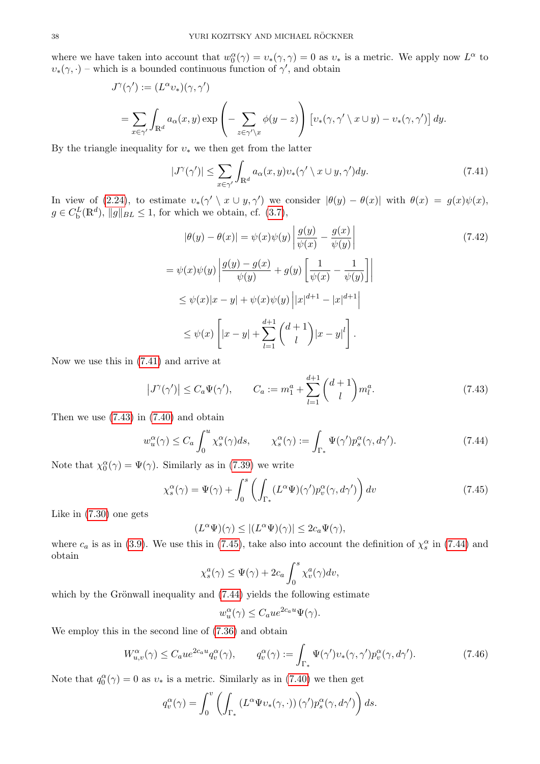where we have taken into account that  $w_0^{\alpha}(\gamma) = v_*(\gamma, \gamma) = 0$  as  $v_*$  is a metric. We apply now  $L^{\alpha}$  to  $v_*(\gamma, \cdot)$  – which is a bounded continuous function of  $\gamma'$ , and obtain

$$
J^{\gamma}(\gamma') := (L^{\alpha} v_*)(\gamma, \gamma')
$$
  
= 
$$
\sum_{x \in \gamma'} \int_{\mathbb{R}^d} a_{\alpha}(x, y) \exp\left(-\sum_{z \in \gamma' \setminus x} \phi(y - z)\right) \left[v_*(\gamma, \gamma' \setminus x \cup y) - v_*(\gamma, \gamma')\right] dy.
$$

By the triangle inequality for  $v_*$  we then get from the latter

<span id="page-37-0"></span>
$$
|J^{\gamma}(\gamma')| \le \sum_{x \in \gamma'} \int_{\mathbb{R}^d} a_{\alpha}(x, y) v_{*}(\gamma' \setminus x \cup y, \gamma') dy.
$$
 (7.41)

In view of [\(2.24\)](#page-7-2), to estimate  $v_*(\gamma' \setminus x \cup y, \gamma')$  we consider  $|\theta(y) - \theta(x)|$  with  $\theta(x) = g(x)\psi(x)$ ,  $g \in C_{\rm b}^{L}(\mathbb{R}^{d}), ||g||_{BL} \leq 1$ , for which we obtain, cf. [\(3.7\)](#page-12-1),

<span id="page-37-4"></span>
$$
|\theta(y) - \theta(x)| = \psi(x)\psi(y) \left| \frac{g(y)}{\psi(x)} - \frac{g(x)}{\psi(y)} \right|
$$
  
\n
$$
= \psi(x)\psi(y) \left| \frac{g(y) - g(x)}{\psi(y)} + g(y) \left[ \frac{1}{\psi(x)} - \frac{1}{\psi(y)} \right] \right|
$$
  
\n
$$
\leq \psi(x)|x - y| + \psi(x)\psi(y) |x|^{d+1} - |x|^{d+1}
$$
  
\n
$$
\leq \psi(x) \left[ |x - y| + \sum_{l=1}^{d+1} {d+1 \choose l} |x - y|^l \right].
$$
\n(7.42)

Now we use this in [\(7.41\)](#page-37-0) and arrive at

<span id="page-37-1"></span>
$$
|J^{\gamma}(\gamma')| \le C_a \Psi(\gamma'), \qquad C_a := m_1^a + \sum_{l=1}^{d+1} {d+1 \choose l} m_l^a.
$$
 (7.43)

Then we use [\(7.43\)](#page-37-1) in [\(7.40\)](#page-36-5) and obtain

$$
w_u^{\alpha}(\gamma) \le C_a \int_0^u \chi_s^{\alpha}(\gamma) ds, \qquad \chi_s^{\alpha}(\gamma) := \int_{\Gamma_*} \Psi(\gamma') p_s^{\alpha}(\gamma, d\gamma'). \tag{7.44}
$$

Note that  $\chi_0^{\alpha}(\gamma) = \Psi(\gamma)$ . Similarly as in [\(7.39\)](#page-36-6) we write

<span id="page-37-2"></span>
$$
\chi_s^{\alpha}(\gamma) = \Psi(\gamma) + \int_0^s \left( \int_{\Gamma_*} (L^{\alpha} \Psi)(\gamma') p_v^{\alpha}(\gamma, d\gamma') \right) dv \tag{7.45}
$$

Like in [\(7.30\)](#page-34-6) one gets

<span id="page-37-3"></span>
$$
(L^{\alpha}\Psi)(\gamma) \le |(L^{\alpha}\Psi)(\gamma)| \le 2c_a\Psi(\gamma),
$$

where  $c_a$  is as in [\(3.9\)](#page-12-4). We use this in [\(7.45\)](#page-37-2), take also into account the definition of  $\chi_s^{\alpha}$  in [\(7.44\)](#page-37-3) and obtain

$$
\chi_s^a(\gamma) \le \Psi(\gamma) + 2c_a \int_0^s \chi_v^a(\gamma) dv,
$$

which by the Grönwall inequality and  $(7.44)$  yields the following estimate

$$
w_u^{\alpha}(\gamma) \le C_a u e^{2c_a u} \Psi(\gamma).
$$

We employ this in the second line of [\(7.36\)](#page-36-4) and obtain

<span id="page-37-5"></span>
$$
W_{u,v}^{\alpha}(\gamma) \le C_a u e^{2c_a u} q_v^{\alpha}(\gamma), \qquad q_v^{\alpha}(\gamma) := \int_{\Gamma_*} \Psi(\gamma') v_*(\gamma, \gamma') p_v^{\alpha}(\gamma, d\gamma'). \tag{7.46}
$$

Note that  $q_0^{\alpha}(\gamma) = 0$  as  $v_*$  is a metric. Similarly as in [\(7.40\)](#page-36-5) we then get

$$
q_v^{\alpha}(\gamma) = \int_0^v \left( \int_{\Gamma_*} \left( L^{\alpha} \Psi v_*(\gamma, \cdot) \right) (\gamma') p_s^{\alpha}(\gamma, d\gamma') \right) ds.
$$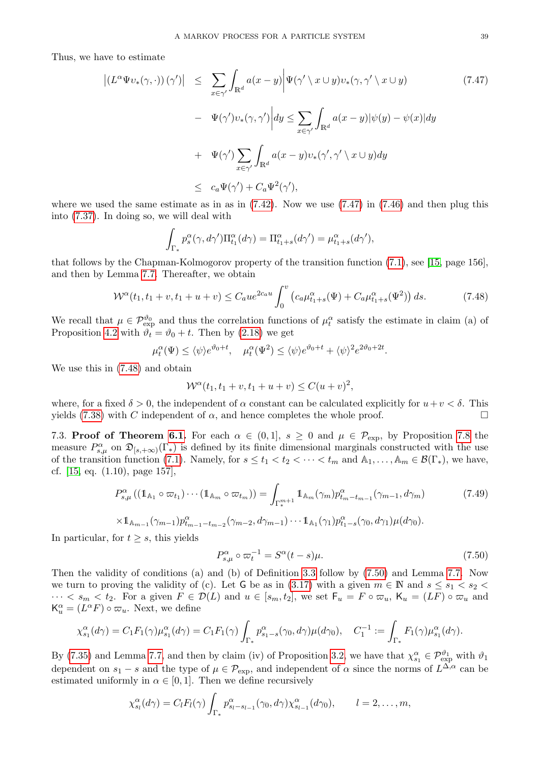Thus, we have to estimate

<span id="page-38-1"></span>
$$
\left| (L^{\alpha} \Psi v_{*}(\gamma, \cdot)) (\gamma') \right| \leq \sum_{x \in \gamma'} \int_{\mathbb{R}^{d}} a(x - y) \left| \Psi(\gamma' \setminus x \cup y) v_{*}(\gamma, \gamma' \setminus x \cup y) - \Psi(\gamma') v_{*}(\gamma, \gamma') \right| dy \leq \sum_{x \in \gamma'} \int_{\mathbb{R}^{d}} a(x - y) |\psi(y) - \psi(x)| dy
$$
  
+ 
$$
\Psi(\gamma') \sum_{x \in \gamma'} \int_{\mathbb{R}^{d}} a(x - y) v_{*}(\gamma', \gamma' \setminus x \cup y) dy
$$
  

$$
\leq c_{a} \Psi(\gamma') + C_{a} \Psi^{2}(\gamma'),
$$
 (7.47)

where we used the same estimate as in as in  $(7.42)$ . Now we use  $(7.47)$  in  $(7.46)$  and then plug this into [\(7.37\)](#page-36-7). In doing so, we will deal with

$$
\int_{\Gamma_*} p_s^{\alpha}(\gamma, d\gamma') \Pi_{t_1}^{\alpha}(d\gamma) = \Pi_{t_1+s}^{\alpha}(d\gamma') = \mu_{t_1+s}^{\alpha}(d\gamma'),
$$

that follows by the Chapman-Kolmogorov property of the transition function [\(7.1\)](#page-30-5), see [\[15,](#page-43-10) page 156], and then by Lemma [7.7.](#page-36-3) Thereafter, we obtain

$$
\mathcal{W}^{\alpha}(t_1, t_1 + v, t_1 + u + v) \le C_a u e^{2c_a u} \int_0^v \left( c_a \mu_{t_1+s}^{\alpha}(\Psi) + C_a \mu_{t_1+s}^{\alpha}(\Psi^2) \right) ds.
$$
 (7.48)

We recall that  $\mu \in \mathcal{P}_{\text{exp}}^{\theta_0}$  and thus the correlation functions of  $\mu_t^{\alpha}$  satisfy the estimate in claim (a) of Proposition [4.2](#page-18-6) with  $\vartheta_t = \vartheta_0 + t$ . Then by [\(2.18\)](#page-6-6) we get

$$
\mu_t^{\alpha}(\Psi) \le \langle \psi \rangle e^{\vartheta_0 + t}, \quad \mu_t^{\alpha}(\Psi^2) \le \langle \psi \rangle e^{\vartheta_0 + t} + \langle \psi \rangle^2 e^{2\vartheta_0 + 2t}.
$$

We use this in [\(7.48\)](#page-38-2) and obtain

<span id="page-38-2"></span>
$$
\mathcal{W}^{\alpha}(t_1, t_1 + v, t_1 + u + v) \le C(u + v)^2,
$$

where, for a fixed  $\delta > 0$ , the independent of  $\alpha$  constant can be calculated explicitly for  $u+v < \delta$ . This yields [\(7.38\)](#page-36-2) with C independent of  $\alpha$ , and hence completes the whole proof.

<span id="page-38-0"></span>7.3. **Proof of Theorem [6.1.](#page-26-2)** For each  $\alpha \in (0,1]$ ,  $s \geq 0$  and  $\mu \in \mathcal{P}_{exp}$ , by Proposition [7.8](#page-36-8) the measure  $P_{s,\mu}^{\alpha}$  on  $\mathfrak{D}_{[s,+\infty)}(\Gamma_{\ast})$  is defined by its finite dimensional marginals constructed with the use of the transition function [\(7.1\)](#page-30-5). Namely, for  $s \le t_1 < t_2 < \cdots < t_m$  and  $\mathbb{A}_1, \ldots, \mathbb{A}_m \in \mathcal{B}(\Gamma_*)$ , we have, cf. [\[15,](#page-43-10) eq. (1.10), page 157],

$$
P_{s,\mu}^{\alpha}((\mathbb{1}_{\mathbb{A}_1} \circ \varpi_{t_1}) \cdots (\mathbb{1}_{\mathbb{A}_m} \circ \varpi_{t_m})) = \int_{\Gamma_{*}^{m+1}} \mathbb{1}_{\mathbb{A}_m}(\gamma_m) p_{t_m - t_{m-1}}^{\alpha}(\gamma_{m-1}, d\gamma_m)
$$
(7.49)  

$$
\times \mathbb{1}_{\mathbb{A}_{m-1}}(\gamma_{m-1}) p_{t_{m-1} - t_{m-2}}^{\alpha}(\gamma_{m-2}, d\gamma_{m-1}) \cdots \mathbb{1}_{\mathbb{A}_1}(\gamma_1) p_{t_1 - s}^{\alpha}(\gamma_0, d\gamma_1) \mu(d\gamma_0).
$$

In particular, for  $t \geq s$ , this yields

<span id="page-38-4"></span><span id="page-38-3"></span>
$$
P_{s,\mu}^{\alpha} \circ \varpi_t^{-1} = S^{\alpha}(t - s)\mu.
$$
\n(7.50)

Then the validity of conditions (a) and (b) of Definition [3.3](#page-13-4) follow by [\(7.50\)](#page-38-3) and Lemma [7.7.](#page-36-3) Now we turn to proving the validity of (c). Let G be as in [\(3.17\)](#page-14-5) with a given  $m \in \mathbb{N}$  and  $s \leq s_1 < s_2$  $\cdots < s_m < t_2$ . For a given  $F \in \mathcal{D}(L)$  and  $u \in [s_m, t_2]$ , we set  $F_u = F \circ \varpi_u$ ,  $K_u = (LF) \circ \varpi_u$  and  $\mathsf{K}_{u}^{\alpha} = (L^{\alpha} F) \circ \varpi_{u}$ . Next, we define

$$
\chi_{s_1}^{\alpha}(d\gamma) = C_1 F_1(\gamma) \mu_{s_1}^{\alpha}(d\gamma) = C_1 F_1(\gamma) \int_{\Gamma_*} p_{s_1 - s}^{\alpha}(\gamma_0, d\gamma) \mu(d\gamma_0), \quad C_1^{-1} := \int_{\Gamma_*} F_1(\gamma) \mu_{s_1}^{\alpha}(d\gamma).
$$

By [\(7.35\)](#page-36-1) and Lemma [7.7,](#page-36-3) and then by claim (iv) of Proposition [3.2,](#page-13-3) we have that  $\chi_{s_1}^{\alpha} \in \mathcal{P}_{\text{exp}}^{\vartheta_1}$  with  $\vartheta_1$ dependent on  $s_1 - s$  and the type of  $\mu \in \mathcal{P}_{\rm exp}$ , and independent of  $\alpha$  since the norms of  $L^{\Delta,\alpha}$  can be estimated uniformly in  $\alpha \in [0, 1]$ . Then we define recursively

$$
\chi_{s_l}^{\alpha}(d\gamma) = C_l F_l(\gamma) \int_{\Gamma_*} p_{s_l - s_{l-1}}^{\alpha}(\gamma_0, d\gamma) \chi_{s_{l-1}}^{\alpha}(d\gamma_0), \qquad l = 2, \ldots, m,
$$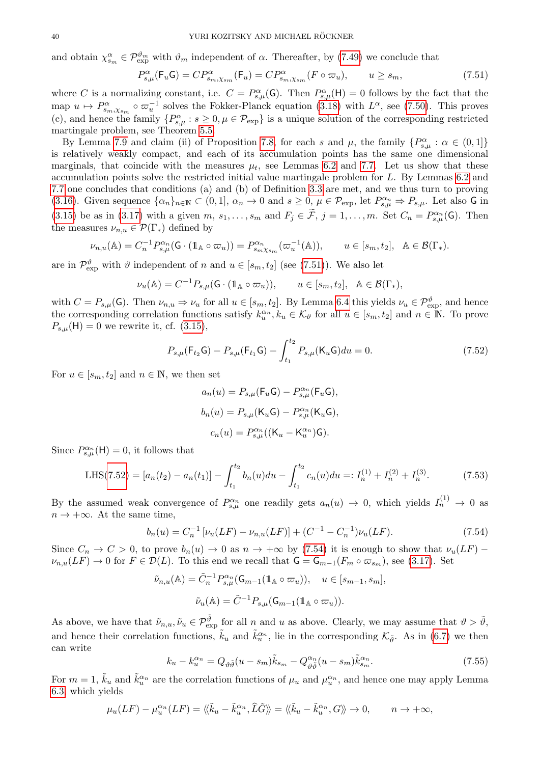and obtain  $\chi_{s_m}^{\alpha} \in \mathcal{P}_{\text{exp}}^{\vartheta_m}$  with  $\vartheta_m$  independent of  $\alpha$ . Thereafter, by [\(7.49\)](#page-38-4) we conclude that

<span id="page-39-0"></span>
$$
P_{s,\mu}^{\alpha}(\mathsf{F}_{u}\mathsf{G}) = C P_{s_{m},\chi_{s_{m}}}^{\alpha}(\mathsf{F}_{u}) = C P_{s_{m},\chi_{s_{m}}}^{\alpha}(F \circ \varpi_{u}), \qquad u \geq s_{m}, \tag{7.51}
$$

where C is a normalizing constant, i.e.  $C = P_{s,\mu}^{\alpha}(\mathsf{G})$ . Then  $P_{s,\mu}^{\alpha}(\mathsf{H}) = 0$  follows by the fact that the map  $u \mapsto P^{\alpha}_{s_m,\chi_{s_m}} \circ \varpi_u^{-1}$  solves the Fokker-Planck equation [\(3.18\)](#page-14-2) with  $L^{\alpha}$ , see [\(7.50\)](#page-38-3). This proves (c), and hence the family  $\{P_{s,\mu}^{\alpha}: s \geq 0, \mu \in \mathcal{P}_{exp}\}\$ is a unique solution of the corresponding restricted martingale problem, see Theorem [5.5.](#page-26-8)

By Lemma [7.9](#page-36-9) and claim (ii) of Proposition [7.8,](#page-36-8) for each s and  $\mu$ , the family  $\{P^{\alpha}_{s,\mu} : \alpha \in (0,1]\}$ is relatively weakly compact, and each of its accumulation points has the same one dimensional marginals, that coincide with the measures  $\mu_t$ , see Lemmas [6.2](#page-27-6) and [7.7.](#page-36-3) Let us show that these accumulation points solve the restricted initial value martingale problem for L. By Lemmas [6.2](#page-27-6) and [7.7](#page-36-3) one concludes that conditions (a) and (b) of Definition [3.3](#page-13-4) are met, and we thus turn to proving [\(3.16\)](#page-13-5). Given sequence  $\{\alpha_n\}_{n\in\mathbb{N}}\subset(0,1],\ \alpha_n\to 0$  and  $s\geq 0, \ \mu\in\mathcal{P}_{\text{exp}}$ , let  $P_{s,\mu}^{\alpha_n}\Rightarrow P_{s,\mu}$ . Let also G in [\(3.15\)](#page-13-2) be as in [\(3.17\)](#page-14-5) with a given  $m, s_1, \ldots, s_m$  and  $F_j \in \widetilde{\mathcal{F}}, j = 1, \ldots, m$ . Set  $C_n = P^{\alpha_n}_{s,\mu}(\mathsf{G})$ . Then the measures  $\nu_{n,u} \in \mathcal{P}(\Gamma_*)$  defined by

$$
\nu_{n,u}(\mathbb{A}) = C_n^{-1} P_{s,\mu}^{\alpha_n}(\mathsf{G} \cdot (\mathbb{1}_{\mathbb{A}} \circ \varpi_u)) = P_{s_m \chi_{s_m}}^{\alpha_n}(\varpi_u^{-1}(\mathbb{A})), \qquad u \in [s_m, t_2], \quad \mathbb{A} \in \mathcal{B}(\Gamma_*).
$$

are in  $\mathcal{P}_{\text{exp}}^{\vartheta}$  with  $\vartheta$  independent of n and  $u \in [s_m, t_2]$  (see [\(7.51\)](#page-39-0)). We also let

$$
\nu_u(\mathbb{A}) = C^{-1} P_{s,\mu}(\mathsf{G} \cdot (\mathbb{1}_{\mathbb{A}} \circ \varpi_u)), \qquad u \in [s_m, t_2], \quad \mathbb{A} \in \mathcal{B}(\Gamma_*),
$$

with  $C = P_{s,\mu}(\mathsf{G})$ . Then  $\nu_{n,u} \Rightarrow \nu_u$  for all  $u \in [s_m, t_2]$ . By Lemma [6.4](#page-29-4) this yields  $\nu_u \in \mathcal{P}_{\text{exp}}^{\vartheta}$ , and hence the corresponding correlation functions satisfy  $k_u^{\alpha_n}, k_u \in \mathcal{K}_{\vartheta}$  for all  $u \in [s_m, t_2]$  and  $n \in \mathbb{N}$ . To prove  $P_{s,\mu}(\mathsf{H}) = 0$  we rewrite it, cf. [\(3.15\)](#page-13-2),

<span id="page-39-1"></span>
$$
P_{s,\mu}(\mathsf{F}_{t_2}\mathsf{G}) - P_{s,\mu}(\mathsf{F}_{t_1}\mathsf{G}) - \int_{t_1}^{t_2} P_{s,\mu}(\mathsf{K}_u\mathsf{G}) du = 0.
$$
 (7.52)

For  $u \in [s_m, t_2]$  and  $n \in \mathbb{N}$ , we then set

$$
a_n(u) = P_{s,\mu}(\mathsf{F}_u \mathsf{G}) - P_{s,\mu}^{\alpha_n}(\mathsf{F}_u \mathsf{G}),
$$
  
\n
$$
b_n(u) = P_{s,\mu}(\mathsf{K}_u \mathsf{G}) - P_{s,\mu}^{\alpha_n}(\mathsf{K}_u \mathsf{G}),
$$
  
\n
$$
c_n(u) = P_{s,\mu}^{\alpha_n}((\mathsf{K}_u - \mathsf{K}_u^{\alpha_n})\mathsf{G}).
$$

Since  $P_{s,\mu}^{\alpha_n}(\mathsf{H})=0$ , it follows that

<span id="page-39-4"></span>LHS(7.52) = 
$$
[a_n(t_2) - a_n(t_1)] - \int_{t_1}^{t_2} b_n(u) du - \int_{t_1}^{t_2} c_n(u) du =: I_n^{(1)} + I_n^{(2)} + I_n^{(3)}
$$
. (7.53)

By the assumed weak convergence of  $P_{s,\mu}^{\alpha_n}$  one readily gets  $a_n(u) \to 0$ , which yields  $I_n^{(1)} \to 0$  as  $n \to +\infty$ . At the same time,

<span id="page-39-2"></span>
$$
b_n(u) = C_n^{-1} \left[ \nu_u(LF) - \nu_{n,u}(LF) \right] + (C^{-1} - C_n^{-1}) \nu_u(LF). \tag{7.54}
$$

Since  $C_n \to C > 0$ , to prove  $b_n(u) \to 0$  as  $n \to +\infty$  by [\(7.54\)](#page-39-2) it is enough to show that  $\nu_u(LF)$  –  $\nu_{n,u}(LF) \to 0$  for  $F \in \mathcal{D}(L)$ . To this end we recall that  $\mathsf{G} = \mathsf{G}_{m-1}(F_m \circ \varpi_{s_m})$ , see [\(3.17\)](#page-14-5). Set

$$
\tilde{\nu}_{n,u}(\mathbb{A}) = \tilde{C}_n^{-1} P_{s,\mu}^{\alpha_n}(\mathsf{G}_{m-1}(\mathbb{1}_{\mathbb{A}} \circ \varpi_u)), \quad u \in [s_{m-1}, s_m],
$$

$$
\tilde{\nu}_u(\mathbb{A}) = \tilde{C}^{-1} P_{s,\mu}(\mathsf{G}_{m-1}(\mathbb{1}_{\mathbb{A}} \circ \varpi_u)).
$$

As above, we have that  $\tilde{\nu}_{n,u}, \tilde{\nu}_u \in \mathcal{P}_{\text{exp}}^{\tilde{\vartheta}}$  for all n and u as above. Clearly, we may assume that  $\vartheta > \tilde{\vartheta}$ , and hence their correlation functions,  $\tilde{k}_u$  and  $\tilde{k}_u^{\alpha_n}$ , lie in the corresponding  $\mathcal{K}_{\tilde{\vartheta}}$ . As in [\(6.7\)](#page-27-2) we then can write

<span id="page-39-3"></span>
$$
k_u - k_u^{\alpha_n} = Q_{\vartheta \tilde{\vartheta}} (u - s_m) \tilde{k}_{s_m} - Q_{\vartheta \tilde{\vartheta}}^{\alpha_n} (u - s_m) \tilde{k}_{s_m}^{\alpha_n}.
$$
\n(7.55)

For  $m=1$ ,  $\tilde{k}_u$  and  $\tilde{k}_u^{\alpha_n}$  are the correlation functions of  $\mu_u$  and  $\mu_u^{\alpha_n}$ , and hence one may apply Lemma [6.3,](#page-27-7) which yields

$$
\mu_u(LF) - \mu_u^{\alpha_n}(LF) = \langle \langle \tilde{k}_u - \tilde{k}_u^{\alpha_n}, \hat{L}\tilde{G} \rangle \rangle = \langle \langle \tilde{k}_u - \tilde{k}_u^{\alpha_n}, G \rangle \rangle \to 0, \qquad n \to +\infty,
$$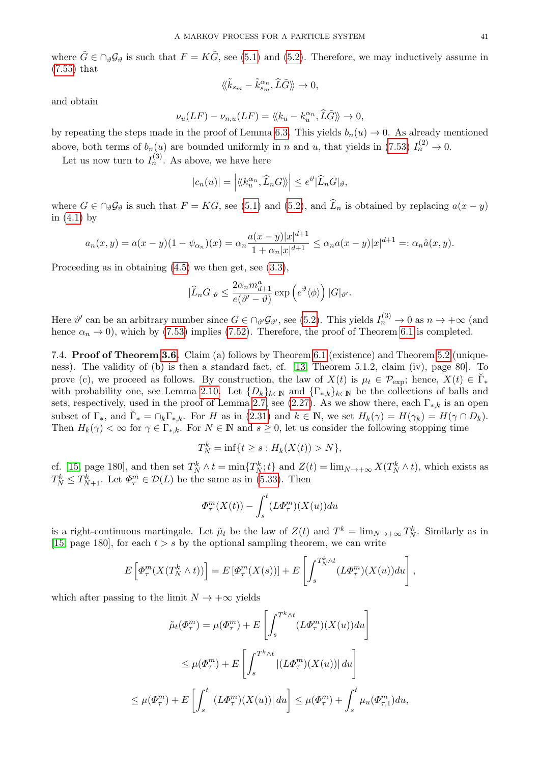where  $\tilde{G} \in \bigcap_{\theta} \mathcal{G}_{\theta}$  is such that  $F = K\tilde{G}$ , see [\(5.1\)](#page-18-8) and [\(5.2\)](#page-19-3). Therefore, we may inductively assume in [\(7.55\)](#page-39-3) that

$$
\langle\!\langle \tilde{k}_{s_m}-\tilde{k}_{s_m}^{\alpha_n},\hat{L}\tilde{G}\rangle\!\rangle \to 0,
$$

and obtain

$$
\nu_u(LF) - \nu_{n,u}(LF) = \langle \langle k_u - k_u^{\alpha_n}, \hat{L}\tilde{G} \rangle \rangle \to 0,
$$

by repeating the steps made in the proof of Lemma [6.3.](#page-27-7) This yields  $b_n(u) \to 0$ . As already mentioned above, both terms of  $b_n(u)$  are bounded uniformly in n and u, that yields in [\(7.53\)](#page-39-4)  $I_n^{(2)} \to 0$ .

Let us now turn to  $I_n^{(3)}$ . As above, we have here

$$
|c_n(u)| = |\langle k_u^{\alpha_n}, \widehat{L}_n G \rangle| \le e^{\vartheta} |\widehat{L}_n G|_{\vartheta},
$$

where  $G \in \bigcap_{\vartheta} \mathcal{G}_{\vartheta}$  is such that  $F = KG$ , see [\(5.1\)](#page-18-8) and [\(5.2\)](#page-19-3), and  $\widehat{L}_n$  is obtained by replacing  $a(x - y)$ in  $(4.1)$  by

$$
a_n(x,y) = a(x-y)(1-\psi_{\alpha_n})(x) = \alpha_n \frac{a(x-y)|x|^{d+1}}{1+\alpha_n|x|^{d+1}} \leq \alpha_n a(x-y)|x|^{d+1} =: \alpha_n \hat{a}(x,y).
$$

Proceeding as in obtaining [\(4.5\)](#page-16-4) we then get, see [\(3.3\)](#page-11-4),

$$
|\widehat{L}_n G|_{\vartheta} \leq \frac{2\alpha_n m_{d+1}^a}{e(\vartheta' - \vartheta)} \exp\left(e^{\vartheta} \langle \phi \rangle\right) |G|_{\vartheta'}.
$$

Here  $\vartheta'$  can be an arbitrary number since  $G \in \bigcap_{\vartheta'} \mathcal{G}_{\vartheta'}$ , see [\(5.2\)](#page-19-3). This yields  $I_n^{(3)} \to 0$  as  $n \to +\infty$  (and hence  $\alpha_n \to 0$ ), which by [\(7.53\)](#page-39-4) implies [\(7.52\)](#page-39-1). Therefore, the proof of Theorem [6.1](#page-26-2) is completed.

<span id="page-40-0"></span>7.4. Proof of Theorem [3.6.](#page-14-1) Claim (a) follows by Theorem [6.1](#page-26-2) (existence) and Theorem [5.2](#page-19-0) (uniqueness). The validity of (b) is then a standard fact, cf. [\[13,](#page-43-9) Theorem 5.1.2, claim (iv), page 80]. To prove (c), we proceed as follows. By construction, the law of  $X(t)$  is  $\mu_t \in \mathcal{P}_{\text{exp}}$ ; hence,  $X(t) \in \breve{\Gamma}_{*}$ with probability one, see Lemma [2.10.](#page-8-1) Let  $\{D_k\}_{k\in\mathbb{N}}$  and  $\{\Gamma_{*,k}\}_{k\in\mathbb{N}}$  be the collections of balls and sets, respectively, used in the proof of Lemma [2.7,](#page-7-0) see [\(2.27\)](#page-7-7). As we show there, each  $\Gamma_{*,k}$  is an open subset of  $\Gamma_*$ , and  $\check{\Gamma}_* = \cap_k \Gamma_{*,k}$ . For H as in [\(2.31\)](#page-8-4) and  $k \in \mathbb{N}$ , we set  $H_k(\gamma) = H(\gamma_k) = H(\gamma \cap D_k)$ . Then  $H_k(\gamma) < \infty$  for  $\gamma \in \Gamma_{*,k}$ . For  $N \in \mathbb{N}$  and  $s \geq 0$ , let us consider the following stopping time

$$
T_N^k = \inf\{t \ge s : H_k(X(t)) > N\},\
$$

cf. [\[15,](#page-43-10) page 180], and then set  $T_N^k \wedge t = \min\{T_N^k; t\}$  and  $Z(t) = \lim_{N \to +\infty} X(T_N^k \wedge t)$ , which exists as  $T_N^k \leq T_{N+1}^k$ . Let  $\Phi_\tau^m \in \mathcal{D}(L)$  be the same as in [\(5.33\)](#page-24-1). Then

$$
\Phi_{\tau}^{m}(X(t)) - \int_{s}^{t} (L\Phi_{\tau}^{m})(X(u))du
$$

is a right-continuous martingale. Let  $\tilde{\mu}_t$  be the law of  $Z(t)$  and  $T^k = \lim_{N \to +\infty} T_N^k$ . Similarly as in [\[15,](#page-43-10) page 180], for each  $t > s$  by the optional sampling theorem, we can write

$$
E\left[\Phi_{\tau}^{m}(X(T_{N}^{k}\wedge t))\right]=E\left[\Phi_{\tau}^{m}(X(s))\right]+E\left[\int_{s}^{T_{N}^{k}\wedge t}(L\Phi_{\tau}^{m})(X(u))du\right],
$$

which after passing to the limit  $N \to +\infty$  yields

$$
\tilde{\mu}_t(\Phi_\tau^m) = \mu(\Phi_\tau^m) + E\left[\int_s^{T^k \wedge t} (L\Phi_\tau^m)(X(u))du\right]
$$
  

$$
\leq \mu(\Phi_\tau^m) + E\left[\int_s^{T^k \wedge t} |(L\Phi_\tau^m)(X(u))| du\right]
$$
  

$$
\leq \mu(\Phi_\tau^m) + E\left[\int_s^t |(L\Phi_\tau^m)(X(u))| du\right] \leq \mu(\Phi_\tau^m) + \int_s^t \mu_u(\Phi_{\tau,1}^m) du,
$$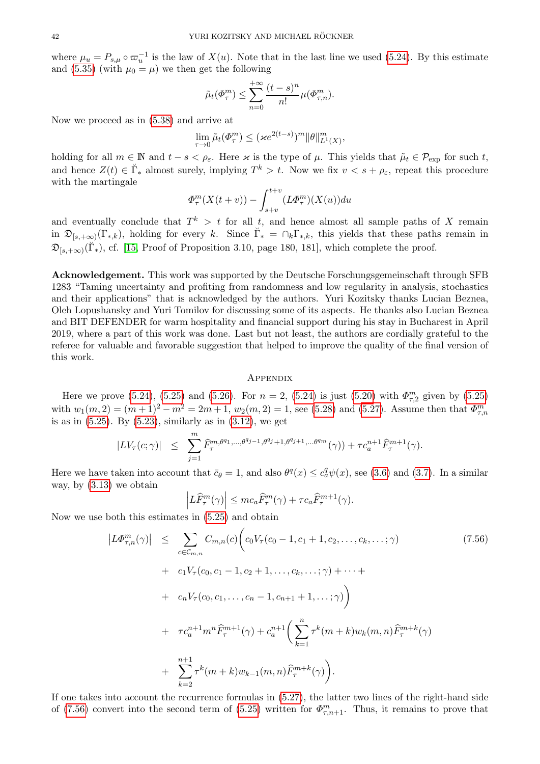where  $\mu_u = P_{s,\mu} \circ \varpi_u^{-1}$  is the law of  $X(u)$ . Note that in the last line we used [\(5.24\)](#page-22-6). By this estimate and [\(5.35\)](#page-24-5) (with  $\mu_0 = \mu$ ) we then get the following

$$
\tilde{\mu}_t(\Phi_\tau^m) \leq \sum_{n=0}^{+\infty} \frac{(t-s)^n}{n!} \mu(\Phi_{\tau,n}^m).
$$

Now we proceed as in [\(5.38\)](#page-25-5) and arrive at

$$
\lim_{\tau \to 0} \tilde{\mu}_t(\Phi_\tau^m) \le (\varkappa e^{2(t-s)})^m \|\theta\|_{L^1(X)}^m,
$$

holding for all  $m \in \mathbb{N}$  and  $t - s < \rho_{\varepsilon}$ . Here  $\varkappa$  is the type of  $\mu$ . This yields that  $\tilde{\mu}_t \in \mathcal{P}_{\text{exp}}$  for such t, and hence  $Z(t) \in \breve{\Gamma}_*$  almost surely, implying  $T^k > t$ . Now we fix  $v < s + \rho_{\varepsilon}$ , repeat this procedure with the martingale

$$
\Phi_{\tau}^{m}(X(t+v)) - \int_{s+v}^{t+v} (L\Phi_{\tau}^{m})(X(u))du
$$

and eventually conclude that  $T^k > t$  for all t, and hence almost all sample paths of X remain in  $\mathfrak{D}_{[s,+\infty)}(\Gamma_{*,k}),$  holding for every k. Since  $\check{\Gamma}_{*} = \bigcap_{k} \Gamma_{*,k}$ , this yields that these paths remain in  $\mathfrak{D}_{[s,+\infty)}(\breve{\Gamma}_{*}),$  cf. [\[15,](#page-43-10) Proof of Proposition 3.10, page 180, 181], which complete the proof.

<span id="page-41-0"></span>Acknowledgement. This work was supported by the Deutsche Forschungsgemeinschaft through SFB 1283 "Taming uncertainty and profiting from randomness and low regularity in analysis, stochastics and their applications" that is acknowledged by the authors. Yuri Kozitsky thanks Lucian Beznea, Oleh Lopushansky and Yuri Tomilov for discussing some of its aspects. He thanks also Lucian Beznea and BIT DEFENDER for warm hospitality and financial support during his stay in Bucharest in April 2019, where a part of this work was done. Last but not least, the authors are cordially grateful to the referee for valuable and favorable suggestion that helped to improve the quality of the final version of this work.

# <span id="page-41-1"></span>**APPENDIX**

Here we prove [\(5.24\)](#page-22-6), [\(5.25\)](#page-22-2) and [\(5.26\)](#page-22-4). For  $n = 2$ , (5.24) is just [\(5.20\)](#page-22-3) with  $\Phi_{\tau,2}^m$  given by (5.25) with  $w_1(m, 2) = (m+1)^2 - m^2 = 2m+1$ ,  $w_2(m, 2) = 1$ , see [\(5.28\)](#page-23-1) and [\(5.27\)](#page-23-0). Assume then that  $\Phi_{\tau,n}^m$ is as in  $(5.25)$ . By  $(5.23)$ , similarly as in  $(3.12)$ , we get

$$
|LV_{\tau}(c;\gamma)| \leq \sum_{j=1}^{m} \widehat{F}_{\tau}^{m,\theta^{q_1},\dots,\theta^{q_{j-1}},\theta^{q_j}+1,\theta^{q_{j+1}},\dots,\theta^{qm}}(\gamma)) + \tau c_a^{n+1} \widehat{F}_{\tau}^{m+1}(\gamma).
$$

Here we have taken into account that  $\bar{c}_{\theta} = 1$ , and also  $\theta^q(x) \leq c_q^q \psi(x)$ , see [\(3.6\)](#page-12-0) and [\(3.7\)](#page-12-1). In a similar way, by [\(3.13\)](#page-12-7) we obtain

$$
\left| L\widehat{F}_{\tau}^{m}(\gamma) \right| \leq mc_a \widehat{F}_{\tau}^{m}(\gamma) + \tau c_a \widehat{F}_{\tau}^{m+1}(\gamma).
$$

Now we use both this estimates in [\(5.25\)](#page-22-2) and obtain

<span id="page-41-2"></span>
$$
\begin{split}\n|L\Phi_{\tau,n}^{m}(\gamma)| &\leq \sum_{c \in \mathcal{C}_{m,n}} C_{m,n}(c) \bigg( c_{0} V_{\tau}(c_{0} - 1, c_{1} + 1, c_{2}, \dots, c_{k}, \dots; \gamma) \\
&+ c_{1} V_{\tau}(c_{0}, c_{1} - 1, c_{2} + 1, \dots, c_{k}, \dots; \gamma) + \dots + \\
&+ c_{n} V_{\tau}(c_{0}, c_{1}, \dots, c_{n} - 1, c_{n+1} + 1, \dots; \gamma) \bigg) \\
&+ \tau c_{a}^{n+1} m^{n} \widehat{F}_{\tau}^{m+1}(\gamma) + c_{a}^{n+1} \bigg( \sum_{k=1}^{n} \tau^{k}(m+k) w_{k}(m,n) \widehat{F}_{\tau}^{m+k}(\gamma) \\
&+ \sum_{k=2}^{n+1} \tau^{k}(m+k) w_{k-1}(m,n) \widehat{F}_{\tau}^{m+k}(\gamma) \bigg). \n\end{split}
$$
\n(7.56)

If one takes into account the recurrence formulas in [\(5.27\)](#page-23-0), the latter two lines of the right-hand side of [\(7.56\)](#page-41-2) convert into the second term of [\(5.25\)](#page-22-2) written for  $\Phi_{\tau,n+1}^m$ . Thus, it remains to prove that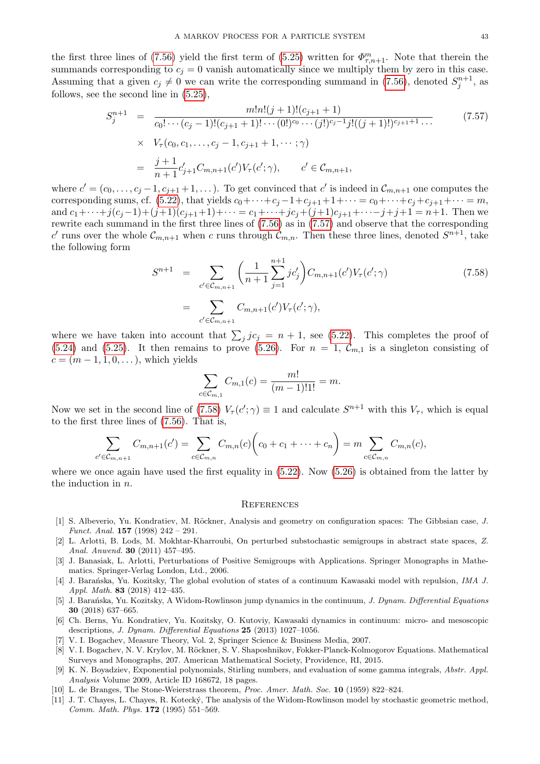the first three lines of [\(7.56\)](#page-41-2) yield the first term of [\(5.25\)](#page-22-2) written for  $\Phi_{\tau,n+1}^m$ . Note that therein the summands corresponding to  $c_j = 0$  vanish automatically since we multiply them by zero in this case. Assuming that a given  $c_j \neq 0$  we can write the corresponding summand in [\(7.56\)](#page-41-2), denoted  $S_j^{n+1}$ , as follows, see the second line in [\(5.25\)](#page-22-2),

<span id="page-42-11"></span>
$$
S_j^{n+1} = \frac{m!n!(j+1)!(c_{j+1}+1)}{c_0!\cdots(c_j-1)!(c_{j+1}+1)!\cdots(0!)^{c_0}\cdots(j!)^{c_j-1}j!((j+1)!)^{c_{j+1}+1}\cdots}
$$
(7.57)  

$$
\times V_\tau(c_0, c_1, \ldots, c_j-1, c_{j+1}+1, \cdots; \gamma)
$$
  

$$
= \frac{j+1}{n+1}c'_{j+1}C_{m,n+1}(c')V_\tau(c';\gamma), \qquad c' \in C_{m,n+1},
$$

where  $c' = (c_0, \ldots, c_j - 1, c_{j+1} + 1, \ldots)$ . To get convinced that  $c'$  is indeed in  $\mathcal{C}_{m,n+1}$  one computes the corresponding sums, cf. [\(5.22\)](#page-22-0), that yields  $c_0+\cdots+c_j-1+c_{j+1}+1+\cdots = c_0+\cdots+c_j+c_{j+1}+\cdots = m$ , and  $c_1+\cdots+j(c_j-1)+(j+1)(c_{j+1}+1)+\cdots=c_1+\cdots+jc_j+(j+1)c_{j+1}+\cdots-j+j+1=n+1$ . Then we rewrite each summand in the first three lines of [\(7.56\)](#page-41-2) as in [\(7.57\)](#page-42-11) and observe that the corresponding c' runs over the whole  $\mathcal{C}_{m,n+1}$  when c runs through  $\mathcal{C}_{m,n}$ . Then these three lines, denoted  $S^{n+1}$ , take the following form

<span id="page-42-12"></span>
$$
S^{n+1} = \sum_{c' \in C_{m,n+1}} \left( \frac{1}{n+1} \sum_{j=1}^{n+1} j c'_j \right) C_{m,n+1}(c') V_{\tau}(c'; \gamma)
$$
  
= 
$$
\sum_{c' \in C_{m,n+1}} C_{m,n+1}(c') V_{\tau}(c'; \gamma),
$$
 (7.58)

where we have taken into account that  $\sum_j j c_j = n + 1$ , see [\(5.22\)](#page-22-0). This completes the proof of [\(5.24\)](#page-22-6) and [\(5.25\)](#page-22-2). It then remains to prove [\(5.26\)](#page-22-4). For  $n = 1$ ,  $\mathcal{C}_{m,1}$  is a singleton consisting of  $c = (m-1, 1, 0, \dots)$ , which yields

$$
\sum_{c \in \mathcal{C}_{m,1}} C_{m,1}(c) = \frac{m!}{(m-1)!1!} = m.
$$

Now we set in the second line of [\(7.58\)](#page-42-12)  $V_\tau(c';\gamma) \equiv 1$  and calculate  $S^{n+1}$  with this  $V_\tau$ , which is equal to the first three lines of [\(7.56\)](#page-41-2). That is,

$$
\sum_{c' \in \mathcal{C}_{m,n+1}} C_{m,n+1}(c') = \sum_{c \in \mathcal{C}_{m,n}} C_{m,n}(c) \bigg( c_0 + c_1 + \dots + c_n \bigg) = m \sum_{c \in \mathcal{C}_{m,n}} C_{m,n}(c),
$$

where we once again have used the first equality in  $(5.22)$ . Now  $(5.26)$  is obtained from the latter by the induction in n.

#### **REFERENCES**

- <span id="page-42-0"></span>[1] S. Albeverio, Yu. Kondratiev, M. Röckner, Analysis and geometry on configuration spaces: The Gibbsian case, J. Funct. Anal. 157 (1998) 242 – 291.
- <span id="page-42-9"></span>[2] L. Arlotti, B. Lods, M. Mokhtar-Kharroubi, On perturbed substochastic semigroups in abstract state spaces, Z. Anal. Anwend. 30 (2011) 457–495.
- <span id="page-42-10"></span>[3] J. Banasiak, L. Arlotti, Perturbations of Positive Semigroups with Applications. Springer Monographs in Mathematics. Springer-Verlag London, Ltd., 2006.
- <span id="page-42-1"></span>[4] J. Barańska, Yu. Kozitsky, The global evolution of states of a continuum Kawasaki model with repulsion, IMA J. Appl. Math. 83 (2018) 412–435.
- <span id="page-42-4"></span>[5] J. Barańska, Yu. Kozitsky, A Widom-Rowlinson jump dynamics in the continuum, J. Dynam. Differential Equations 30 (2018) 637–665.
- <span id="page-42-2"></span>[6] Ch. Berns, Yu. Kondratiev, Yu. Kozitsky, O. Kutoviy, Kawasaki dynamics in continuum: micro- and mesoscopic descriptions, J. Dynam. Differential Equations 25 (2013) 1027–1056.
- <span id="page-42-7"></span>[7] V. I. Bogachev, Measure Theory, Vol. 2, Springer Science & Business Media, 2007.
- <span id="page-42-3"></span>[8] V. I. Bogachev, N. V. Krylov, M. Röckner, S. V. Shaposhnikov, Fokker-Planck-Kolmogorov Equations. Mathematical Surveys and Monographs, 207. American Mathematical Society, Providence, RI, 2015.
- <span id="page-42-6"></span>[9] K. N. Boyadziev, Exponential polynomials, Stirling numbers, and evaluation of some gamma integrals, Abstr. Appl. Analysis Volume 2009, Article ID 168672, 18 pages.
- <span id="page-42-8"></span>[10] L. de Branges, The Stone-Weierstrass theorem, Proc. Amer. Math. Soc. 10 (1959) 822–824.
- <span id="page-42-5"></span>[11] J. T. Chayes, L. Chayes, R. Kotecký, The analysis of the Widom-Rowlinson model by stochastic geometric method, Comm. Math. Phys. 172 (1995) 551–569.